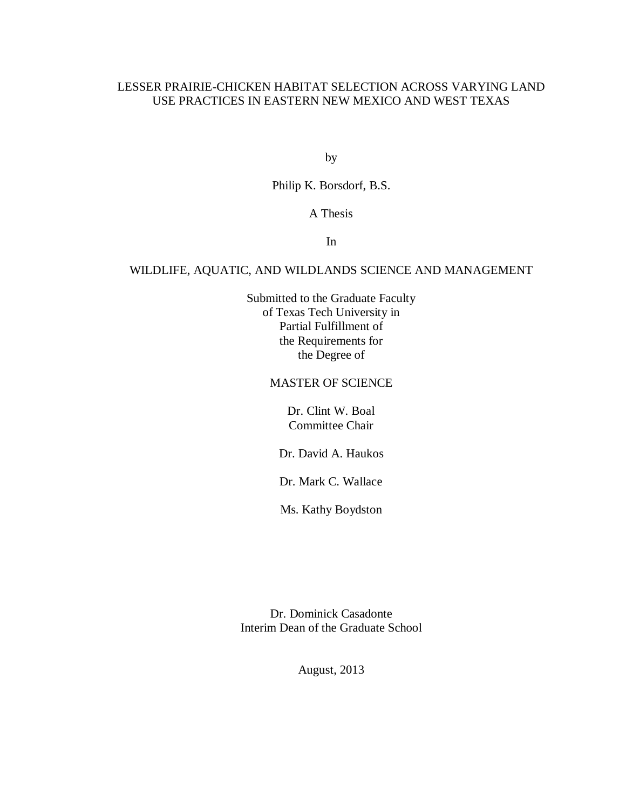# LESSER PRAIRIE-CHICKEN HABITAT SELECTION ACROSS VARYING LAND USE PRACTICES IN EASTERN NEW MEXICO AND WEST TEXAS

by

Philip K. Borsdorf, B.S.

# A Thesis

In

# WILDLIFE, AQUATIC, AND WILDLANDS SCIENCE AND MANAGEMENT

Submitted to the Graduate Faculty of Texas Tech University in Partial Fulfillment of the Requirements for the Degree of

# MASTER OF SCIENCE

Dr. Clint W. Boal Committee Chair

Dr. David A. Haukos

Dr. Mark C. Wallace

Ms. Kathy Boydston

Dr. Dominick Casadonte Interim Dean of the Graduate School

August, 2013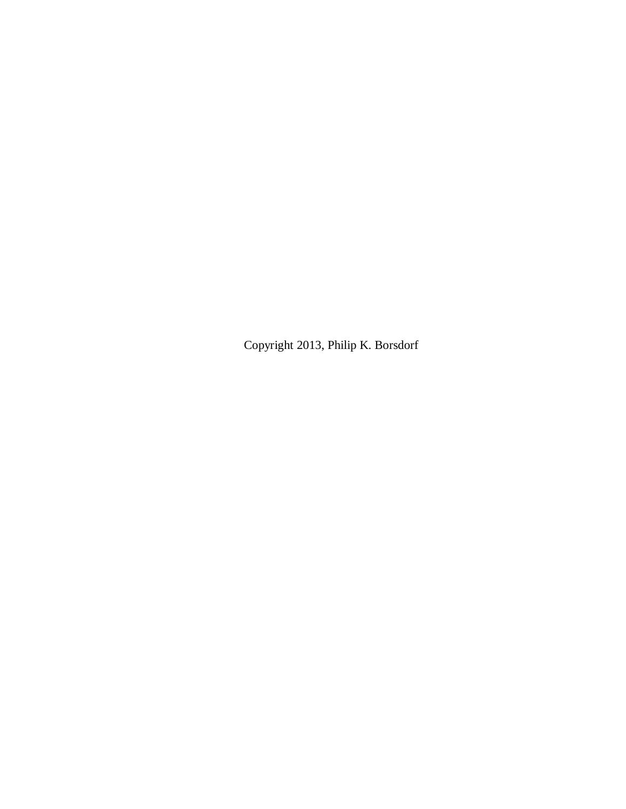Copyright 2013, Philip K. Borsdorf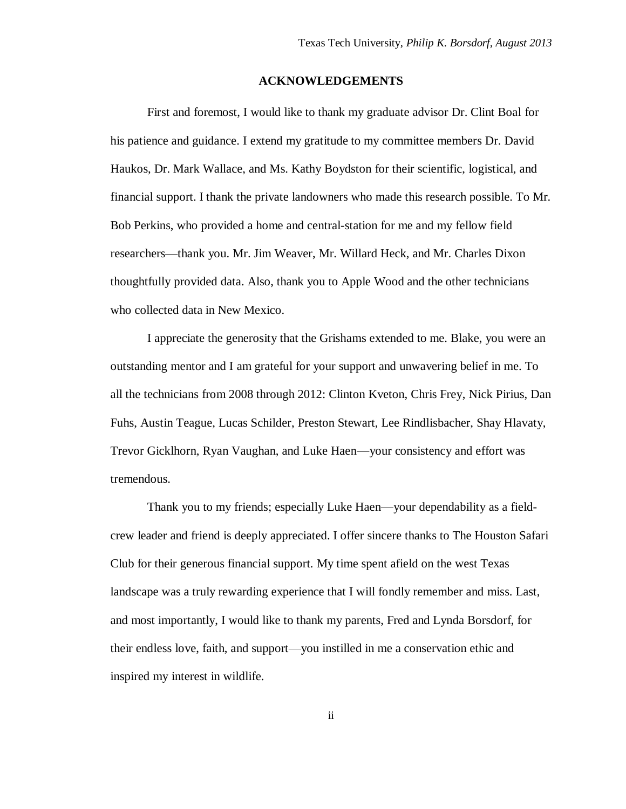#### **ACKNOWLEDGEMENTS**

First and foremost, I would like to thank my graduate advisor Dr. Clint Boal for his patience and guidance. I extend my gratitude to my committee members Dr. David Haukos, Dr. Mark Wallace, and Ms. Kathy Boydston for their scientific, logistical, and financial support. I thank the private landowners who made this research possible. To Mr. Bob Perkins, who provided a home and central-station for me and my fellow field researchers—thank you. Mr. Jim Weaver, Mr. Willard Heck, and Mr. Charles Dixon thoughtfully provided data. Also, thank you to Apple Wood and the other technicians who collected data in New Mexico.

I appreciate the generosity that the Grishams extended to me. Blake, you were an outstanding mentor and I am grateful for your support and unwavering belief in me. To all the technicians from 2008 through 2012: Clinton Kveton, Chris Frey, Nick Pirius, Dan Fuhs, Austin Teague, Lucas Schilder, Preston Stewart, Lee Rindlisbacher, Shay Hlavaty, Trevor Gicklhorn, Ryan Vaughan, and Luke Haen—your consistency and effort was tremendous.

Thank you to my friends; especially Luke Haen—your dependability as a fieldcrew leader and friend is deeply appreciated. I offer sincere thanks to The Houston Safari Club for their generous financial support. My time spent afield on the west Texas landscape was a truly rewarding experience that I will fondly remember and miss. Last, and most importantly, I would like to thank my parents, Fred and Lynda Borsdorf, for their endless love, faith, and support—you instilled in me a conservation ethic and inspired my interest in wildlife.

ii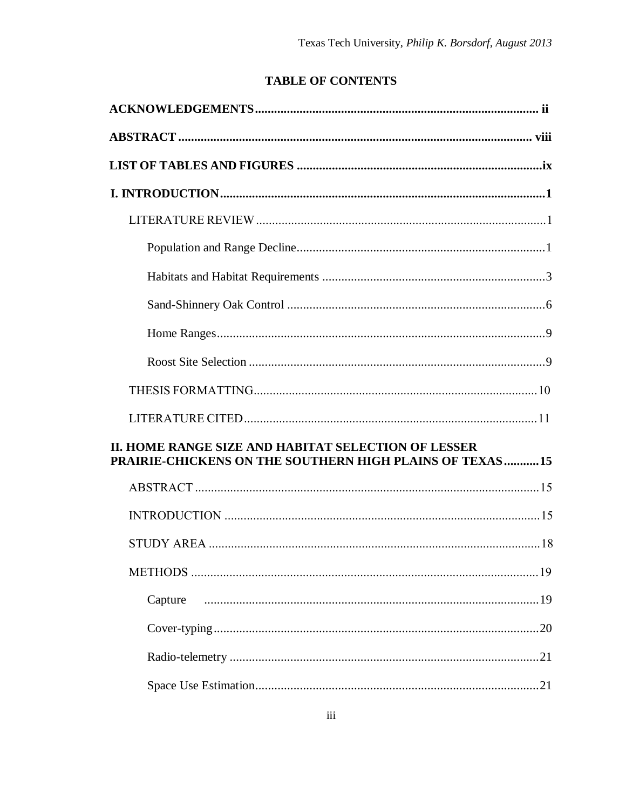# **TABLE OF CONTENTS**

| II. HOME RANGE SIZE AND HABITAT SELECTION OF LESSER<br>PRAIRIE-CHICKENS ON THE SOUTHERN HIGH PLAINS OF TEXAS  15 |  |
|------------------------------------------------------------------------------------------------------------------|--|
|                                                                                                                  |  |
|                                                                                                                  |  |
|                                                                                                                  |  |
|                                                                                                                  |  |
| Capture                                                                                                          |  |
|                                                                                                                  |  |
|                                                                                                                  |  |
|                                                                                                                  |  |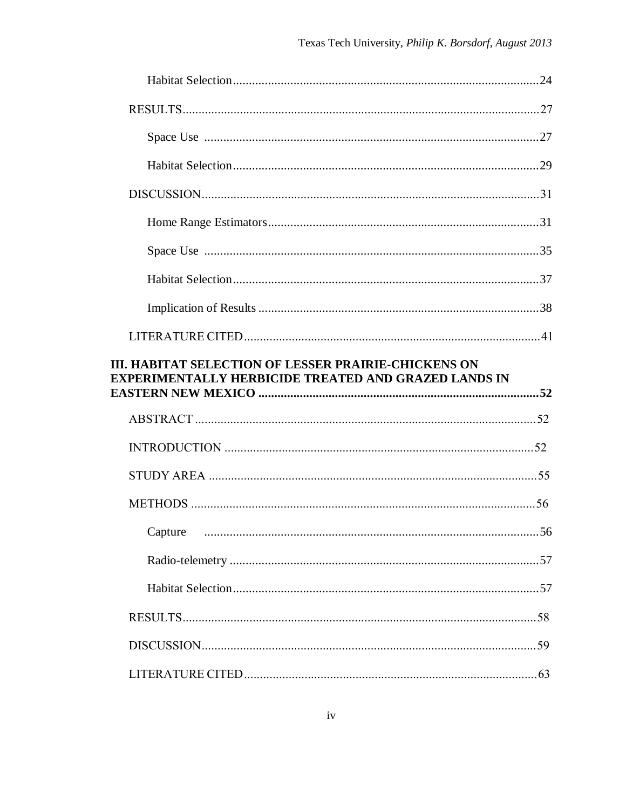| III. HABITAT SELECTION OF LESSER PRAIRIE-CHICKENS ON        |  |
|-------------------------------------------------------------|--|
| <b>EXPERIMENTALLY HERBICIDE TREATED AND GRAZED LANDS IN</b> |  |
|                                                             |  |
|                                                             |  |
|                                                             |  |
|                                                             |  |
| Capture                                                     |  |
|                                                             |  |
|                                                             |  |
|                                                             |  |
|                                                             |  |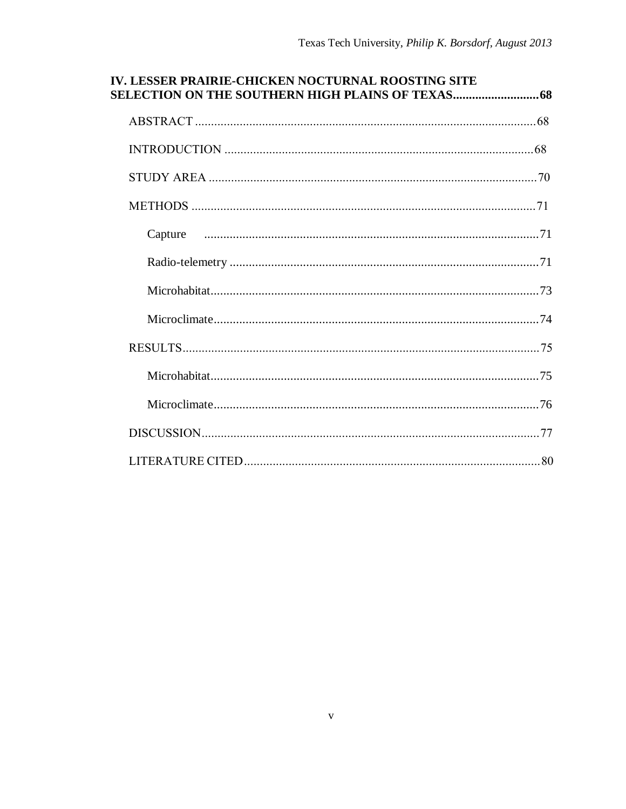| IV. LESSER PRAIRIE-CHICKEN NOCTURNAL ROOSTING SITE |  |
|----------------------------------------------------|--|
|                                                    |  |
|                                                    |  |
|                                                    |  |
|                                                    |  |
| Capture                                            |  |
|                                                    |  |
|                                                    |  |
|                                                    |  |
|                                                    |  |
|                                                    |  |
|                                                    |  |
|                                                    |  |
|                                                    |  |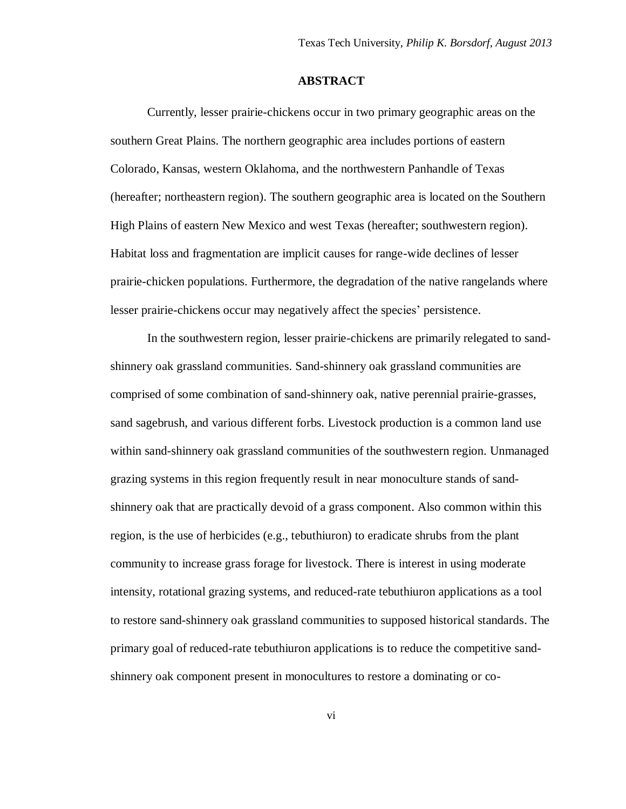#### **ABSTRACT**

<span id="page-6-0"></span>Currently, lesser prairie-chickens occur in two primary geographic areas on the southern Great Plains. The northern geographic area includes portions of eastern Colorado, Kansas, western Oklahoma, and the northwestern Panhandle of Texas (hereafter; northeastern region). The southern geographic area is located on the Southern High Plains of eastern New Mexico and west Texas (hereafter; southwestern region). Habitat loss and fragmentation are implicit causes for range-wide declines of lesser prairie-chicken populations. Furthermore, the degradation of the native rangelands where lesser prairie-chickens occur may negatively affect the species' persistence.

In the southwestern region, lesser prairie-chickens are primarily relegated to sandshinnery oak grassland communities. Sand-shinnery oak grassland communities are comprised of some combination of sand-shinnery oak, native perennial prairie-grasses, sand sagebrush, and various different forbs. Livestock production is a common land use within sand-shinnery oak grassland communities of the southwestern region. Unmanaged grazing systems in this region frequently result in near monoculture stands of sandshinnery oak that are practically devoid of a grass component. Also common within this region, is the use of herbicides (e.g., tebuthiuron) to eradicate shrubs from the plant community to increase grass forage for livestock. There is interest in using moderate intensity, rotational grazing systems, and reduced-rate tebuthiuron applications as a tool to restore sand-shinnery oak grassland communities to supposed historical standards. The primary goal of reduced-rate tebuthiuron applications is to reduce the competitive sandshinnery oak component present in monocultures to restore a dominating or co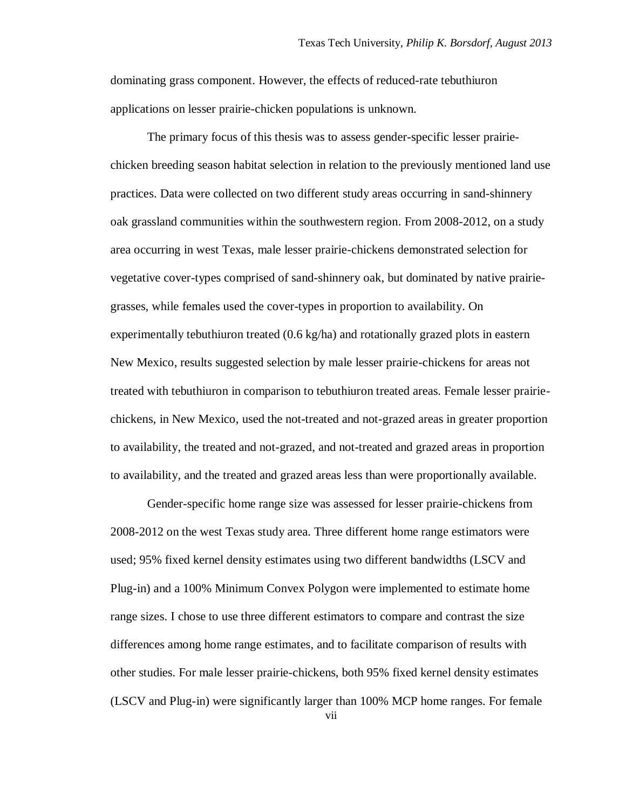dominating grass component. However, the effects of reduced-rate tebuthiuron applications on lesser prairie-chicken populations is unknown.

The primary focus of this thesis was to assess gender-specific lesser prairiechicken breeding season habitat selection in relation to the previously mentioned land use practices. Data were collected on two different study areas occurring in sand-shinnery oak grassland communities within the southwestern region. From 2008-2012, on a study area occurring in west Texas, male lesser prairie-chickens demonstrated selection for vegetative cover-types comprised of sand-shinnery oak, but dominated by native prairiegrasses, while females used the cover-types in proportion to availability. On experimentally tebuthiuron treated (0.6 kg/ha) and rotationally grazed plots in eastern New Mexico, results suggested selection by male lesser prairie-chickens for areas not treated with tebuthiuron in comparison to tebuthiuron treated areas. Female lesser prairiechickens, in New Mexico, used the not-treated and not-grazed areas in greater proportion to availability, the treated and not-grazed, and not-treated and grazed areas in proportion to availability, and the treated and grazed areas less than were proportionally available.

Gender-specific home range size was assessed for lesser prairie-chickens from 2008-2012 on the west Texas study area. Three different home range estimators were used; 95% fixed kernel density estimates using two different bandwidths (LSCV and Plug-in) and a 100% Minimum Convex Polygon were implemented to estimate home range sizes. I chose to use three different estimators to compare and contrast the size differences among home range estimates, and to facilitate comparison of results with other studies. For male lesser prairie-chickens, both 95% fixed kernel density estimates (LSCV and Plug-in) were significantly larger than 100% MCP home ranges. For female

vii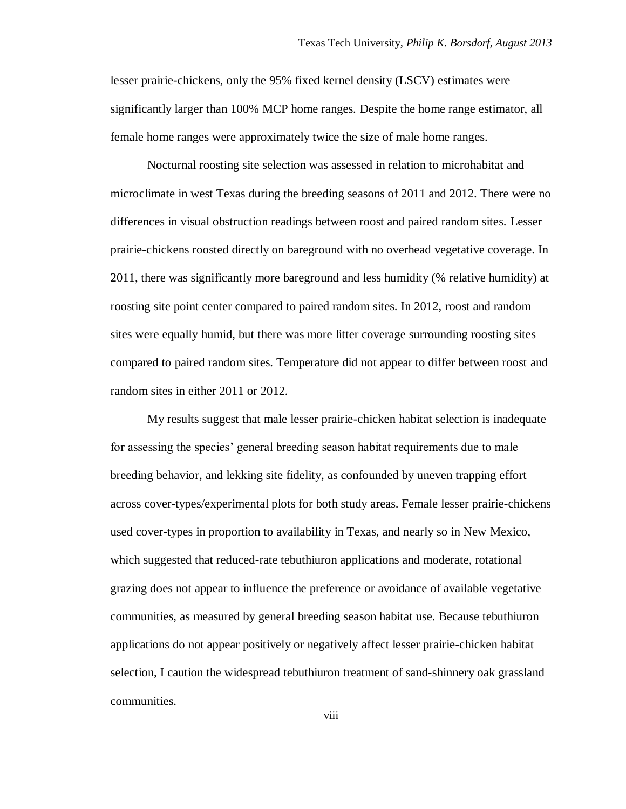lesser prairie-chickens, only the 95% fixed kernel density (LSCV) estimates were significantly larger than 100% MCP home ranges. Despite the home range estimator, all female home ranges were approximately twice the size of male home ranges.

Nocturnal roosting site selection was assessed in relation to microhabitat and microclimate in west Texas during the breeding seasons of 2011 and 2012. There were no differences in visual obstruction readings between roost and paired random sites. Lesser prairie-chickens roosted directly on bareground with no overhead vegetative coverage. In 2011, there was significantly more bareground and less humidity (% relative humidity) at roosting site point center compared to paired random sites. In 2012, roost and random sites were equally humid, but there was more litter coverage surrounding roosting sites compared to paired random sites. Temperature did not appear to differ between roost and random sites in either 2011 or 2012.

My results suggest that male lesser prairie-chicken habitat selection is inadequate for assessing the species' general breeding season habitat requirements due to male breeding behavior, and lekking site fidelity, as confounded by uneven trapping effort across cover-types/experimental plots for both study areas. Female lesser prairie-chickens used cover-types in proportion to availability in Texas, and nearly so in New Mexico, which suggested that reduced-rate tebuthiuron applications and moderate, rotational grazing does not appear to influence the preference or avoidance of available vegetative communities, as measured by general breeding season habitat use. Because tebuthiuron applications do not appear positively or negatively affect lesser prairie-chicken habitat selection, I caution the widespread tebuthiuron treatment of sand-shinnery oak grassland communities.

viii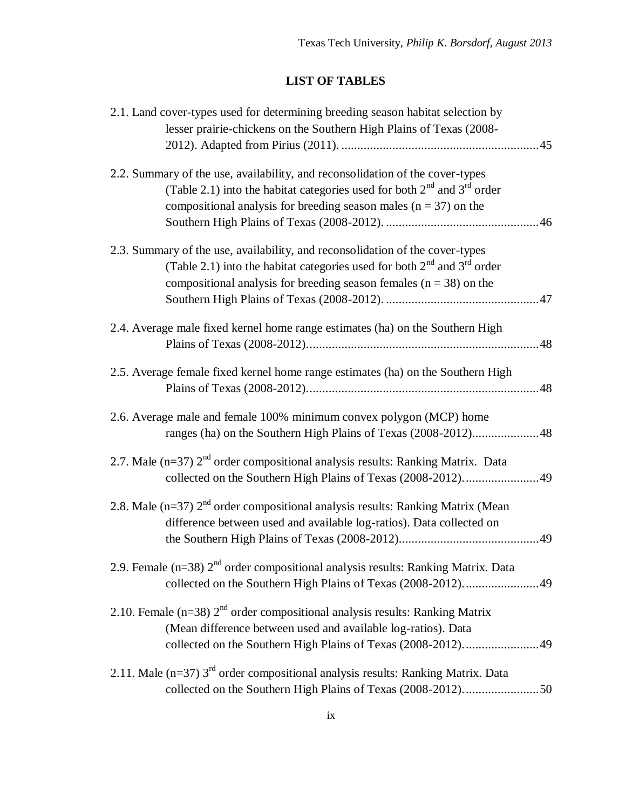# **LIST OF TABLES**

<span id="page-9-0"></span>

| 2.1. Land cover-types used for determining breeding season habitat selection by                                                                                                                                                              |  |
|----------------------------------------------------------------------------------------------------------------------------------------------------------------------------------------------------------------------------------------------|--|
| lesser prairie-chickens on the Southern High Plains of Texas (2008-                                                                                                                                                                          |  |
| 2.2. Summary of the use, availability, and reconsolidation of the cover-types<br>(Table 2.1) into the habitat categories used for both $2^{nd}$ and $3^{rd}$ order<br>compositional analysis for breeding season males $(n = 37)$ on the     |  |
| 2.3. Summary of the use, availability, and reconsolidation of the cover-types<br>(Table 2.1) into the habitat categories used for both $2^{nd}$ and $3^{rd}$ order<br>compositional analysis for breeding season females ( $n = 38$ ) on the |  |
| 2.4. Average male fixed kernel home range estimates (ha) on the Southern High                                                                                                                                                                |  |
| 2.5. Average female fixed kernel home range estimates (ha) on the Southern High                                                                                                                                                              |  |
| 2.6. Average male and female 100% minimum convex polygon (MCP) home<br>ranges (ha) on the Southern High Plains of Texas (2008-2012)48                                                                                                        |  |
| 2.7. Male ( $n=37$ ) $2nd$ order compositional analysis results: Ranking Matrix. Data<br>collected on the Southern High Plains of Texas (2008-2012)49                                                                                        |  |
| 2.8. Male ( $n=37$ ) $2nd$ order compositional analysis results: Ranking Matrix (Mean<br>difference between used and available log-ratios). Data collected on                                                                                |  |
| 2.9. Female ( $n=38$ ) $2nd$ order compositional analysis results: Ranking Matrix. Data<br>collected on the Southern High Plains of Texas (2008-2012)49                                                                                      |  |
| 2.10. Female ( $n=38$ ) $2nd$ order compositional analysis results: Ranking Matrix<br>(Mean difference between used and available log-ratios). Data<br>collected on the Southern High Plains of Texas (2008-2012)49                          |  |
| 2.11. Male ( $n=37$ ) $3rd$ order compositional analysis results: Ranking Matrix. Data<br>collected on the Southern High Plains of Texas (2008-2012)50                                                                                       |  |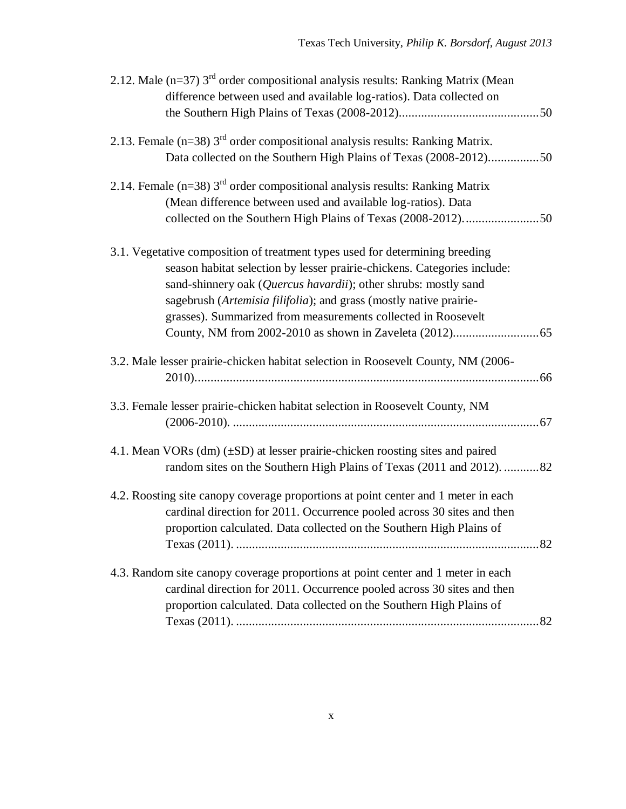| 2.12. Male ( $n=37$ ) $3rd$ order compositional analysis results: Ranking Matrix (Mean<br>difference between used and available log-ratios). Data collected on                                                                                                                                                                                                     |  |
|--------------------------------------------------------------------------------------------------------------------------------------------------------------------------------------------------------------------------------------------------------------------------------------------------------------------------------------------------------------------|--|
|                                                                                                                                                                                                                                                                                                                                                                    |  |
| 2.13. Female ( $n=38$ ) $3rd$ order compositional analysis results: Ranking Matrix.<br>Data collected on the Southern High Plains of Texas (2008-2012)50                                                                                                                                                                                                           |  |
| 2.14. Female ( $n=38$ ) $3rd$ order compositional analysis results: Ranking Matrix<br>(Mean difference between used and available log-ratios). Data                                                                                                                                                                                                                |  |
| 3.1. Vegetative composition of treatment types used for determining breeding<br>season habitat selection by lesser prairie-chickens. Categories include:<br>sand-shinnery oak (Quercus havardii); other shrubs: mostly sand<br>sagebrush (Artemisia filifolia); and grass (mostly native prairie-<br>grasses). Summarized from measurements collected in Roosevelt |  |
| 3.2. Male lesser prairie-chicken habitat selection in Roosevelt County, NM (2006-                                                                                                                                                                                                                                                                                  |  |
| 3.3. Female lesser prairie-chicken habitat selection in Roosevelt County, NM                                                                                                                                                                                                                                                                                       |  |
| 4.1. Mean VORs $(dm)$ ( $\pm SD$ ) at lesser prairie-chicken roosting sites and paired<br>random sites on the Southern High Plains of Texas (2011 and 2012). 82                                                                                                                                                                                                    |  |
| 4.2. Roosting site canopy coverage proportions at point center and 1 meter in each<br>cardinal direction for 2011. Occurrence pooled across 30 sites and then<br>proportion calculated. Data collected on the Southern High Plains of                                                                                                                              |  |
| 4.3. Random site canopy coverage proportions at point center and 1 meter in each<br>cardinal direction for 2011. Occurrence pooled across 30 sites and then<br>proportion calculated. Data collected on the Southern High Plains of                                                                                                                                |  |
|                                                                                                                                                                                                                                                                                                                                                                    |  |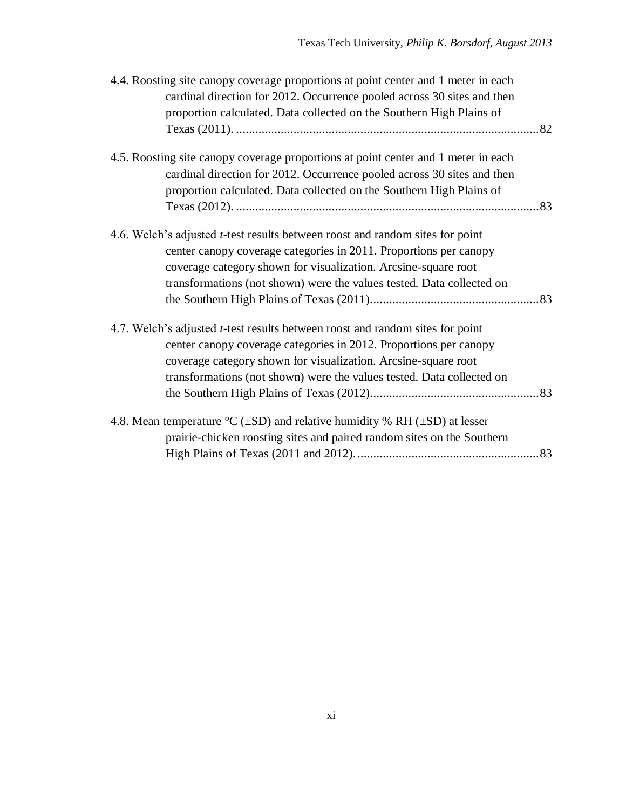| 4.4. Roosting site canopy coverage proportions at point center and 1 meter in each<br>cardinal direction for 2012. Occurrence pooled across 30 sites and then<br>proportion calculated. Data collected on the Southern High Plains of                                                                 |  |
|-------------------------------------------------------------------------------------------------------------------------------------------------------------------------------------------------------------------------------------------------------------------------------------------------------|--|
|                                                                                                                                                                                                                                                                                                       |  |
| 4.5. Roosting site canopy coverage proportions at point center and 1 meter in each<br>cardinal direction for 2012. Occurrence pooled across 30 sites and then                                                                                                                                         |  |
| proportion calculated. Data collected on the Southern High Plains of                                                                                                                                                                                                                                  |  |
| 4.6. Welch's adjusted <i>t</i> -test results between roost and random sites for point<br>center canopy coverage categories in 2011. Proportions per canopy<br>coverage category shown for visualization. Arcsine-square root<br>transformations (not shown) were the values tested. Data collected on |  |
| 4.7. Welch's adjusted <i>t</i> -test results between roost and random sites for point<br>center canopy coverage categories in 2012. Proportions per canopy<br>coverage category shown for visualization. Arcsine-square root<br>transformations (not shown) were the values tested. Data collected on |  |
| 4.8. Mean temperature $\mathrm{C}$ ( $\pm$ SD) and relative humidity % RH ( $\pm$ SD) at lesser<br>prairie-chicken roosting sites and paired random sites on the Southern                                                                                                                             |  |
|                                                                                                                                                                                                                                                                                                       |  |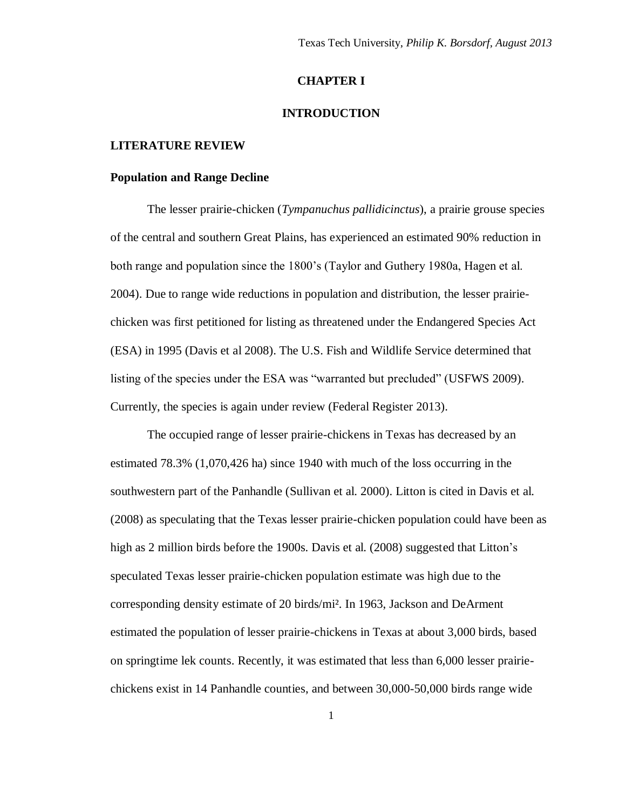#### **CHAPTER I**

## **INTRODUCTION**

#### <span id="page-12-1"></span><span id="page-12-0"></span>**LITERATURE REVIEW**

#### <span id="page-12-2"></span>**Population and Range Decline**

The lesser prairie-chicken (*Tympanuchus pallidicinctus*), a prairie grouse species of the central and southern Great Plains, has experienced an estimated 90% reduction in both range and population since the 1800's (Taylor and Guthery 1980a, Hagen et al. 2004). Due to range wide reductions in population and distribution, the lesser prairiechicken was first petitioned for listing as threatened under the Endangered Species Act (ESA) in 1995 (Davis et al 2008). The U.S. Fish and Wildlife Service determined that listing of the species under the ESA was "warranted but precluded" (USFWS 2009). Currently, the species is again under review (Federal Register 2013).

The occupied range of lesser prairie-chickens in Texas has decreased by an estimated 78.3% (1,070,426 ha) since 1940 with much of the loss occurring in the southwestern part of the Panhandle (Sullivan et al. 2000). Litton is cited in Davis et al. (2008) as speculating that the Texas lesser prairie-chicken population could have been as high as 2 million birds before the 1900s. Davis et al. (2008) suggested that Litton's speculated Texas lesser prairie-chicken population estimate was high due to the corresponding density estimate of 20 birds/mi². In 1963, Jackson and DeArment estimated the population of lesser prairie-chickens in Texas at about 3,000 birds, based on springtime lek counts. Recently, it was estimated that less than 6,000 lesser prairiechickens exist in 14 Panhandle counties, and between 30,000-50,000 birds range wide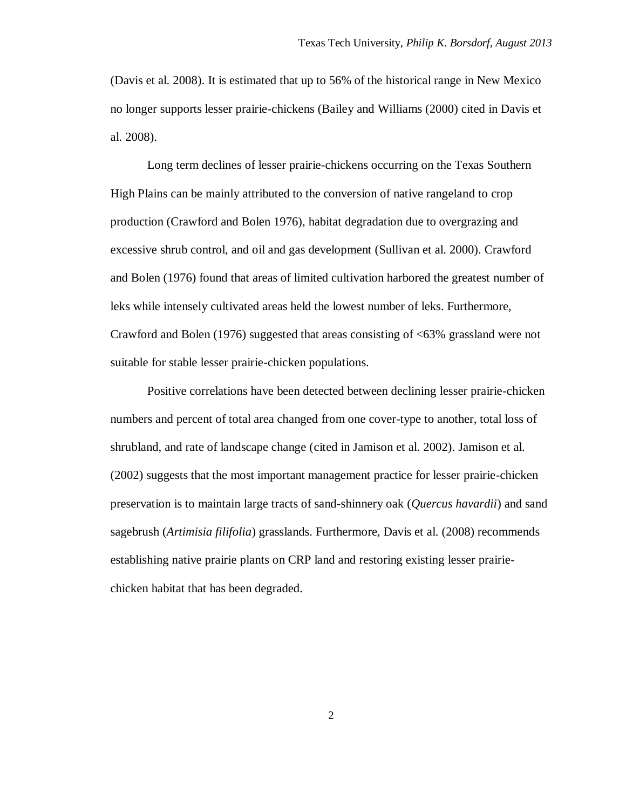(Davis et al. 2008). It is estimated that up to 56% of the historical range in New Mexico no longer supports lesser prairie-chickens (Bailey and Williams (2000) cited in Davis et al. 2008).

Long term declines of lesser prairie-chickens occurring on the Texas Southern High Plains can be mainly attributed to the conversion of native rangeland to crop production (Crawford and Bolen 1976), habitat degradation due to overgrazing and excessive shrub control, and oil and gas development (Sullivan et al. 2000). Crawford and Bolen (1976) found that areas of limited cultivation harbored the greatest number of leks while intensely cultivated areas held the lowest number of leks. Furthermore, Crawford and Bolen (1976) suggested that areas consisting of <63% grassland were not suitable for stable lesser prairie-chicken populations.

Positive correlations have been detected between declining lesser prairie-chicken numbers and percent of total area changed from one cover-type to another, total loss of shrubland, and rate of landscape change (cited in Jamison et al. 2002). Jamison et al. (2002) suggests that the most important management practice for lesser prairie-chicken preservation is to maintain large tracts of sand-shinnery oak (*Quercus havardii*) and sand sagebrush (*Artimisia filifolia*) grasslands. Furthermore, Davis et al. (2008) recommends establishing native prairie plants on CRP land and restoring existing lesser prairiechicken habitat that has been degraded.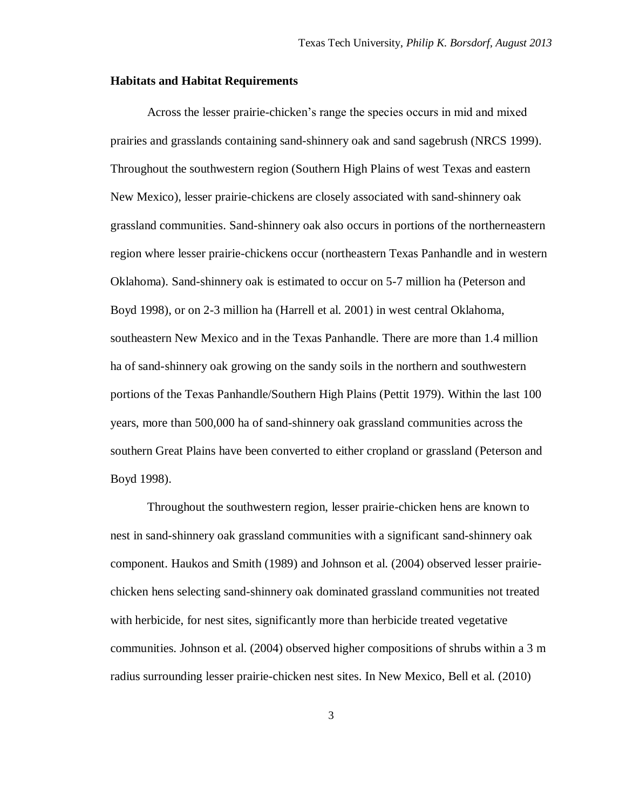#### <span id="page-14-0"></span>**Habitats and Habitat Requirements**

Across the lesser prairie-chicken's range the species occurs in mid and mixed prairies and grasslands containing sand-shinnery oak and sand sagebrush (NRCS 1999). Throughout the southwestern region (Southern High Plains of west Texas and eastern New Mexico), lesser prairie-chickens are closely associated with sand-shinnery oak grassland communities. Sand-shinnery oak also occurs in portions of the northerneastern region where lesser prairie-chickens occur (northeastern Texas Panhandle and in western Oklahoma). Sand-shinnery oak is estimated to occur on 5-7 million ha (Peterson and Boyd 1998), or on 2-3 million ha (Harrell et al. 2001) in west central Oklahoma, southeastern New Mexico and in the Texas Panhandle. There are more than 1.4 million ha of sand-shinnery oak growing on the sandy soils in the northern and southwestern portions of the Texas Panhandle/Southern High Plains (Pettit 1979). Within the last 100 years, more than 500,000 ha of sand-shinnery oak grassland communities across the southern Great Plains have been converted to either cropland or grassland (Peterson and Boyd 1998).

Throughout the southwestern region, lesser prairie-chicken hens are known to nest in sand-shinnery oak grassland communities with a significant sand-shinnery oak component. Haukos and Smith (1989) and Johnson et al. (2004) observed lesser prairiechicken hens selecting sand-shinnery oak dominated grassland communities not treated with herbicide, for nest sites, significantly more than herbicide treated vegetative communities. Johnson et al. (2004) observed higher compositions of shrubs within a 3 m radius surrounding lesser prairie-chicken nest sites. In New Mexico, Bell et al. (2010)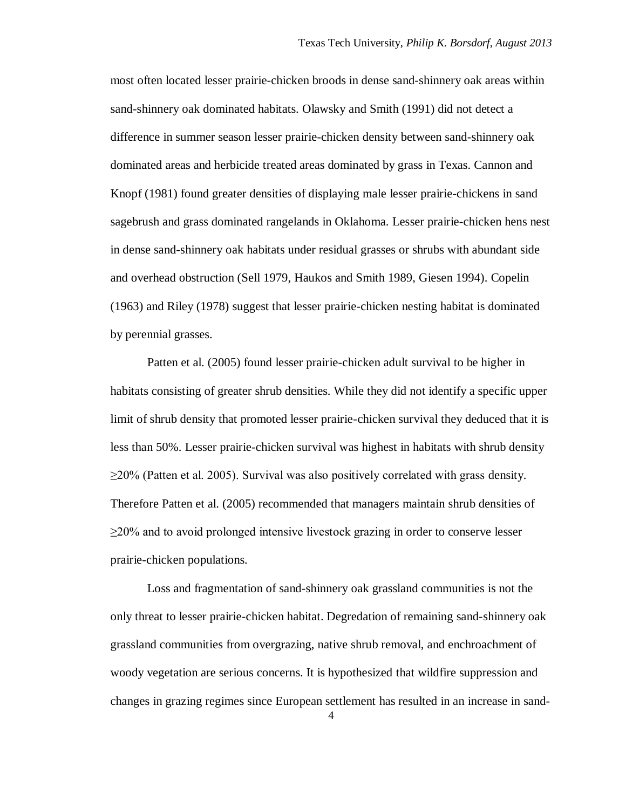most often located lesser prairie-chicken broods in dense sand-shinnery oak areas within sand-shinnery oak dominated habitats. Olawsky and Smith (1991) did not detect a difference in summer season lesser prairie-chicken density between sand-shinnery oak dominated areas and herbicide treated areas dominated by grass in Texas. Cannon and Knopf (1981) found greater densities of displaying male lesser prairie-chickens in sand sagebrush and grass dominated rangelands in Oklahoma. Lesser prairie-chicken hens nest in dense sand-shinnery oak habitats under residual grasses or shrubs with abundant side and overhead obstruction (Sell 1979, Haukos and Smith 1989, Giesen 1994). Copelin (1963) and Riley (1978) suggest that lesser prairie-chicken nesting habitat is dominated by perennial grasses.

Patten et al. (2005) found lesser prairie-chicken adult survival to be higher in habitats consisting of greater shrub densities. While they did not identify a specific upper limit of shrub density that promoted lesser prairie-chicken survival they deduced that it is less than 50%. Lesser prairie-chicken survival was highest in habitats with shrub density  $\geq$ 20% (Patten et al. 2005). Survival was also positively correlated with grass density. Therefore Patten et al. (2005) recommended that managers maintain shrub densities of ≥20% and to avoid prolonged intensive livestock grazing in order to conserve lesser prairie-chicken populations.

Loss and fragmentation of sand-shinnery oak grassland communities is not the only threat to lesser prairie-chicken habitat. Degredation of remaining sand-shinnery oak grassland communities from overgrazing, native shrub removal, and enchroachment of woody vegetation are serious concerns. It is hypothesized that wildfire suppression and changes in grazing regimes since European settlement has resulted in an increase in sand-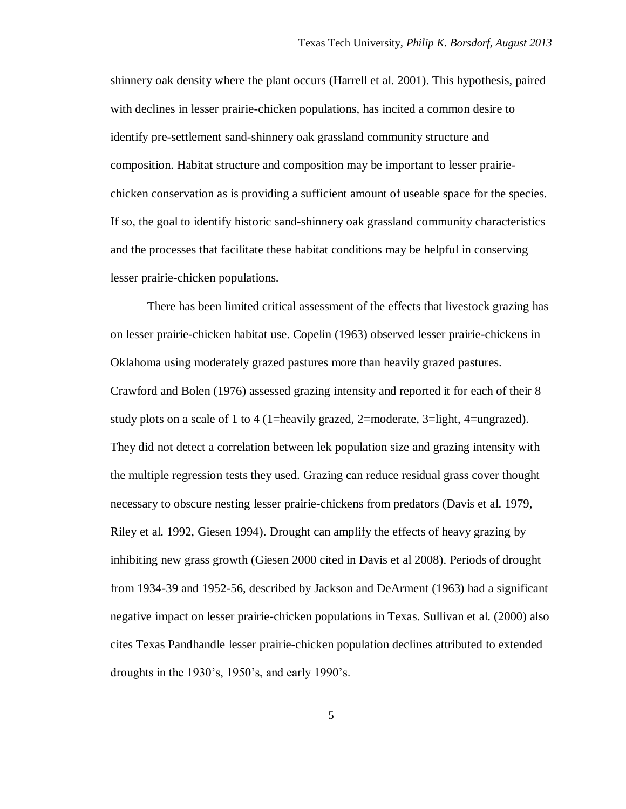shinnery oak density where the plant occurs (Harrell et al. 2001). This hypothesis, paired with declines in lesser prairie-chicken populations, has incited a common desire to identify pre-settlement sand-shinnery oak grassland community structure and composition. Habitat structure and composition may be important to lesser prairiechicken conservation as is providing a sufficient amount of useable space for the species. If so, the goal to identify historic sand-shinnery oak grassland community characteristics and the processes that facilitate these habitat conditions may be helpful in conserving lesser prairie-chicken populations.

There has been limited critical assessment of the effects that livestock grazing has on lesser prairie-chicken habitat use. Copelin (1963) observed lesser prairie-chickens in Oklahoma using moderately grazed pastures more than heavily grazed pastures. Crawford and Bolen (1976) assessed grazing intensity and reported it for each of their 8 study plots on a scale of 1 to 4 (1=heavily grazed, 2=moderate, 3=light, 4=ungrazed). They did not detect a correlation between lek population size and grazing intensity with the multiple regression tests they used. Grazing can reduce residual grass cover thought necessary to obscure nesting lesser prairie-chickens from predators (Davis et al. 1979, Riley et al. 1992, Giesen 1994). Drought can amplify the effects of heavy grazing by inhibiting new grass growth (Giesen 2000 cited in Davis et al 2008). Periods of drought from 1934-39 and 1952-56, described by Jackson and DeArment (1963) had a significant negative impact on lesser prairie-chicken populations in Texas. Sullivan et al. (2000) also cites Texas Pandhandle lesser prairie-chicken population declines attributed to extended droughts in the 1930's, 1950's, and early 1990's.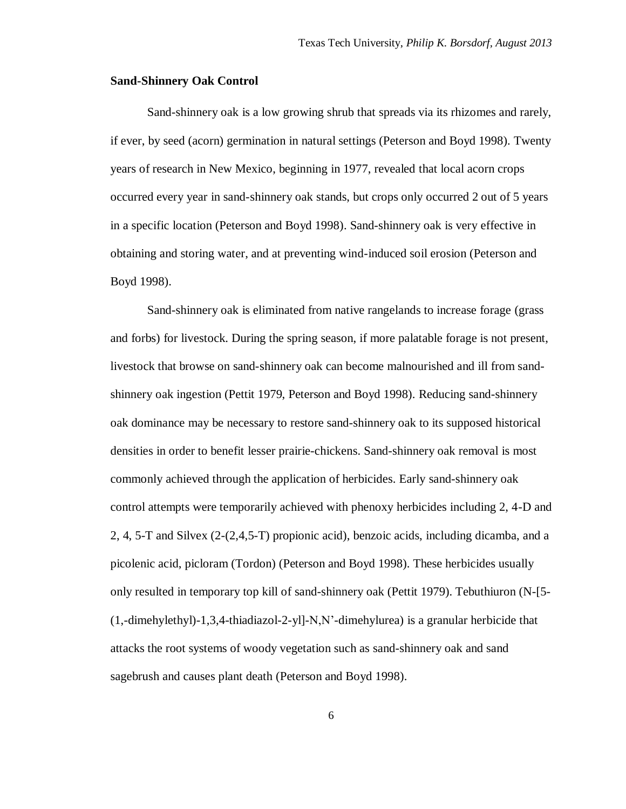#### <span id="page-17-0"></span>**Sand-Shinnery Oak Control**

Sand-shinnery oak is a low growing shrub that spreads via its rhizomes and rarely, if ever, by seed (acorn) germination in natural settings (Peterson and Boyd 1998). Twenty years of research in New Mexico, beginning in 1977, revealed that local acorn crops occurred every year in sand-shinnery oak stands, but crops only occurred 2 out of 5 years in a specific location (Peterson and Boyd 1998). Sand-shinnery oak is very effective in obtaining and storing water, and at preventing wind-induced soil erosion (Peterson and Boyd 1998).

Sand-shinnery oak is eliminated from native rangelands to increase forage (grass and forbs) for livestock. During the spring season, if more palatable forage is not present, livestock that browse on sand-shinnery oak can become malnourished and ill from sandshinnery oak ingestion (Pettit 1979, Peterson and Boyd 1998). Reducing sand-shinnery oak dominance may be necessary to restore sand-shinnery oak to its supposed historical densities in order to benefit lesser prairie-chickens. Sand-shinnery oak removal is most commonly achieved through the application of herbicides. Early sand-shinnery oak control attempts were temporarily achieved with phenoxy herbicides including 2, 4-D and 2, 4, 5-T and Silvex (2-(2,4,5-T) propionic acid), benzoic acids, including dicamba, and a picolenic acid, picloram (Tordon) (Peterson and Boyd 1998). These herbicides usually only resulted in temporary top kill of sand-shinnery oak (Pettit 1979). Tebuthiuron (N-[5- (1,-dimehylethyl)-1,3,4-thiadiazol-2-yl]-N,N'-dimehylurea) is a granular herbicide that attacks the root systems of woody vegetation such as sand-shinnery oak and sand sagebrush and causes plant death (Peterson and Boyd 1998).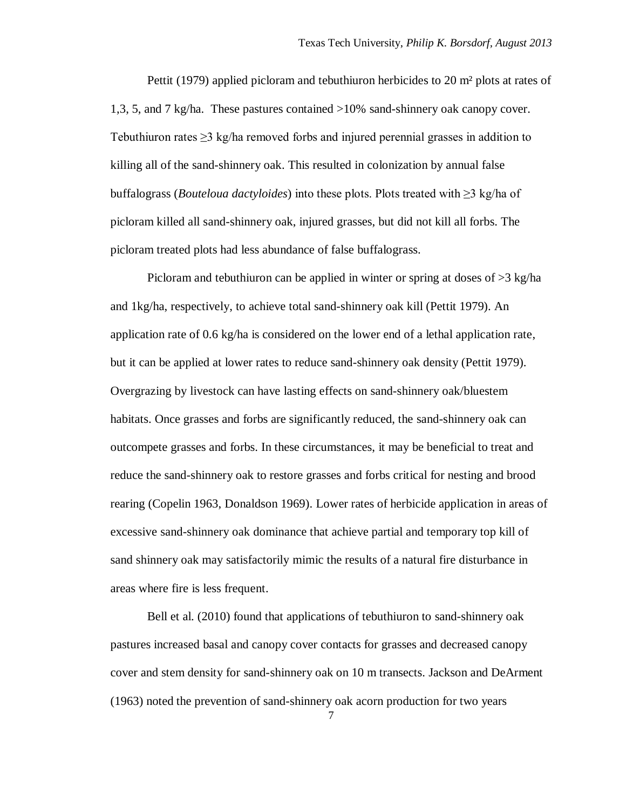Pettit (1979) applied picloram and tebuthiuron herbicides to 20 m² plots at rates of 1,3, 5, and 7 kg/ha. These pastures contained >10% sand-shinnery oak canopy cover. Tebuthiuron rates  $\geq 3$  kg/ha removed forbs and injured perennial grasses in addition to killing all of the sand-shinnery oak. This resulted in colonization by annual false buffalograss (*Bouteloua dactyloides*) into these plots. Plots treated with ≥3 kg/ha of picloram killed all sand-shinnery oak, injured grasses, but did not kill all forbs. The picloram treated plots had less abundance of false buffalograss.

Picloram and tebuthiuron can be applied in winter or spring at doses of  $>3$  kg/ha and 1kg/ha, respectively, to achieve total sand-shinnery oak kill (Pettit 1979). An application rate of 0.6 kg/ha is considered on the lower end of a lethal application rate, but it can be applied at lower rates to reduce sand-shinnery oak density (Pettit 1979). Overgrazing by livestock can have lasting effects on sand-shinnery oak/bluestem habitats. Once grasses and forbs are significantly reduced, the sand-shinnery oak can outcompete grasses and forbs. In these circumstances, it may be beneficial to treat and reduce the sand-shinnery oak to restore grasses and forbs critical for nesting and brood rearing (Copelin 1963, Donaldson 1969). Lower rates of herbicide application in areas of excessive sand-shinnery oak dominance that achieve partial and temporary top kill of sand shinnery oak may satisfactorily mimic the results of a natural fire disturbance in areas where fire is less frequent.

Bell et al. (2010) found that applications of tebuthiuron to sand-shinnery oak pastures increased basal and canopy cover contacts for grasses and decreased canopy cover and stem density for sand-shinnery oak on 10 m transects. Jackson and DeArment (1963) noted the prevention of sand-shinnery oak acorn production for two years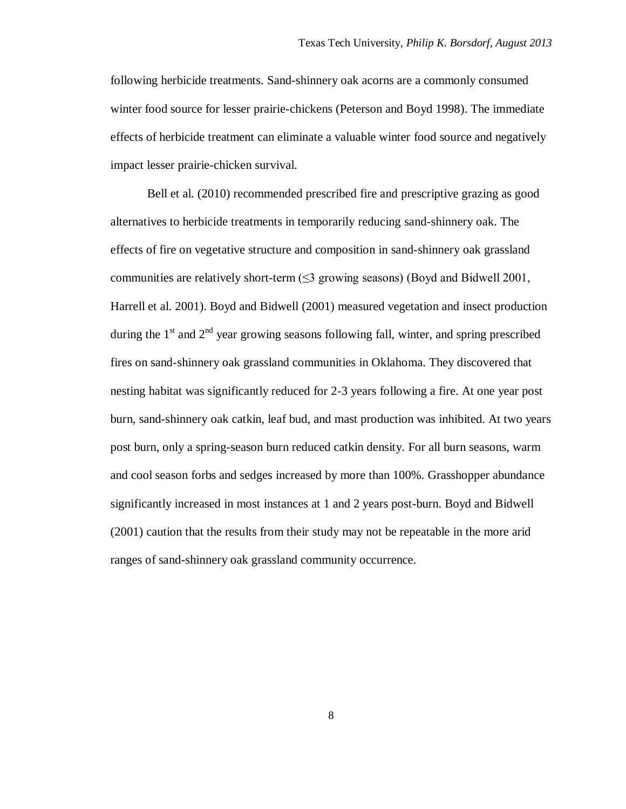following herbicide treatments. Sand-shinnery oak acorns are a commonly consumed winter food source for lesser prairie-chickens (Peterson and Boyd 1998). The immediate effects of herbicide treatment can eliminate a valuable winter food source and negatively impact lesser prairie-chicken survival.

Bell et al. (2010) recommended prescribed fire and prescriptive grazing as good alternatives to herbicide treatments in temporarily reducing sand-shinnery oak. The effects of fire on vegetative structure and composition in sand-shinnery oak grassland communities are relatively short-term  $(\leq 3$  growing seasons) (Boyd and Bidwell 2001, Harrell et al. 2001). Boyd and Bidwell (2001) measured vegetation and insect production during the  $1<sup>st</sup>$  and  $2<sup>nd</sup>$  year growing seasons following fall, winter, and spring prescribed fires on sand-shinnery oak grassland communities in Oklahoma. They discovered that nesting habitat was significantly reduced for 2-3 years following a fire. At one year post burn, sand-shinnery oak catkin, leaf bud, and mast production was inhibited. At two years post burn, only a spring-season burn reduced catkin density. For all burn seasons, warm and cool season forbs and sedges increased by more than 100%. Grasshopper abundance significantly increased in most instances at 1 and 2 years post-burn. Boyd and Bidwell (2001) caution that the results from their study may not be repeatable in the more arid ranges of sand-shinnery oak grassland community occurrence.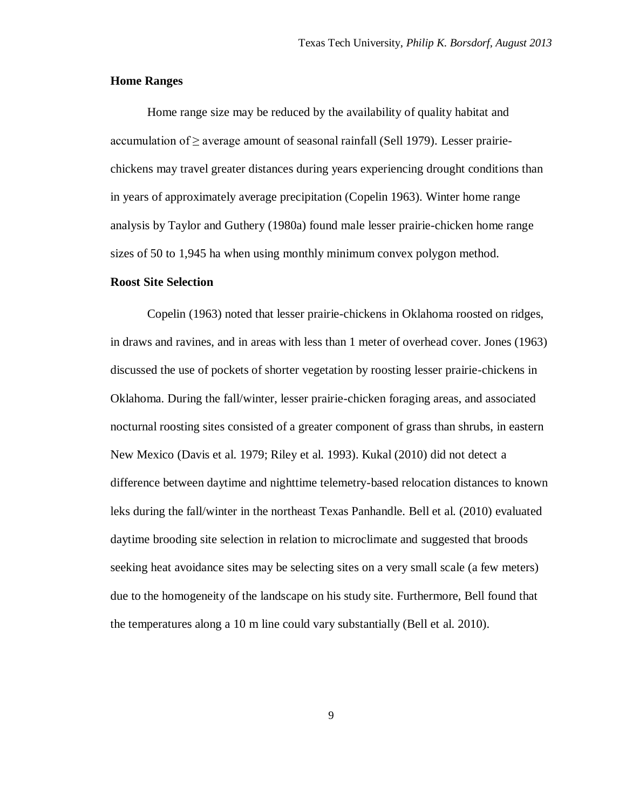#### <span id="page-20-0"></span>**Home Ranges**

Home range size may be reduced by the availability of quality habitat and accumulation of  $\geq$  average amount of seasonal rainfall (Sell 1979). Lesser prairiechickens may travel greater distances during years experiencing drought conditions than in years of approximately average precipitation (Copelin 1963). Winter home range analysis by Taylor and Guthery (1980a) found male lesser prairie-chicken home range sizes of 50 to 1,945 ha when using monthly minimum convex polygon method.

### <span id="page-20-1"></span>**Roost Site Selection**

<span id="page-20-2"></span>Copelin (1963) noted that lesser prairie-chickens in Oklahoma roosted on ridges, in draws and ravines, and in areas with less than 1 meter of overhead cover. Jones (1963) discussed the use of pockets of shorter vegetation by roosting lesser prairie-chickens in Oklahoma. During the fall/winter, lesser prairie-chicken foraging areas, and associated nocturnal roosting sites consisted of a greater component of grass than shrubs, in eastern New Mexico (Davis et al. 1979; Riley et al. 1993). Kukal (2010) did not detect a difference between daytime and nighttime telemetry-based relocation distances to known leks during the fall/winter in the northeast Texas Panhandle. Bell et al. (2010) evaluated daytime brooding site selection in relation to microclimate and suggested that broods seeking heat avoidance sites may be selecting sites on a very small scale (a few meters) due to the homogeneity of the landscape on his study site. Furthermore, Bell found that the temperatures along a 10 m line could vary substantially (Bell et al. 2010).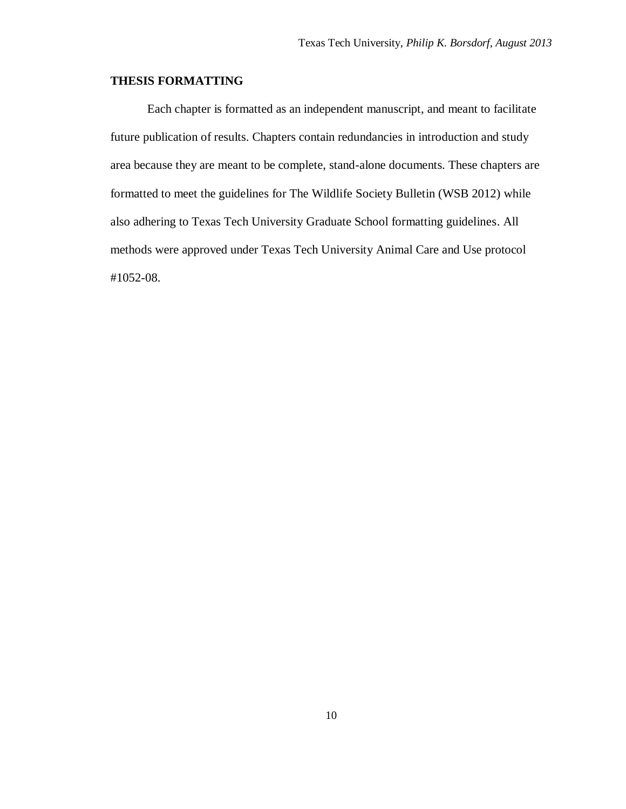# **THESIS FORMATTING**

Each chapter is formatted as an independent manuscript, and meant to facilitate future publication of results. Chapters contain redundancies in introduction and study area because they are meant to be complete, stand-alone documents. These chapters are formatted to meet the guidelines for The Wildlife Society Bulletin (WSB 2012) while also adhering to Texas Tech University Graduate School formatting guidelines. All methods were approved under Texas Tech University Animal Care and Use protocol #1052-08.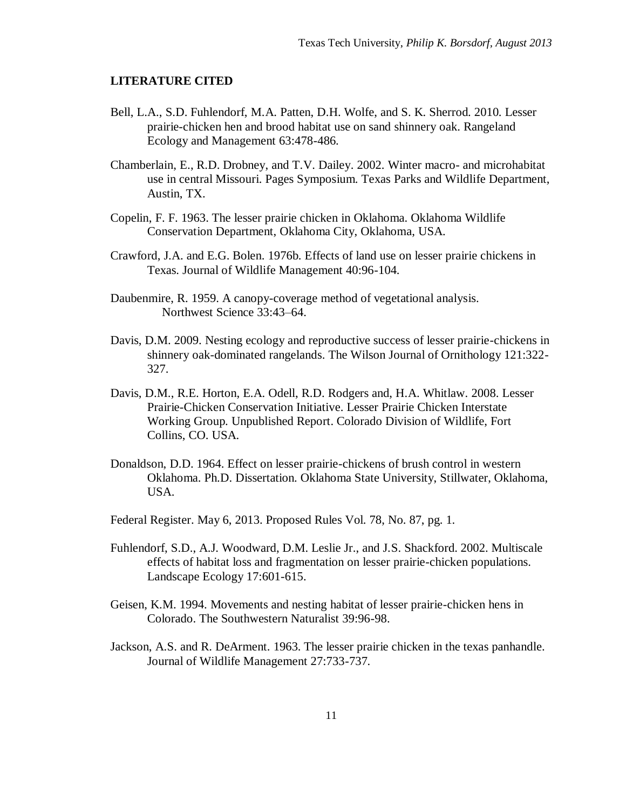#### <span id="page-22-0"></span>**LITERATURE CITED**

- Bell, L.A., S.D. Fuhlendorf, M.A. Patten, D.H. Wolfe, and S. K. Sherrod. 2010. Lesser prairie-chicken hen and brood habitat use on sand shinnery oak. Rangeland Ecology and Management 63:478-486.
- Chamberlain, E., R.D. Drobney, and T.V. Dailey. 2002. Winter macro- and microhabitat use in central Missouri. Pages Symposium. Texas Parks and Wildlife Department, Austin, TX.
- Copelin, F. F. 1963. The lesser prairie chicken in Oklahoma. Oklahoma Wildlife Conservation Department, Oklahoma City, Oklahoma, USA.
- Crawford, J.A. and E.G. Bolen. 1976b. Effects of land use on lesser prairie chickens in Texas. Journal of Wildlife Management 40:96-104.
- Daubenmire, R. 1959. A canopy-coverage method of vegetational analysis. Northwest Science 33:43–64.
- Davis, D.M. 2009. Nesting ecology and reproductive success of lesser prairie-chickens in shinnery oak-dominated rangelands. The Wilson Journal of Ornithology 121:322- 327.
- Davis, D.M., R.E. Horton, E.A. Odell, R.D. Rodgers and, H.A. Whitlaw. 2008. Lesser Prairie-Chicken Conservation Initiative. Lesser Prairie Chicken Interstate Working Group. Unpublished Report. Colorado Division of Wildlife, Fort Collins, CO. USA.
- Donaldson, D.D. 1964. Effect on lesser prairie-chickens of brush control in western Oklahoma. Ph.D. Dissertation. Oklahoma State University, Stillwater, Oklahoma, USA.
- Federal Register. May 6, 2013. Proposed Rules Vol. 78, No. 87, pg. 1.
- Fuhlendorf, S.D., A.J. Woodward, D.M. Leslie Jr., and J.S. Shackford. 2002. Multiscale effects of habitat loss and fragmentation on lesser prairie-chicken populations. Landscape Ecology 17:601-615.
- Geisen, K.M. 1994. Movements and nesting habitat of lesser prairie-chicken hens in Colorado. The Southwestern Naturalist 39:96-98.
- Jackson, A.S. and R. DeArment. 1963. The lesser prairie chicken in the texas panhandle. Journal of Wildlife Management 27:733-737.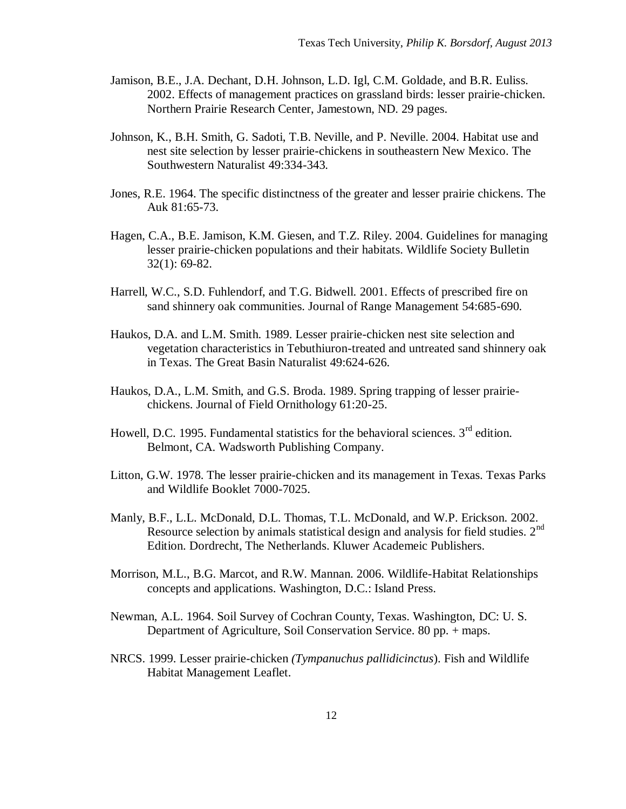- Jamison, B.E., J.A. Dechant, D.H. Johnson, L.D. Igl, C.M. Goldade, and B.R. Euliss. 2002. Effects of management practices on grassland birds: lesser prairie-chicken. Northern Prairie Research Center, Jamestown, ND. 29 pages.
- Johnson, K., B.H. Smith, G. Sadoti, T.B. Neville, and P. Neville. 2004. Habitat use and nest site selection by lesser prairie-chickens in southeastern New Mexico. The Southwestern Naturalist 49:334-343.
- Jones, R.E. 1964. The specific distinctness of the greater and lesser prairie chickens. The Auk 81:65-73.
- Hagen, C.A., B.E. Jamison, K.M. Giesen, and T.Z. Riley. 2004. Guidelines for managing lesser prairie-chicken populations and their habitats. Wildlife Society Bulletin 32(1): 69-82.
- Harrell, W.C., S.D. Fuhlendorf, and T.G. Bidwell. 2001. Effects of prescribed fire on sand shinnery oak communities. Journal of Range Management 54:685-690.
- Haukos, D.A. and L.M. Smith. 1989. Lesser prairie-chicken nest site selection and vegetation characteristics in Tebuthiuron-treated and untreated sand shinnery oak in Texas. The Great Basin Naturalist 49:624-626.
- Haukos, D.A., L.M. Smith, and G.S. Broda. 1989. Spring trapping of lesser prairiechickens. Journal of Field Ornithology 61:20-25.
- Howell, D.C. 1995. Fundamental statistics for the behavioral sciences.  $3<sup>rd</sup>$  edition. Belmont, CA. Wadsworth Publishing Company.
- Litton, G.W. 1978. The lesser prairie-chicken and its management in Texas. Texas Parks and Wildlife Booklet 7000-7025.
- Manly, B.F., L.L. McDonald, D.L. Thomas, T.L. McDonald, and W.P. Erickson. 2002. Resource selection by animals statistical design and analysis for field studies. 2<sup>nd</sup> Edition. Dordrecht, The Netherlands. Kluwer Academeic Publishers.
- Morrison, M.L., B.G. Marcot, and R.W. Mannan. 2006. Wildlife-Habitat Relationships concepts and applications. Washington, D.C.: Island Press.
- Newman, A.L. 1964. Soil Survey of Cochran County, Texas. Washington, DC: U. S. Department of Agriculture, Soil Conservation Service. 80 pp. + maps.
- NRCS. 1999. Lesser prairie-chicken *(Tympanuchus pallidicinctus*). Fish and Wildlife Habitat Management Leaflet.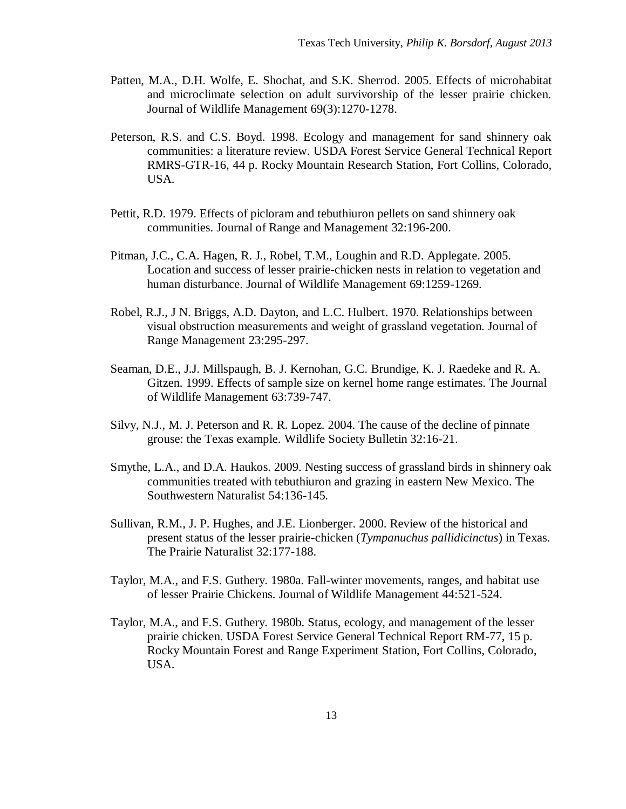- Patten, M.A., D.H. Wolfe, E. Shochat, and S.K. Sherrod. 2005. Effects of microhabitat and microclimate selection on adult survivorship of the lesser prairie chicken. Journal of Wildlife Management 69(3):1270-1278.
- Peterson, R.S. and C.S. Boyd. 1998. Ecology and management for sand shinnery oak communities: a literature review. USDA Forest Service General Technical Report RMRS-GTR-16, 44 p. Rocky Mountain Research Station, Fort Collins, Colorado, USA.
- Pettit, R.D. 1979. Effects of picloram and tebuthiuron pellets on sand shinnery oak communities. Journal of Range and Management 32:196-200.
- Pitman, J.C., C.A. Hagen, R. J., Robel, T.M., Loughin and R.D. Applegate. 2005. Location and success of lesser prairie-chicken nests in relation to vegetation and human disturbance. Journal of Wildlife Management 69:1259-1269.
- Robel, R.J., J N. Briggs, A.D. Dayton, and L.C. Hulbert. 1970. Relationships between visual obstruction measurements and weight of grassland vegetation. Journal of Range Management 23:295-297.
- Seaman, D.E., J.J. Millspaugh, B. J. Kernohan, G.C. Brundige, K. J. Raedeke and R. A. Gitzen. 1999. Effects of sample size on kernel home range estimates. The Journal of Wildlife Management 63:739-747.
- Silvy, N.J., M. J. Peterson and R. R. Lopez. 2004. The cause of the decline of pinnate grouse: the Texas example. Wildlife Society Bulletin 32:16-21.
- Smythe, L.A., and D.A. Haukos. 2009. Nesting success of grassland birds in shinnery oak communities treated with tebuthiuron and grazing in eastern New Mexico. The Southwestern Naturalist 54:136-145.
- Sullivan, R.M., J. P. Hughes, and J.E. Lionberger. 2000. Review of the historical and present status of the lesser prairie-chicken (*Tympanuchus pallidicinctus*) in Texas. The Prairie Naturalist 32:177-188.
- Taylor, M.A., and F.S. Guthery. 1980a. Fall-winter movements, ranges, and habitat use of lesser Prairie Chickens. Journal of Wildlife Management 44:521-524.
- Taylor, M.A., and F.S. Guthery. 1980b. Status, ecology, and management of the lesser prairie chicken. USDA Forest Service General Technical Report RM-77, 15 p. Rocky Mountain Forest and Range Experiment Station, Fort Collins, Colorado, USA.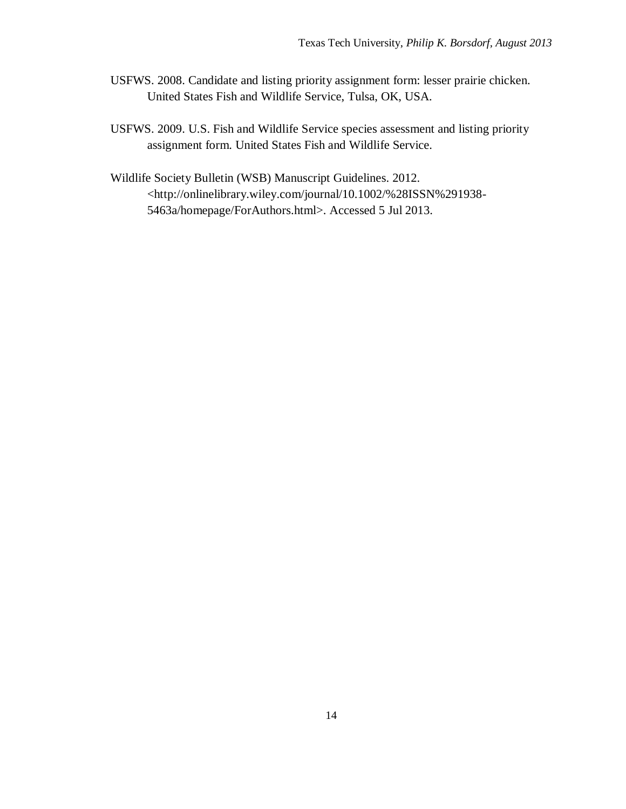- USFWS. 2008. Candidate and listing priority assignment form: lesser prairie chicken. United States Fish and Wildlife Service, Tulsa, OK, USA.
- USFWS. 2009. U.S. Fish and Wildlife Service species assessment and listing priority assignment form. United States Fish and Wildlife Service.
- Wildlife Society Bulletin (WSB) Manuscript Guidelines. 2012. <http://onlinelibrary.wiley.com/journal/10.1002/%28ISSN%291938- 5463a/homepage/ForAuthors.html>. Accessed 5 Jul 2013.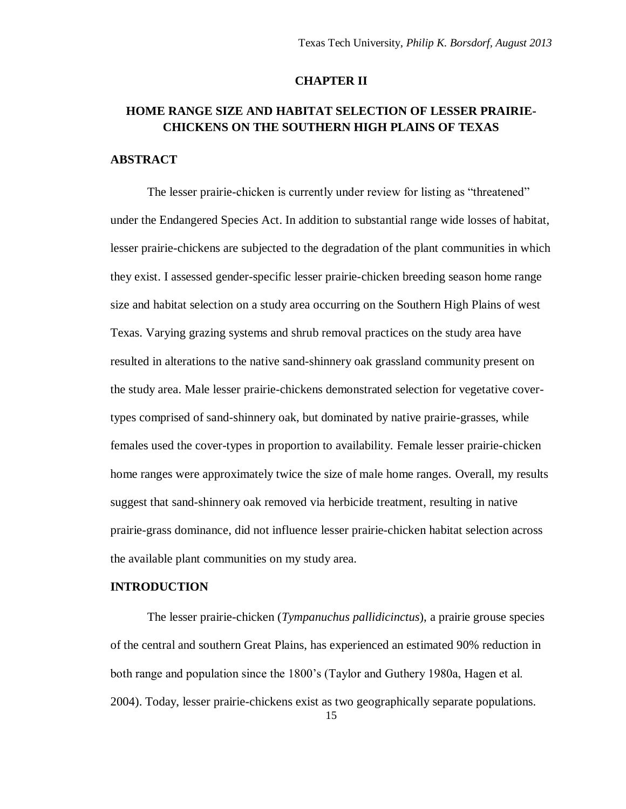#### **CHAPTER II**

# <span id="page-26-0"></span>**HOME RANGE SIZE AND HABITAT SELECTION OF LESSER PRAIRIE-CHICKENS ON THE SOUTHERN HIGH PLAINS OF TEXAS**

## <span id="page-26-1"></span>**ABSTRACT**

The lesser prairie-chicken is currently under review for listing as "threatened" under the Endangered Species Act. In addition to substantial range wide losses of habitat, lesser prairie-chickens are subjected to the degradation of the plant communities in which they exist. I assessed gender-specific lesser prairie-chicken breeding season home range size and habitat selection on a study area occurring on the Southern High Plains of west Texas. Varying grazing systems and shrub removal practices on the study area have resulted in alterations to the native sand-shinnery oak grassland community present on the study area. Male lesser prairie-chickens demonstrated selection for vegetative covertypes comprised of sand-shinnery oak, but dominated by native prairie-grasses, while females used the cover-types in proportion to availability. Female lesser prairie-chicken home ranges were approximately twice the size of male home ranges. Overall, my results suggest that sand-shinnery oak removed via herbicide treatment, resulting in native prairie-grass dominance, did not influence lesser prairie-chicken habitat selection across the available plant communities on my study area.

## <span id="page-26-2"></span>**INTRODUCTION**

The lesser prairie-chicken (*Tympanuchus pallidicinctus*), a prairie grouse species of the central and southern Great Plains, has experienced an estimated 90% reduction in both range and population since the 1800's (Taylor and Guthery 1980a, Hagen et al. 2004). Today, lesser prairie-chickens exist as two geographically separate populations.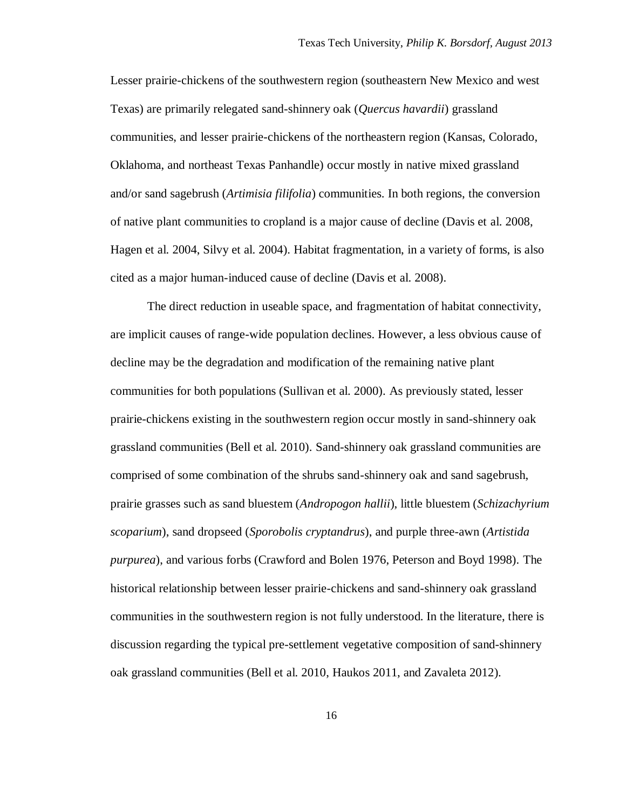Lesser prairie-chickens of the southwestern region (southeastern New Mexico and west Texas) are primarily relegated sand-shinnery oak (*Quercus havardii*) grassland communities, and lesser prairie-chickens of the northeastern region (Kansas, Colorado, Oklahoma, and northeast Texas Panhandle) occur mostly in native mixed grassland and/or sand sagebrush (*Artimisia filifolia*) communities. In both regions, the conversion of native plant communities to cropland is a major cause of decline (Davis et al. 2008, Hagen et al. 2004, Silvy et al. 2004). Habitat fragmentation, in a variety of forms, is also cited as a major human-induced cause of decline (Davis et al. 2008).

The direct reduction in useable space, and fragmentation of habitat connectivity, are implicit causes of range-wide population declines. However, a less obvious cause of decline may be the degradation and modification of the remaining native plant communities for both populations (Sullivan et al. 2000). As previously stated, lesser prairie-chickens existing in the southwestern region occur mostly in sand-shinnery oak grassland communities (Bell et al. 2010). Sand-shinnery oak grassland communities are comprised of some combination of the shrubs sand-shinnery oak and sand sagebrush, prairie grasses such as sand bluestem (*Andropogon hallii*), little bluestem (*Schizachyrium scoparium*), sand dropseed (*Sporobolis cryptandrus*), and purple three-awn (*Artistida purpurea*), and various forbs (Crawford and Bolen 1976, Peterson and Boyd 1998). The historical relationship between lesser prairie-chickens and sand-shinnery oak grassland communities in the southwestern region is not fully understood. In the literature, there is discussion regarding the typical pre-settlement vegetative composition of sand-shinnery oak grassland communities (Bell et al. 2010, Haukos 2011, and Zavaleta 2012).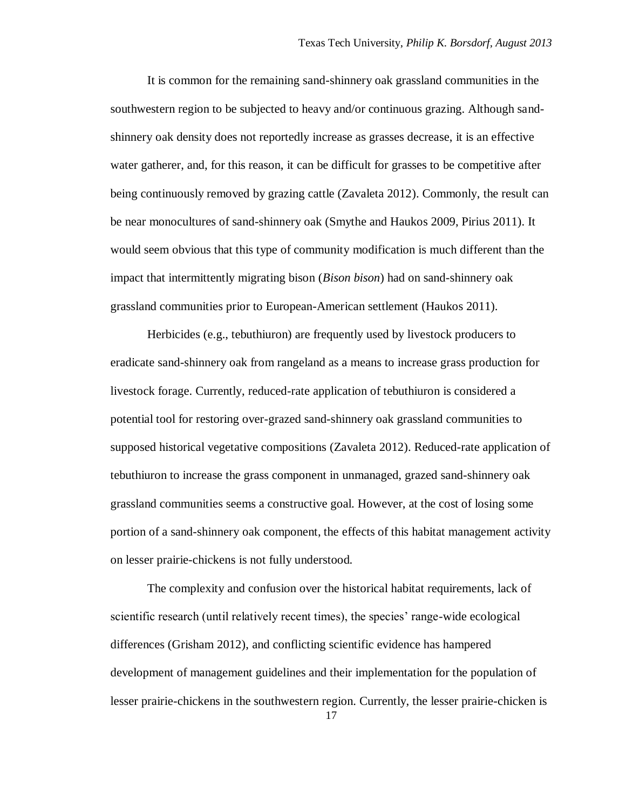It is common for the remaining sand-shinnery oak grassland communities in the southwestern region to be subjected to heavy and/or continuous grazing. Although sandshinnery oak density does not reportedly increase as grasses decrease, it is an effective water gatherer, and, for this reason, it can be difficult for grasses to be competitive after being continuously removed by grazing cattle (Zavaleta 2012). Commonly, the result can be near monocultures of sand-shinnery oak (Smythe and Haukos 2009, Pirius 2011). It would seem obvious that this type of community modification is much different than the impact that intermittently migrating bison (*Bison bison*) had on sand-shinnery oak grassland communities prior to European-American settlement (Haukos 2011).

Herbicides (e.g., tebuthiuron) are frequently used by livestock producers to eradicate sand-shinnery oak from rangeland as a means to increase grass production for livestock forage. Currently, reduced-rate application of tebuthiuron is considered a potential tool for restoring over-grazed sand-shinnery oak grassland communities to supposed historical vegetative compositions (Zavaleta 2012). Reduced-rate application of tebuthiuron to increase the grass component in unmanaged, grazed sand-shinnery oak grassland communities seems a constructive goal. However, at the cost of losing some portion of a sand-shinnery oak component, the effects of this habitat management activity on lesser prairie-chickens is not fully understood.

The complexity and confusion over the historical habitat requirements, lack of scientific research (until relatively recent times), the species' range-wide ecological differences (Grisham 2012), and conflicting scientific evidence has hampered development of management guidelines and their implementation for the population of lesser prairie-chickens in the southwestern region. Currently, the lesser prairie-chicken is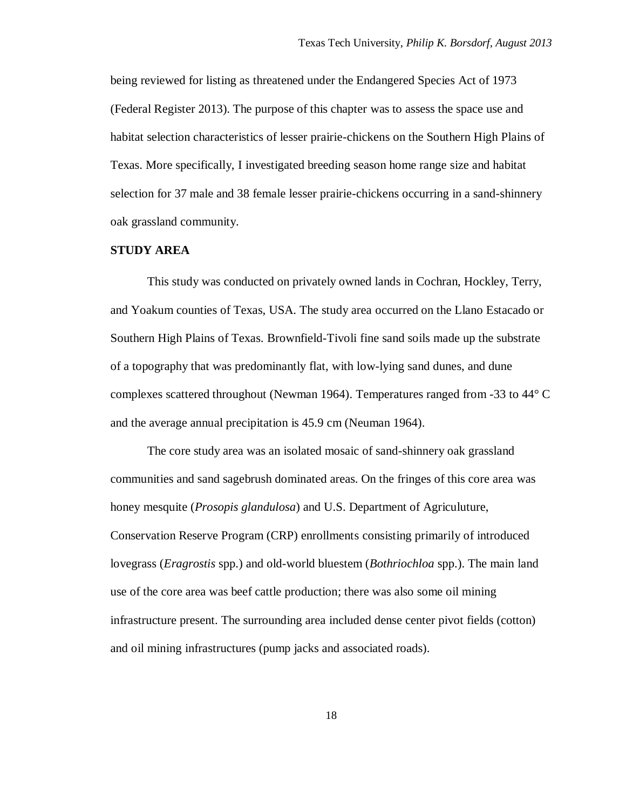being reviewed for listing as threatened under the Endangered Species Act of 1973 (Federal Register 2013). The purpose of this chapter was to assess the space use and habitat selection characteristics of lesser prairie-chickens on the Southern High Plains of Texas. More specifically, I investigated breeding season home range size and habitat selection for 37 male and 38 female lesser prairie-chickens occurring in a sand-shinnery oak grassland community.

### <span id="page-29-0"></span>**STUDY AREA**

This study was conducted on privately owned lands in Cochran, Hockley, Terry, and Yoakum counties of Texas, USA. The study area occurred on the Llano Estacado or Southern High Plains of Texas. Brownfield-Tivoli fine sand soils made up the substrate of a topography that was predominantly flat, with low-lying sand dunes, and dune complexes scattered throughout (Newman 1964). Temperatures ranged from -33 to 44° C and the average annual precipitation is 45.9 cm (Neuman 1964).

The core study area was an isolated mosaic of sand-shinnery oak grassland communities and sand sagebrush dominated areas. On the fringes of this core area was honey mesquite (*Prosopis glandulosa*) and U.S. Department of Agriculuture, Conservation Reserve Program (CRP) enrollments consisting primarily of introduced lovegrass (*Eragrostis* spp.) and old-world bluestem (*Bothriochloa* spp.). The main land use of the core area was beef cattle production; there was also some oil mining infrastructure present. The surrounding area included dense center pivot fields (cotton) and oil mining infrastructures (pump jacks and associated roads).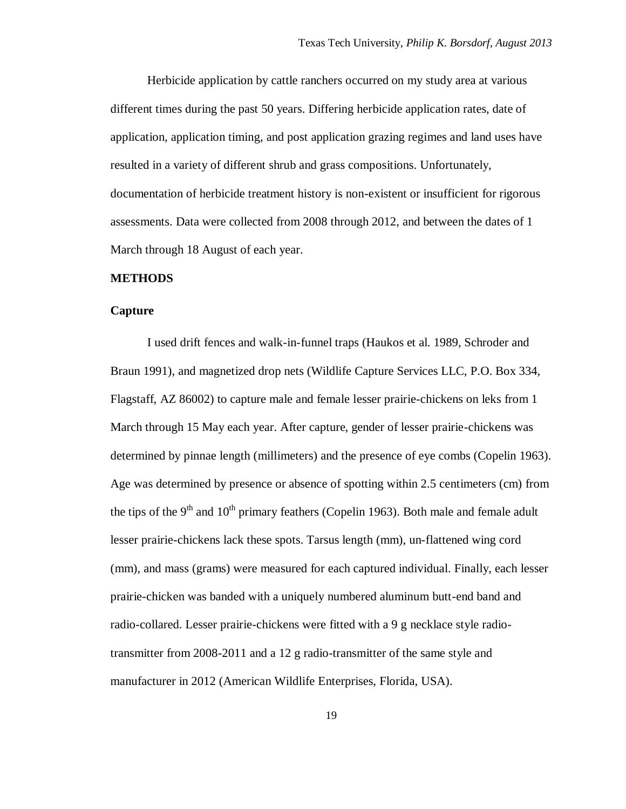Herbicide application by cattle ranchers occurred on my study area at various different times during the past 50 years. Differing herbicide application rates, date of application, application timing, and post application grazing regimes and land uses have resulted in a variety of different shrub and grass compositions. Unfortunately, documentation of herbicide treatment history is non-existent or insufficient for rigorous assessments. Data were collected from 2008 through 2012, and between the dates of 1 March through 18 August of each year.

### <span id="page-30-0"></span>**METHODS**

#### <span id="page-30-1"></span>**Capture**

I used drift fences and walk-in-funnel traps (Haukos et al. 1989, Schroder and Braun 1991), and magnetized drop nets (Wildlife Capture Services LLC, P.O. Box 334, Flagstaff, AZ 86002) to capture male and female lesser prairie-chickens on leks from 1 March through 15 May each year. After capture, gender of lesser prairie-chickens was determined by pinnae length (millimeters) and the presence of eye combs (Copelin 1963). Age was determined by presence or absence of spotting within 2.5 centimeters (cm) from the tips of the  $9<sup>th</sup>$  and  $10<sup>th</sup>$  primary feathers (Copelin 1963). Both male and female adult lesser prairie-chickens lack these spots. Tarsus length (mm), un-flattened wing cord (mm), and mass (grams) were measured for each captured individual. Finally, each lesser prairie-chicken was banded with a uniquely numbered aluminum butt-end band and radio-collared. Lesser prairie-chickens were fitted with a 9 g necklace style radiotransmitter from 2008-2011 and a 12 g radio-transmitter of the same style and manufacturer in 2012 (American Wildlife Enterprises, Florida, USA).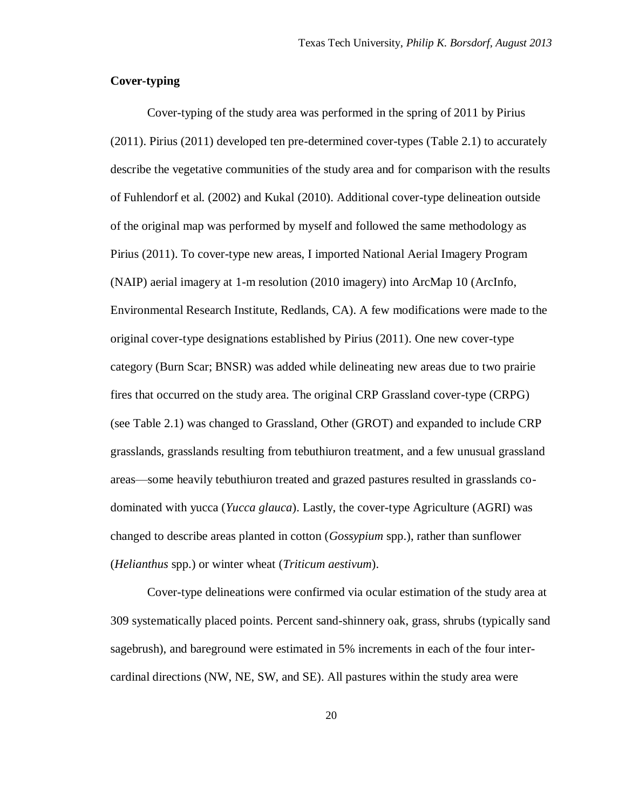## <span id="page-31-0"></span>**Cover-typing**

Cover-typing of the study area was performed in the spring of 2011 by Pirius (2011). Pirius (2011) developed ten pre-determined cover-types (Table 2.1) to accurately describe the vegetative communities of the study area and for comparison with the results of Fuhlendorf et al. (2002) and Kukal (2010). Additional cover-type delineation outside of the original map was performed by myself and followed the same methodology as Pirius (2011). To cover-type new areas, I imported National Aerial Imagery Program (NAIP) aerial imagery at 1-m resolution (2010 imagery) into ArcMap 10 (ArcInfo, Environmental Research Institute, Redlands, CA). A few modifications were made to the original cover-type designations established by Pirius (2011). One new cover-type category (Burn Scar; BNSR) was added while delineating new areas due to two prairie fires that occurred on the study area. The original CRP Grassland cover-type (CRPG) (see Table 2.1) was changed to Grassland, Other (GROT) and expanded to include CRP grasslands, grasslands resulting from tebuthiuron treatment, and a few unusual grassland areas—some heavily tebuthiuron treated and grazed pastures resulted in grasslands codominated with yucca (*Yucca glauca*). Lastly, the cover-type Agriculture (AGRI) was changed to describe areas planted in cotton (*Gossypium* spp.), rather than sunflower (*Helianthus* spp.) or winter wheat (*Triticum aestivum*).

Cover-type delineations were confirmed via ocular estimation of the study area at 309 systematically placed points. Percent sand-shinnery oak, grass, shrubs (typically sand sagebrush), and bareground were estimated in 5% increments in each of the four intercardinal directions (NW, NE, SW, and SE). All pastures within the study area were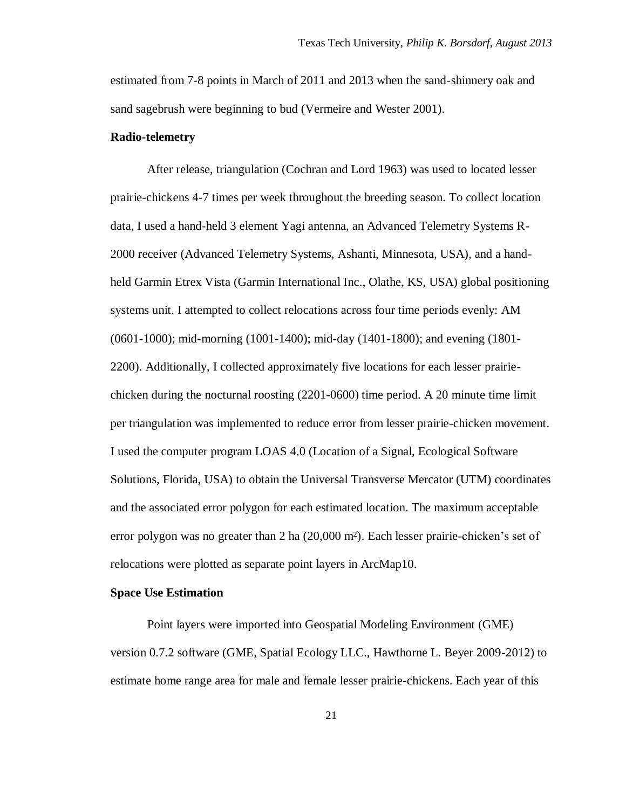estimated from 7-8 points in March of 2011 and 2013 when the sand-shinnery oak and sand sagebrush were beginning to bud (Vermeire and Wester 2001).

## <span id="page-32-0"></span>**Radio-telemetry**

After release, triangulation (Cochran and Lord 1963) was used to located lesser prairie-chickens 4-7 times per week throughout the breeding season. To collect location data, I used a hand-held 3 element Yagi antenna, an Advanced Telemetry Systems R-2000 receiver (Advanced Telemetry Systems, Ashanti, Minnesota, USA), and a handheld Garmin Etrex Vista (Garmin International Inc., Olathe, KS, USA) global positioning systems unit. I attempted to collect relocations across four time periods evenly: AM (0601-1000); mid-morning (1001-1400); mid-day (1401-1800); and evening (1801- 2200). Additionally, I collected approximately five locations for each lesser prairiechicken during the nocturnal roosting (2201-0600) time period. A 20 minute time limit per triangulation was implemented to reduce error from lesser prairie-chicken movement. I used the computer program LOAS 4.0 (Location of a Signal, Ecological Software Solutions, Florida, USA) to obtain the Universal Transverse Mercator (UTM) coordinates and the associated error polygon for each estimated location. The maximum acceptable error polygon was no greater than 2 ha (20,000 m²). Each lesser prairie-chicken's set of relocations were plotted as separate point layers in ArcMap10.

### <span id="page-32-1"></span>**Space Use Estimation**

Point layers were imported into Geospatial Modeling Environment (GME) version 0.7.2 software (GME, Spatial Ecology LLC., Hawthorne L. Beyer 2009-2012) to estimate home range area for male and female lesser prairie-chickens. Each year of this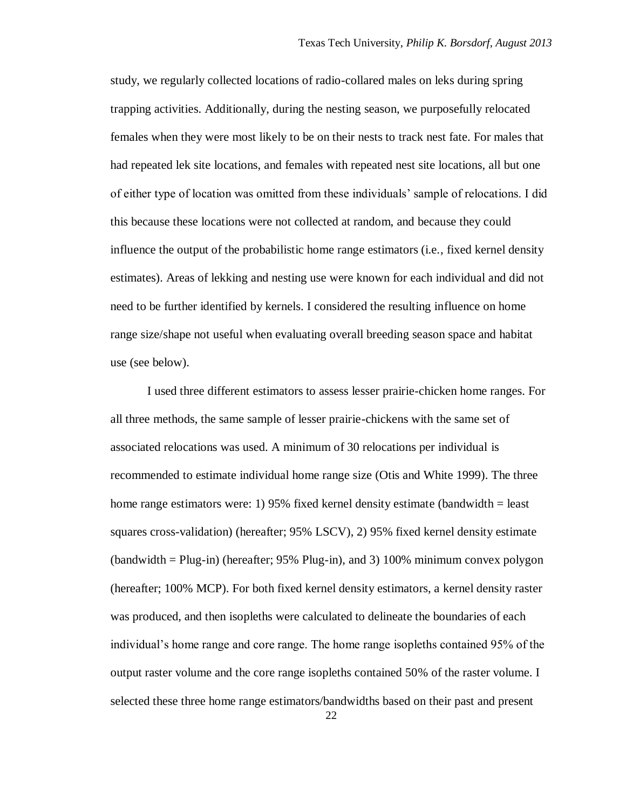study, we regularly collected locations of radio-collared males on leks during spring trapping activities. Additionally, during the nesting season, we purposefully relocated females when they were most likely to be on their nests to track nest fate. For males that had repeated lek site locations, and females with repeated nest site locations, all but one of either type of location was omitted from these individuals' sample of relocations. I did this because these locations were not collected at random, and because they could influence the output of the probabilistic home range estimators (i.e., fixed kernel density estimates). Areas of lekking and nesting use were known for each individual and did not need to be further identified by kernels. I considered the resulting influence on home range size/shape not useful when evaluating overall breeding season space and habitat use (see below).

I used three different estimators to assess lesser prairie-chicken home ranges. For all three methods, the same sample of lesser prairie-chickens with the same set of associated relocations was used. A minimum of 30 relocations per individual is recommended to estimate individual home range size (Otis and White 1999). The three home range estimators were: 1) 95% fixed kernel density estimate (bandwidth = least) squares cross-validation) (hereafter; 95% LSCV), 2) 95% fixed kernel density estimate (bandwidth = Plug-in) (hereafter; 95% Plug-in), and 3) 100% minimum convex polygon (hereafter; 100% MCP). For both fixed kernel density estimators, a kernel density raster was produced, and then isopleths were calculated to delineate the boundaries of each individual's home range and core range. The home range isopleths contained 95% of the output raster volume and the core range isopleths contained 50% of the raster volume. I selected these three home range estimators/bandwidths based on their past and present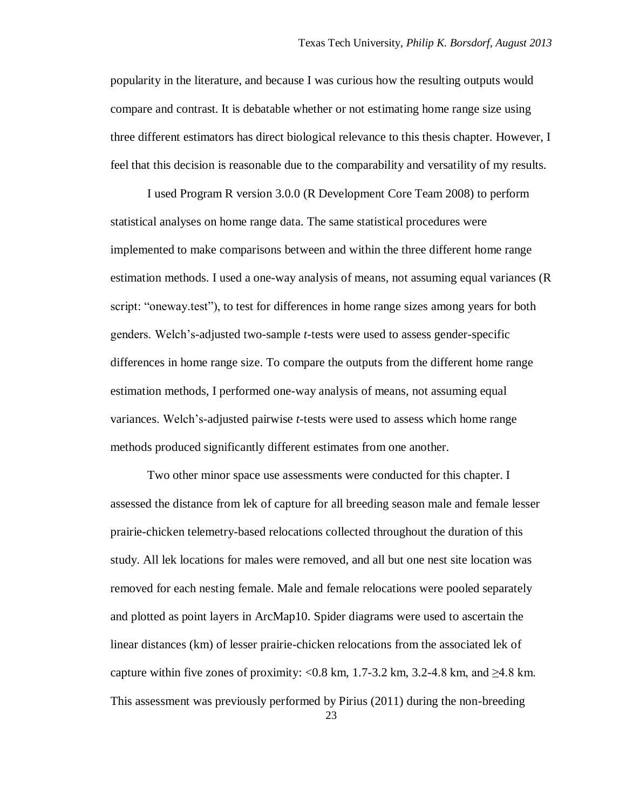popularity in the literature, and because I was curious how the resulting outputs would compare and contrast. It is debatable whether or not estimating home range size using three different estimators has direct biological relevance to this thesis chapter. However, I feel that this decision is reasonable due to the comparability and versatility of my results.

I used Program R version 3.0.0 (R Development Core Team 2008) to perform statistical analyses on home range data. The same statistical procedures were implemented to make comparisons between and within the three different home range estimation methods. I used a one-way analysis of means, not assuming equal variances (R script: "oneway.test"), to test for differences in home range sizes among years for both genders. Welch's-adjusted two-sample *t*-tests were used to assess gender-specific differences in home range size. To compare the outputs from the different home range estimation methods, I performed one-way analysis of means, not assuming equal variances. Welch's-adjusted pairwise *t*-tests were used to assess which home range methods produced significantly different estimates from one another.

Two other minor space use assessments were conducted for this chapter. I assessed the distance from lek of capture for all breeding season male and female lesser prairie-chicken telemetry-based relocations collected throughout the duration of this study. All lek locations for males were removed, and all but one nest site location was removed for each nesting female. Male and female relocations were pooled separately and plotted as point layers in ArcMap10. Spider diagrams were used to ascertain the linear distances (km) of lesser prairie-chicken relocations from the associated lek of capture within five zones of proximity: <0.8 km,  $1.7-3.2$  km,  $3.2-4.8$  km, and  $\geq 4.8$  km. This assessment was previously performed by Pirius (2011) during the non-breeding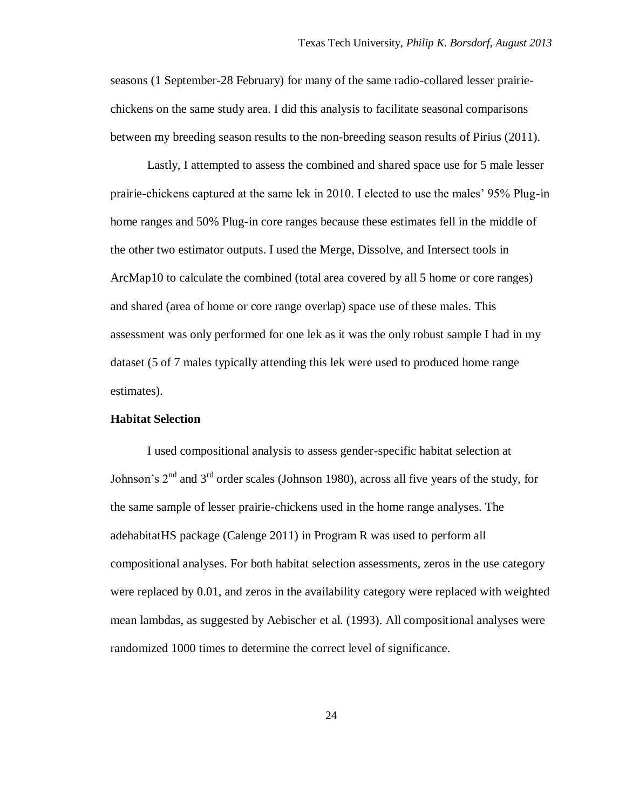seasons (1 September-28 February) for many of the same radio-collared lesser prairiechickens on the same study area. I did this analysis to facilitate seasonal comparisons between my breeding season results to the non-breeding season results of Pirius (2011).

Lastly, I attempted to assess the combined and shared space use for 5 male lesser prairie-chickens captured at the same lek in 2010. I elected to use the males' 95% Plug-in home ranges and 50% Plug-in core ranges because these estimates fell in the middle of the other two estimator outputs. I used the Merge, Dissolve, and Intersect tools in ArcMap10 to calculate the combined (total area covered by all 5 home or core ranges) and shared (area of home or core range overlap) space use of these males. This assessment was only performed for one lek as it was the only robust sample I had in my dataset (5 of 7 males typically attending this lek were used to produced home range estimates).

## <span id="page-35-0"></span>**Habitat Selection**

I used compositional analysis to assess gender-specific habitat selection at Johnson's 2<sup>nd</sup> and 3<sup>rd</sup> order scales (Johnson 1980), across all five years of the study, for the same sample of lesser prairie-chickens used in the home range analyses. The adehabitatHS package (Calenge 2011) in Program R was used to perform all compositional analyses. For both habitat selection assessments, zeros in the use category were replaced by 0.01, and zeros in the availability category were replaced with weighted mean lambdas, as suggested by Aebischer et al. (1993). All compositional analyses were randomized 1000 times to determine the correct level of significance.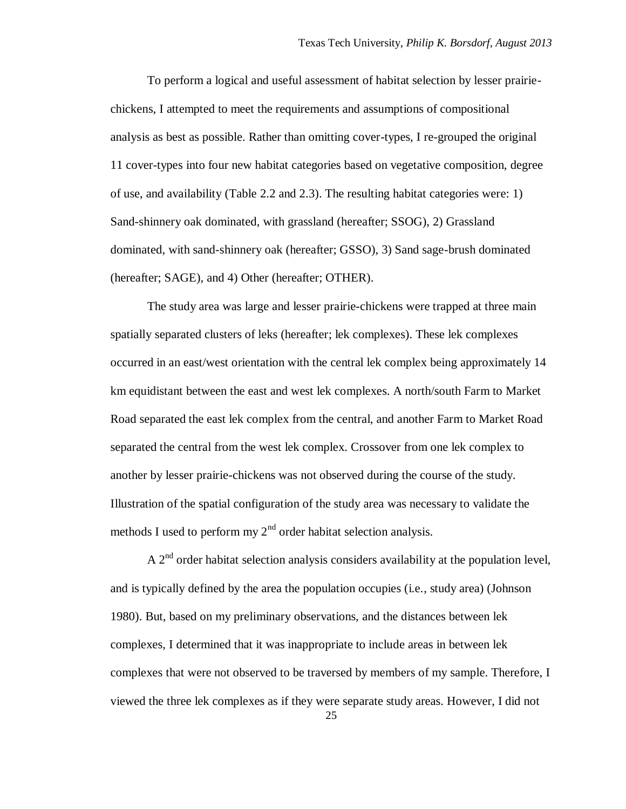To perform a logical and useful assessment of habitat selection by lesser prairiechickens, I attempted to meet the requirements and assumptions of compositional analysis as best as possible. Rather than omitting cover-types, I re-grouped the original 11 cover-types into four new habitat categories based on vegetative composition, degree of use, and availability (Table 2.2 and 2.3). The resulting habitat categories were: 1) Sand-shinnery oak dominated, with grassland (hereafter; SSOG), 2) Grassland dominated, with sand-shinnery oak (hereafter; GSSO), 3) Sand sage-brush dominated (hereafter; SAGE), and 4) Other (hereafter; OTHER).

The study area was large and lesser prairie-chickens were trapped at three main spatially separated clusters of leks (hereafter; lek complexes). These lek complexes occurred in an east/west orientation with the central lek complex being approximately 14 km equidistant between the east and west lek complexes. A north/south Farm to Market Road separated the east lek complex from the central, and another Farm to Market Road separated the central from the west lek complex. Crossover from one lek complex to another by lesser prairie-chickens was not observed during the course of the study. Illustration of the spatial configuration of the study area was necessary to validate the methods I used to perform my  $2<sup>nd</sup>$  order habitat selection analysis.

A  $2<sup>nd</sup>$  order habitat selection analysis considers availability at the population level, and is typically defined by the area the population occupies (i.e., study area) (Johnson 1980). But, based on my preliminary observations, and the distances between lek complexes, I determined that it was inappropriate to include areas in between lek complexes that were not observed to be traversed by members of my sample. Therefore, I viewed the three lek complexes as if they were separate study areas. However, I did not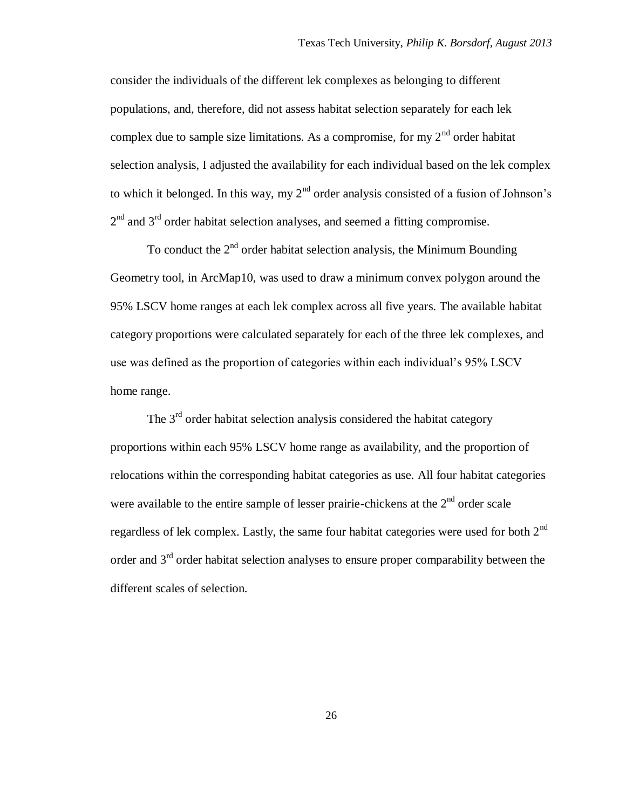consider the individuals of the different lek complexes as belonging to different populations, and, therefore, did not assess habitat selection separately for each lek complex due to sample size limitations. As a compromise, for my  $2<sup>nd</sup>$  order habitat selection analysis, I adjusted the availability for each individual based on the lek complex to which it belonged. In this way, my  $2<sup>nd</sup>$  order analysis consisted of a fusion of Johnson's  $2<sup>nd</sup>$  and  $3<sup>rd</sup>$  order habitat selection analyses, and seemed a fitting compromise.

To conduct the  $2<sup>nd</sup>$  order habitat selection analysis, the Minimum Bounding Geometry tool, in ArcMap10, was used to draw a minimum convex polygon around the 95% LSCV home ranges at each lek complex across all five years. The available habitat category proportions were calculated separately for each of the three lek complexes, and use was defined as the proportion of categories within each individual's 95% LSCV home range.

The  $3<sup>rd</sup>$  order habitat selection analysis considered the habitat category proportions within each 95% LSCV home range as availability, and the proportion of relocations within the corresponding habitat categories as use. All four habitat categories were available to the entire sample of lesser prairie-chickens at the  $2<sup>nd</sup>$  order scale regardless of lek complex. Lastly, the same four habitat categories were used for both  $2<sup>nd</sup>$ order and 3<sup>rd</sup> order habitat selection analyses to ensure proper comparability between the different scales of selection.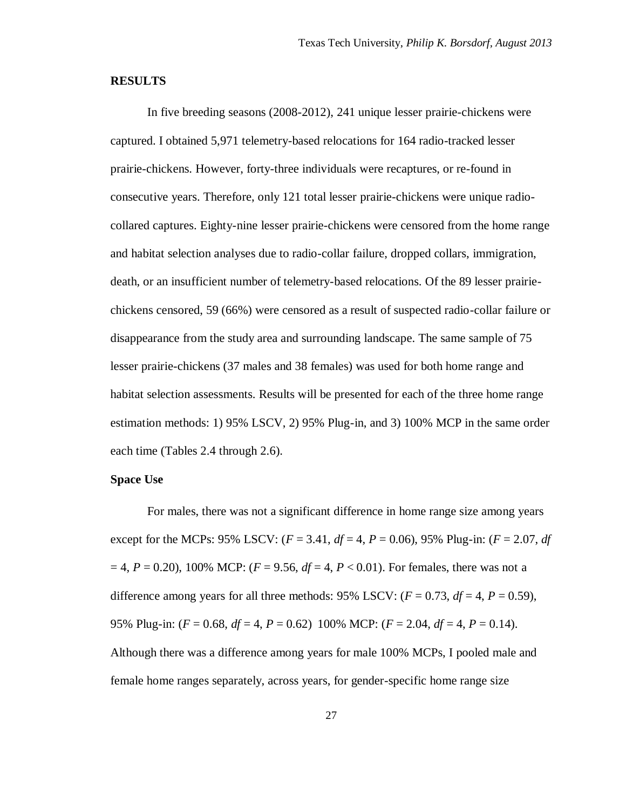### **RESULTS**

In five breeding seasons (2008-2012), 241 unique lesser prairie-chickens were captured. I obtained 5,971 telemetry-based relocations for 164 radio-tracked lesser prairie-chickens. However, forty-three individuals were recaptures, or re-found in consecutive years. Therefore, only 121 total lesser prairie-chickens were unique radiocollared captures. Eighty-nine lesser prairie-chickens were censored from the home range and habitat selection analyses due to radio-collar failure, dropped collars, immigration, death, or an insufficient number of telemetry-based relocations. Of the 89 lesser prairiechickens censored, 59 (66%) were censored as a result of suspected radio-collar failure or disappearance from the study area and surrounding landscape. The same sample of 75 lesser prairie-chickens (37 males and 38 females) was used for both home range and habitat selection assessments. Results will be presented for each of the three home range estimation methods: 1) 95% LSCV, 2) 95% Plug-in, and 3) 100% MCP in the same order each time (Tables 2.4 through 2.6).

## **Space Use**

For males, there was not a significant difference in home range size among years except for the MCPs: 95% LSCV:  $(F = 3.41, df = 4, P = 0.06)$ , 95% Plug-in:  $(F = 2.07, df$  $= 4, P = 0.20$ , 100% MCP: ( $F = 9.56$ ,  $df = 4, P < 0.01$ ). For females, there was not a difference among years for all three methods:  $95\%$  LSCV:  $(F = 0.73, df = 4, P = 0.59)$ , 95% Plug-in: (*F* = 0.68, *df* = 4, *P* = 0.62) 100% MCP: (*F* = 2.04, *df* = 4, *P* = 0.14). Although there was a difference among years for male 100% MCPs, I pooled male and female home ranges separately, across years, for gender-specific home range size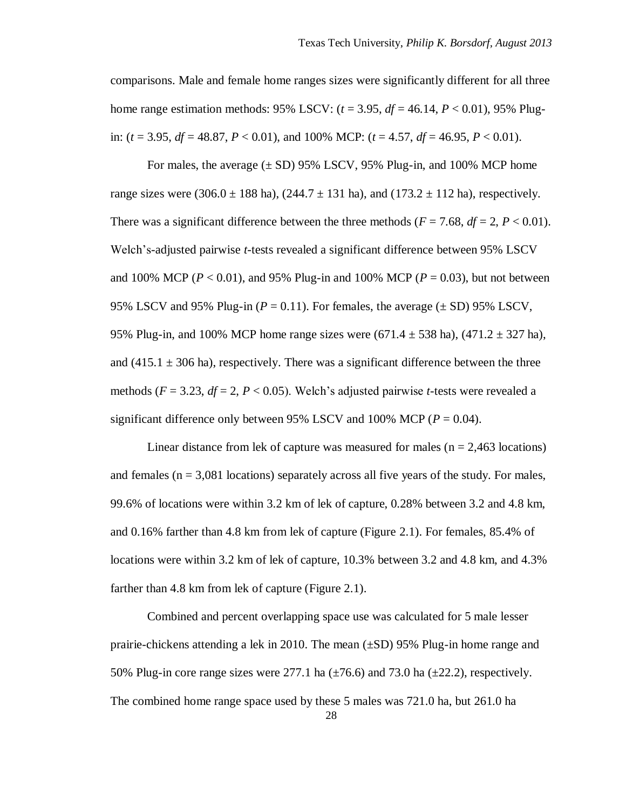comparisons. Male and female home ranges sizes were significantly different for all three home range estimation methods: 95% LSCV: (*t* = 3.95, *df* = 46.14, *P* < 0.01), 95% Plugin:  $(t = 3.95, df = 48.87, P < 0.01)$ , and 100% MCP:  $(t = 4.57, df = 46.95, P < 0.01)$ .

For males, the average  $(\pm SD)$  95% LSCV, 95% Plug-in, and 100% MCP home range sizes were (306.0  $\pm$  188 ha), (244.7  $\pm$  131 ha), and (173.2  $\pm$  112 ha), respectively. There was a significant difference between the three methods ( $F = 7.68$ ,  $df = 2$ ,  $P < 0.01$ ). Welch's-adjusted pairwise *t*-tests revealed a significant difference between 95% LSCV and 100% MCP ( $P < 0.01$ ), and 95% Plug-in and 100% MCP ( $P = 0.03$ ), but not between 95% LSCV and 95% Plug-in  $(P = 0.11)$ . For females, the average  $(\pm SD)$  95% LSCV, 95% Plug-in, and 100% MCP home range sizes were  $(671.4 \pm 538 \text{ ha})$ ,  $(471.2 \pm 327 \text{ ha})$ , and (415.1  $\pm$  306 ha), respectively. There was a significant difference between the three methods ( $F = 3.23$ ,  $df = 2$ ,  $P < 0.05$ ). Welch's adjusted pairwise *t*-tests were revealed a significant difference only between 95% LSCV and 100% MCP ( $P = 0.04$ ).

Linear distance from lek of capture was measured for males ( $n = 2,463$  locations) and females ( $n = 3,081$  locations) separately across all five years of the study. For males, 99.6% of locations were within 3.2 km of lek of capture, 0.28% between 3.2 and 4.8 km, and 0.16% farther than 4.8 km from lek of capture (Figure 2.1). For females, 85.4% of locations were within 3.2 km of lek of capture, 10.3% between 3.2 and 4.8 km, and 4.3% farther than 4.8 km from lek of capture (Figure 2.1).

Combined and percent overlapping space use was calculated for 5 male lesser prairie-chickens attending a lek in 2010. The mean  $(\pm SD)$  95% Plug-in home range and 50% Plug-in core range sizes were 277.1 ha  $(\pm 76.6)$  and 73.0 ha  $(\pm 22.2)$ , respectively. The combined home range space used by these 5 males was 721.0 ha, but 261.0 ha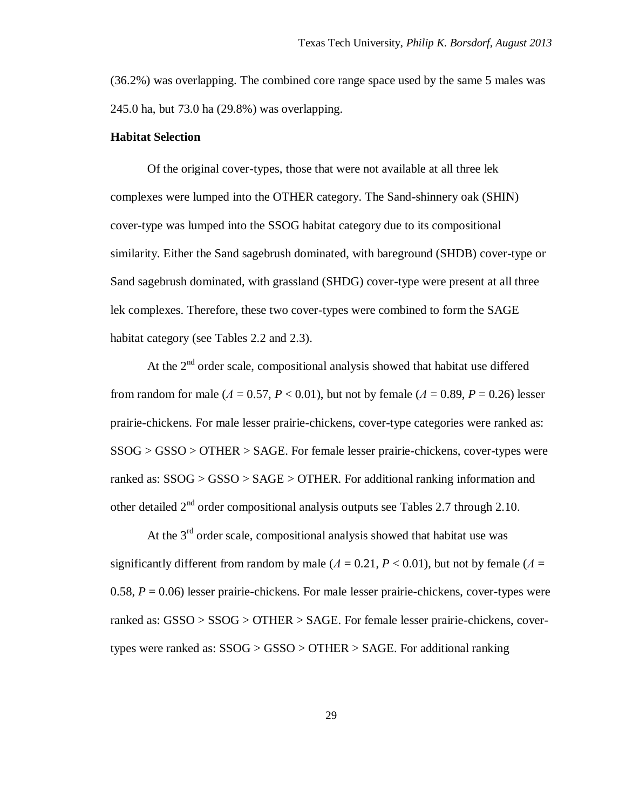(36.2%) was overlapping. The combined core range space used by the same 5 males was 245.0 ha, but 73.0 ha (29.8%) was overlapping.

### **Habitat Selection**

Of the original cover-types, those that were not available at all three lek complexes were lumped into the OTHER category. The Sand-shinnery oak (SHIN) cover-type was lumped into the SSOG habitat category due to its compositional similarity. Either the Sand sagebrush dominated, with bareground (SHDB) cover-type or Sand sagebrush dominated, with grassland (SHDG) cover-type were present at all three lek complexes. Therefore, these two cover-types were combined to form the SAGE habitat category (see Tables 2.2 and 2.3).

At the  $2<sup>nd</sup>$  order scale, compositional analysis showed that habitat use differed from random for male ( $\Lambda = 0.57$ ,  $P < 0.01$ ), but not by female ( $\Lambda = 0.89$ ,  $P = 0.26$ ) lesser prairie-chickens. For male lesser prairie-chickens, cover-type categories were ranked as: SSOG > GSSO > OTHER > SAGE. For female lesser prairie-chickens, cover-types were ranked as: SSOG > GSSO > SAGE > OTHER. For additional ranking information and other detailed  $2<sup>nd</sup>$  order compositional analysis outputs see Tables 2.7 through 2.10.

At the  $3<sup>rd</sup>$  order scale, compositional analysis showed that habitat use was significantly different from random by male ( $\Lambda = 0.21$ ,  $P < 0.01$ ), but not by female ( $\Lambda =$ 0.58,  $P = 0.06$ ) lesser prairie-chickens. For male lesser prairie-chickens, cover-types were ranked as: GSSO > SSOG > OTHER > SAGE. For female lesser prairie-chickens, covertypes were ranked as:  $SSOG > GSSO > OTHER > SAGE$ . For additional ranking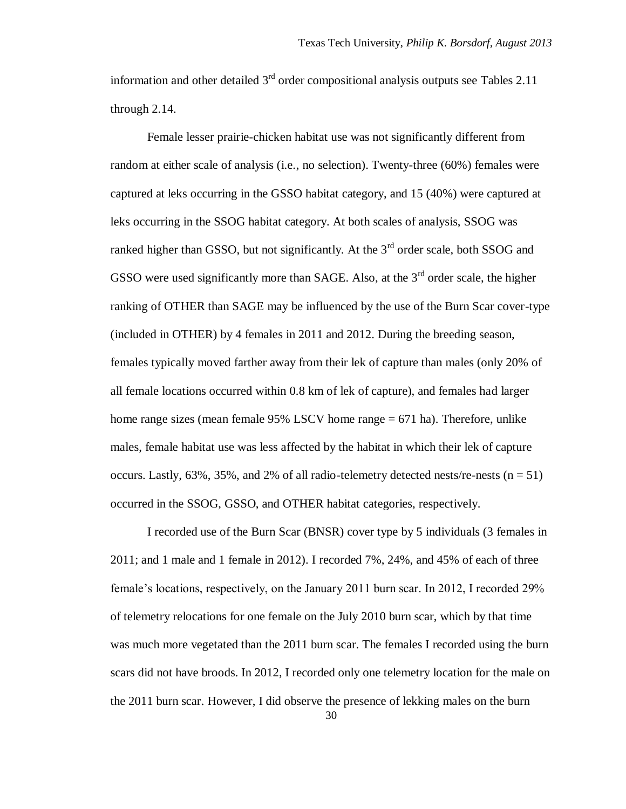information and other detailed  $3<sup>rd</sup>$  order compositional analysis outputs see Tables 2.11 through 2.14.

Female lesser prairie-chicken habitat use was not significantly different from random at either scale of analysis (i.e., no selection). Twenty-three (60%) females were captured at leks occurring in the GSSO habitat category, and 15 (40%) were captured at leks occurring in the SSOG habitat category. At both scales of analysis, SSOG was ranked higher than GSSO, but not significantly. At the  $3<sup>rd</sup>$  order scale, both SSOG and GSSO were used significantly more than SAGE. Also, at the  $3<sup>rd</sup>$  order scale, the higher ranking of OTHER than SAGE may be influenced by the use of the Burn Scar cover-type (included in OTHER) by 4 females in 2011 and 2012. During the breeding season, females typically moved farther away from their lek of capture than males (only 20% of all female locations occurred within 0.8 km of lek of capture), and females had larger home range sizes (mean female 95% LSCV home range = 671 ha). Therefore, unlike males, female habitat use was less affected by the habitat in which their lek of capture occurs. Lastly,  $63\%$ ,  $35\%$ , and  $2\%$  of all radio-telemetry detected nests/re-nests ( $n = 51$ ) occurred in the SSOG, GSSO, and OTHER habitat categories, respectively.

I recorded use of the Burn Scar (BNSR) cover type by 5 individuals (3 females in 2011; and 1 male and 1 female in 2012). I recorded 7%, 24%, and 45% of each of three female's locations, respectively, on the January 2011 burn scar. In 2012, I recorded 29% of telemetry relocations for one female on the July 2010 burn scar, which by that time was much more vegetated than the 2011 burn scar. The females I recorded using the burn scars did not have broods. In 2012, I recorded only one telemetry location for the male on the 2011 burn scar. However, I did observe the presence of lekking males on the burn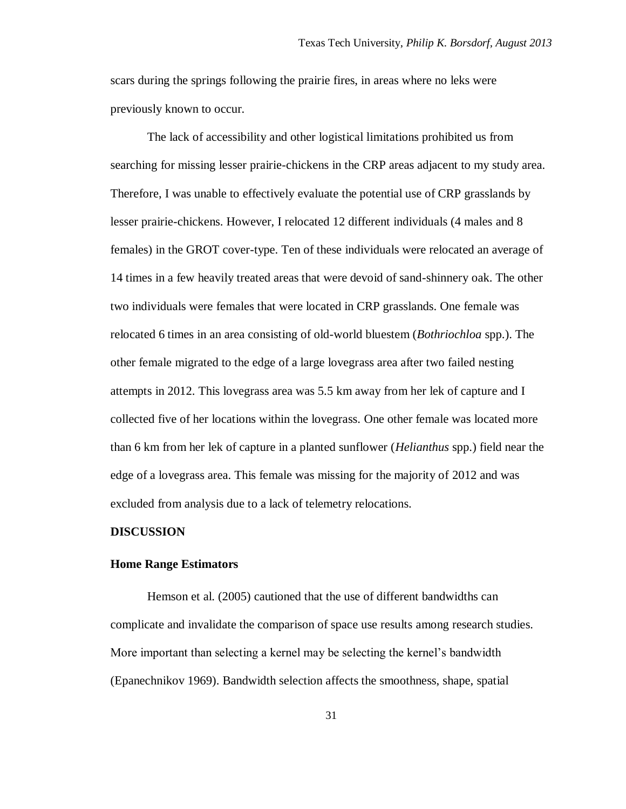scars during the springs following the prairie fires, in areas where no leks were previously known to occur.

The lack of accessibility and other logistical limitations prohibited us from searching for missing lesser prairie-chickens in the CRP areas adjacent to my study area. Therefore, I was unable to effectively evaluate the potential use of CRP grasslands by lesser prairie-chickens. However, I relocated 12 different individuals (4 males and 8 females) in the GROT cover-type. Ten of these individuals were relocated an average of 14 times in a few heavily treated areas that were devoid of sand-shinnery oak. The other two individuals were females that were located in CRP grasslands. One female was relocated 6 times in an area consisting of old-world bluestem (*Bothriochloa* spp.). The other female migrated to the edge of a large lovegrass area after two failed nesting attempts in 2012. This lovegrass area was 5.5 km away from her lek of capture and I collected five of her locations within the lovegrass. One other female was located more than 6 km from her lek of capture in a planted sunflower (*Helianthus* spp.) field near the edge of a lovegrass area. This female was missing for the majority of 2012 and was excluded from analysis due to a lack of telemetry relocations.

### **DISCUSSION**

### **Home Range Estimators**

Hemson et al. (2005) cautioned that the use of different bandwidths can complicate and invalidate the comparison of space use results among research studies. More important than selecting a kernel may be selecting the kernel's bandwidth (Epanechnikov 1969). Bandwidth selection affects the smoothness, shape, spatial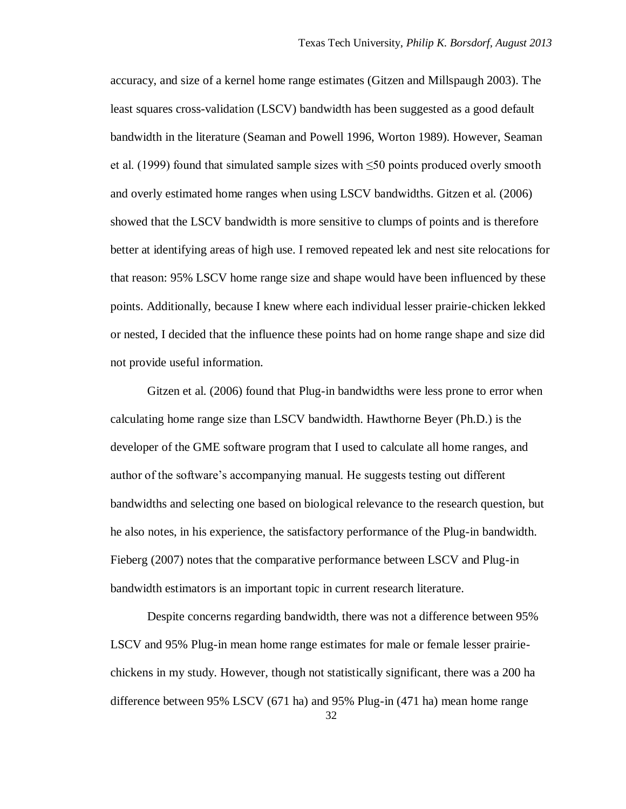accuracy, and size of a kernel home range estimates (Gitzen and Millspaugh 2003). The least squares cross-validation (LSCV) bandwidth has been suggested as a good default bandwidth in the literature (Seaman and Powell 1996, Worton 1989). However, Seaman et al. (1999) found that simulated sample sizes with ≤50 points produced overly smooth and overly estimated home ranges when using LSCV bandwidths. Gitzen et al. (2006) showed that the LSCV bandwidth is more sensitive to clumps of points and is therefore better at identifying areas of high use. I removed repeated lek and nest site relocations for that reason: 95% LSCV home range size and shape would have been influenced by these points. Additionally, because I knew where each individual lesser prairie-chicken lekked or nested, I decided that the influence these points had on home range shape and size did not provide useful information.

Gitzen et al. (2006) found that Plug-in bandwidths were less prone to error when calculating home range size than LSCV bandwidth. Hawthorne Beyer (Ph.D.) is the developer of the GME software program that I used to calculate all home ranges, and author of the software's accompanying manual. He suggests testing out different bandwidths and selecting one based on biological relevance to the research question, but he also notes, in his experience, the satisfactory performance of the Plug-in bandwidth. Fieberg (2007) notes that the comparative performance between LSCV and Plug-in bandwidth estimators is an important topic in current research literature.

32 Despite concerns regarding bandwidth, there was not a difference between 95% LSCV and 95% Plug-in mean home range estimates for male or female lesser prairiechickens in my study. However, though not statistically significant, there was a 200 ha difference between 95% LSCV (671 ha) and 95% Plug-in (471 ha) mean home range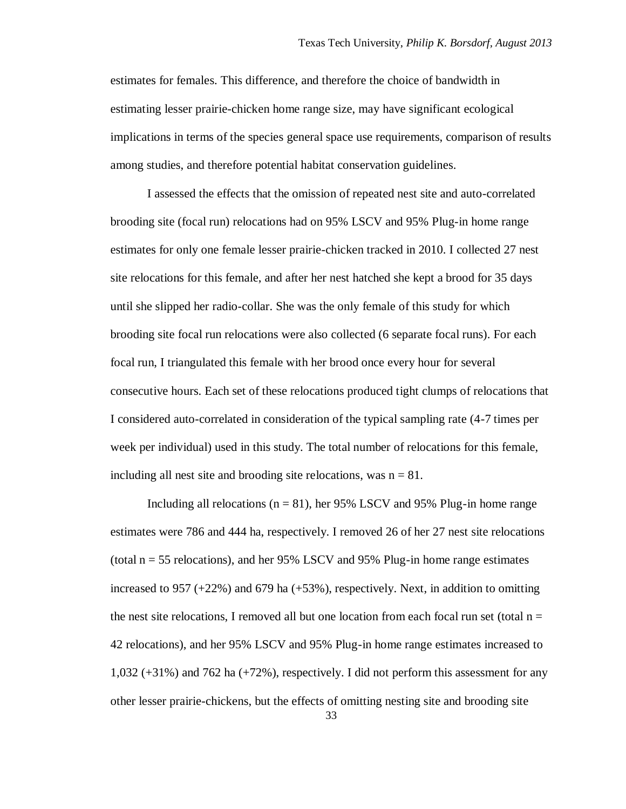estimates for females. This difference, and therefore the choice of bandwidth in estimating lesser prairie-chicken home range size, may have significant ecological implications in terms of the species general space use requirements, comparison of results among studies, and therefore potential habitat conservation guidelines.

I assessed the effects that the omission of repeated nest site and auto-correlated brooding site (focal run) relocations had on 95% LSCV and 95% Plug-in home range estimates for only one female lesser prairie-chicken tracked in 2010. I collected 27 nest site relocations for this female, and after her nest hatched she kept a brood for 35 days until she slipped her radio-collar. She was the only female of this study for which brooding site focal run relocations were also collected (6 separate focal runs). For each focal run, I triangulated this female with her brood once every hour for several consecutive hours. Each set of these relocations produced tight clumps of relocations that I considered auto-correlated in consideration of the typical sampling rate (4-7 times per week per individual) used in this study. The total number of relocations for this female, including all nest site and brooding site relocations, was  $n = 81$ .

Including all relocations ( $n = 81$ ), her 95% LSCV and 95% Plug-in home range estimates were 786 and 444 ha, respectively. I removed 26 of her 27 nest site relocations (total  $n = 55$  relocations), and her 95% LSCV and 95% Plug-in home range estimates increased to 957  $(+22%)$  and 679 ha  $(+53%)$ , respectively. Next, in addition to omitting the nest site relocations, I removed all but one location from each focal run set (total  $n =$ 42 relocations), and her 95% LSCV and 95% Plug-in home range estimates increased to 1,032 (+31%) and 762 ha (+72%), respectively. I did not perform this assessment for any other lesser prairie-chickens, but the effects of omitting nesting site and brooding site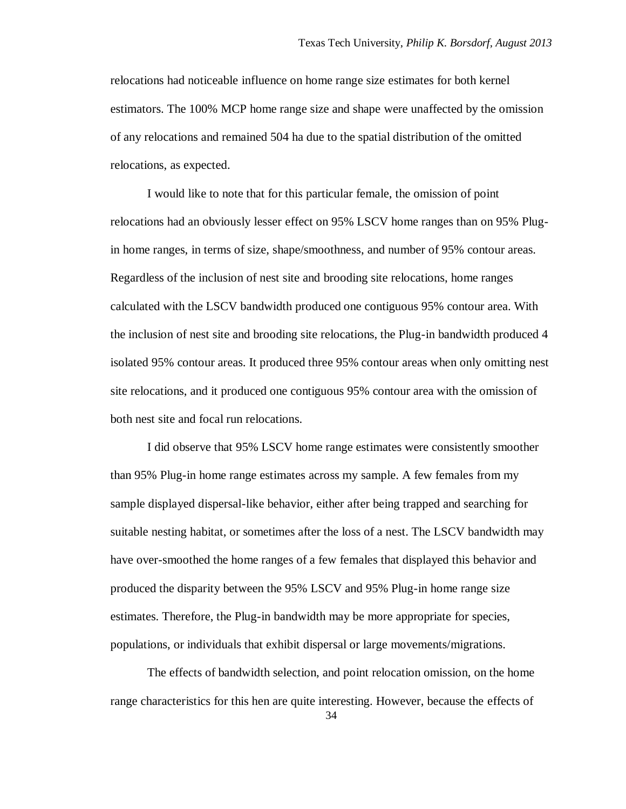relocations had noticeable influence on home range size estimates for both kernel estimators. The 100% MCP home range size and shape were unaffected by the omission of any relocations and remained 504 ha due to the spatial distribution of the omitted relocations, as expected.

I would like to note that for this particular female, the omission of point relocations had an obviously lesser effect on 95% LSCV home ranges than on 95% Plugin home ranges, in terms of size, shape/smoothness, and number of 95% contour areas. Regardless of the inclusion of nest site and brooding site relocations, home ranges calculated with the LSCV bandwidth produced one contiguous 95% contour area. With the inclusion of nest site and brooding site relocations, the Plug-in bandwidth produced 4 isolated 95% contour areas. It produced three 95% contour areas when only omitting nest site relocations, and it produced one contiguous 95% contour area with the omission of both nest site and focal run relocations.

I did observe that 95% LSCV home range estimates were consistently smoother than 95% Plug-in home range estimates across my sample. A few females from my sample displayed dispersal-like behavior, either after being trapped and searching for suitable nesting habitat, or sometimes after the loss of a nest. The LSCV bandwidth may have over-smoothed the home ranges of a few females that displayed this behavior and produced the disparity between the 95% LSCV and 95% Plug-in home range size estimates. Therefore, the Plug-in bandwidth may be more appropriate for species, populations, or individuals that exhibit dispersal or large movements/migrations.

The effects of bandwidth selection, and point relocation omission, on the home range characteristics for this hen are quite interesting. However, because the effects of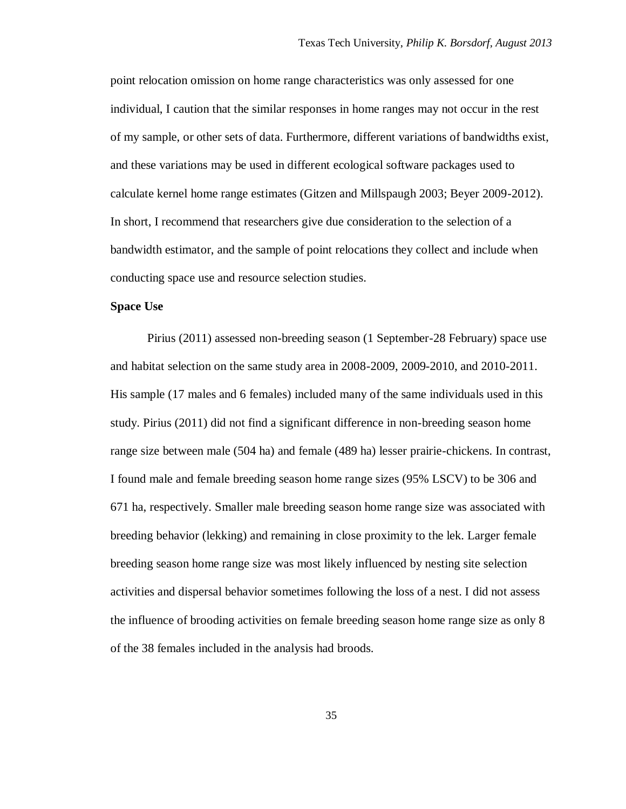point relocation omission on home range characteristics was only assessed for one individual, I caution that the similar responses in home ranges may not occur in the rest of my sample, or other sets of data. Furthermore, different variations of bandwidths exist, and these variations may be used in different ecological software packages used to calculate kernel home range estimates (Gitzen and Millspaugh 2003; Beyer 2009-2012). In short, I recommend that researchers give due consideration to the selection of a bandwidth estimator, and the sample of point relocations they collect and include when conducting space use and resource selection studies.

### **Space Use**

Pirius (2011) assessed non-breeding season (1 September-28 February) space use and habitat selection on the same study area in 2008-2009, 2009-2010, and 2010-2011. His sample (17 males and 6 females) included many of the same individuals used in this study. Pirius (2011) did not find a significant difference in non-breeding season home range size between male (504 ha) and female (489 ha) lesser prairie-chickens. In contrast, I found male and female breeding season home range sizes (95% LSCV) to be 306 and 671 ha, respectively. Smaller male breeding season home range size was associated with breeding behavior (lekking) and remaining in close proximity to the lek. Larger female breeding season home range size was most likely influenced by nesting site selection activities and dispersal behavior sometimes following the loss of a nest. I did not assess the influence of brooding activities on female breeding season home range size as only 8 of the 38 females included in the analysis had broods.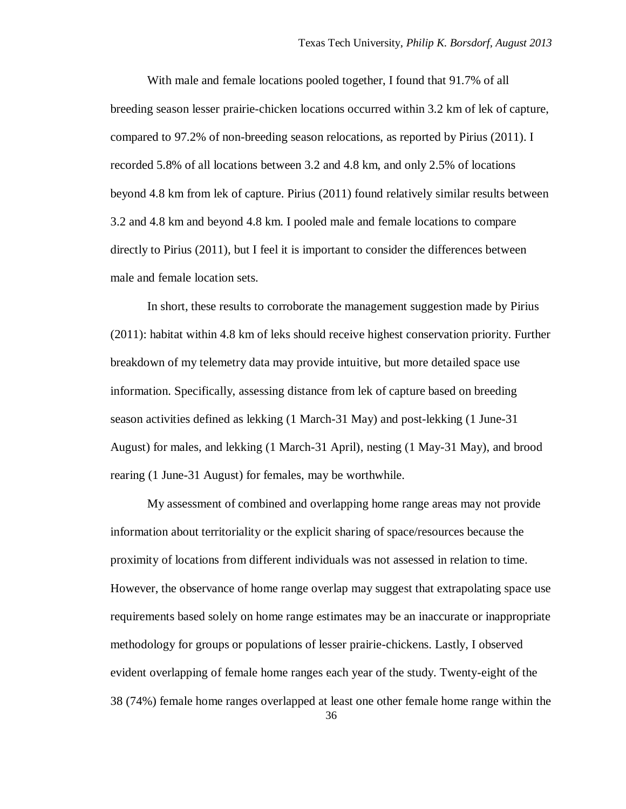With male and female locations pooled together, I found that 91.7% of all breeding season lesser prairie-chicken locations occurred within 3.2 km of lek of capture, compared to 97.2% of non-breeding season relocations, as reported by Pirius (2011). I recorded 5.8% of all locations between 3.2 and 4.8 km, and only 2.5% of locations beyond 4.8 km from lek of capture. Pirius (2011) found relatively similar results between 3.2 and 4.8 km and beyond 4.8 km. I pooled male and female locations to compare directly to Pirius (2011), but I feel it is important to consider the differences between male and female location sets.

In short, these results to corroborate the management suggestion made by Pirius (2011): habitat within 4.8 km of leks should receive highest conservation priority. Further breakdown of my telemetry data may provide intuitive, but more detailed space use information. Specifically, assessing distance from lek of capture based on breeding season activities defined as lekking (1 March-31 May) and post-lekking (1 June-31 August) for males, and lekking (1 March-31 April), nesting (1 May-31 May), and brood rearing (1 June-31 August) for females, may be worthwhile.

My assessment of combined and overlapping home range areas may not provide information about territoriality or the explicit sharing of space/resources because the proximity of locations from different individuals was not assessed in relation to time. However, the observance of home range overlap may suggest that extrapolating space use requirements based solely on home range estimates may be an inaccurate or inappropriate methodology for groups or populations of lesser prairie-chickens. Lastly, I observed evident overlapping of female home ranges each year of the study. Twenty-eight of the 38 (74%) female home ranges overlapped at least one other female home range within the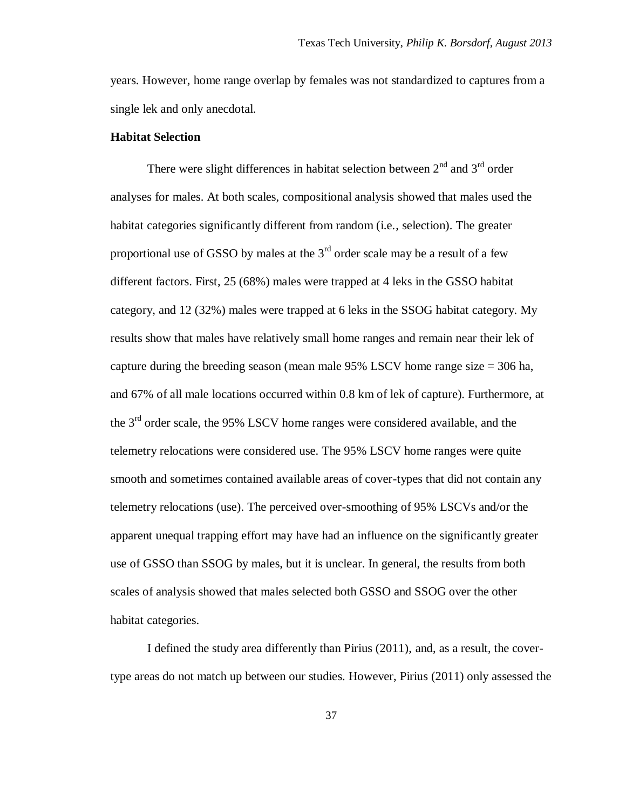years. However, home range overlap by females was not standardized to captures from a single lek and only anecdotal.

## **Habitat Selection**

There were slight differences in habitat selection between  $2<sup>nd</sup>$  and  $3<sup>rd</sup>$  order analyses for males. At both scales, compositional analysis showed that males used the habitat categories significantly different from random (i.e., selection). The greater proportional use of GSSO by males at the  $3<sup>rd</sup>$  order scale may be a result of a few different factors. First, 25 (68%) males were trapped at 4 leks in the GSSO habitat category, and 12 (32%) males were trapped at 6 leks in the SSOG habitat category. My results show that males have relatively small home ranges and remain near their lek of capture during the breeding season (mean male  $95\%$  LSCV home range size  $= 306$  ha, and 67% of all male locations occurred within 0.8 km of lek of capture). Furthermore, at the  $3<sup>rd</sup>$  order scale, the 95% LSCV home ranges were considered available, and the telemetry relocations were considered use. The 95% LSCV home ranges were quite smooth and sometimes contained available areas of cover-types that did not contain any telemetry relocations (use). The perceived over-smoothing of 95% LSCVs and/or the apparent unequal trapping effort may have had an influence on the significantly greater use of GSSO than SSOG by males, but it is unclear. In general, the results from both scales of analysis showed that males selected both GSSO and SSOG over the other habitat categories.

I defined the study area differently than Pirius (2011), and, as a result, the covertype areas do not match up between our studies. However, Pirius (2011) only assessed the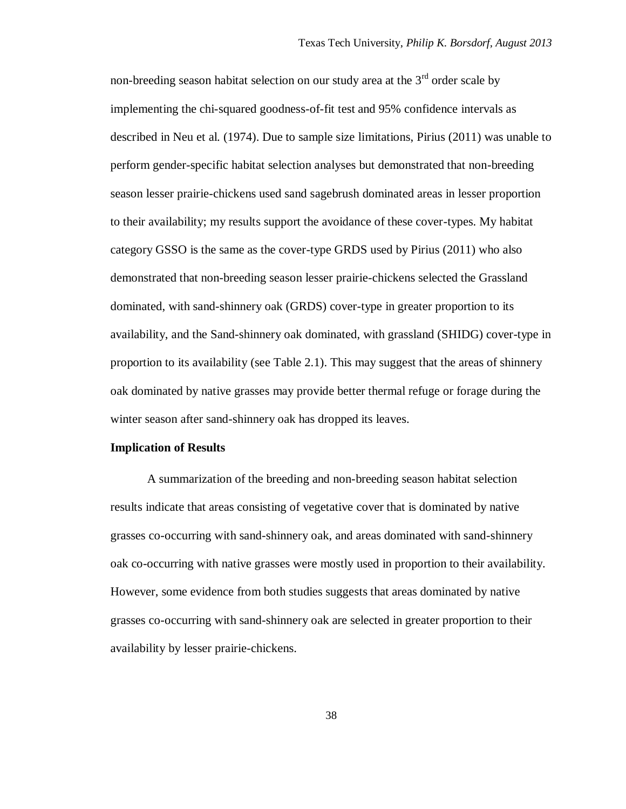non-breeding season habitat selection on our study area at the  $3<sup>rd</sup>$  order scale by implementing the chi-squared goodness-of-fit test and 95% confidence intervals as described in Neu et al. (1974). Due to sample size limitations, Pirius (2011) was unable to perform gender-specific habitat selection analyses but demonstrated that non-breeding season lesser prairie-chickens used sand sagebrush dominated areas in lesser proportion to their availability; my results support the avoidance of these cover-types. My habitat category GSSO is the same as the cover-type GRDS used by Pirius (2011) who also demonstrated that non-breeding season lesser prairie-chickens selected the Grassland dominated, with sand-shinnery oak (GRDS) cover-type in greater proportion to its availability, and the Sand-shinnery oak dominated, with grassland (SHIDG) cover-type in proportion to its availability (see Table 2.1). This may suggest that the areas of shinnery oak dominated by native grasses may provide better thermal refuge or forage during the winter season after sand-shinnery oak has dropped its leaves.

#### **Implication of Results**

A summarization of the breeding and non-breeding season habitat selection results indicate that areas consisting of vegetative cover that is dominated by native grasses co-occurring with sand-shinnery oak, and areas dominated with sand-shinnery oak co-occurring with native grasses were mostly used in proportion to their availability. However, some evidence from both studies suggests that areas dominated by native grasses co-occurring with sand-shinnery oak are selected in greater proportion to their availability by lesser prairie-chickens.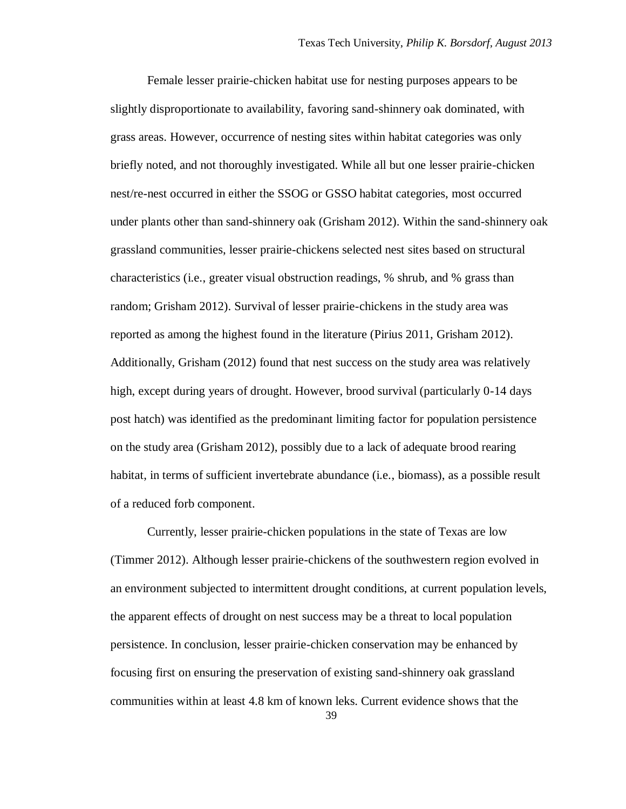Female lesser prairie-chicken habitat use for nesting purposes appears to be slightly disproportionate to availability, favoring sand-shinnery oak dominated, with grass areas. However, occurrence of nesting sites within habitat categories was only briefly noted, and not thoroughly investigated. While all but one lesser prairie-chicken nest/re-nest occurred in either the SSOG or GSSO habitat categories, most occurred under plants other than sand-shinnery oak (Grisham 2012). Within the sand-shinnery oak grassland communities, lesser prairie-chickens selected nest sites based on structural characteristics (i.e., greater visual obstruction readings, % shrub, and % grass than random; Grisham 2012). Survival of lesser prairie-chickens in the study area was reported as among the highest found in the literature (Pirius 2011, Grisham 2012). Additionally, Grisham (2012) found that nest success on the study area was relatively high, except during years of drought. However, brood survival (particularly 0-14 days post hatch) was identified as the predominant limiting factor for population persistence on the study area (Grisham 2012), possibly due to a lack of adequate brood rearing habitat, in terms of sufficient invertebrate abundance (i.e., biomass), as a possible result of a reduced forb component.

Currently, lesser prairie-chicken populations in the state of Texas are low (Timmer 2012). Although lesser prairie-chickens of the southwestern region evolved in an environment subjected to intermittent drought conditions, at current population levels, the apparent effects of drought on nest success may be a threat to local population persistence. In conclusion, lesser prairie-chicken conservation may be enhanced by focusing first on ensuring the preservation of existing sand-shinnery oak grassland communities within at least 4.8 km of known leks. Current evidence shows that the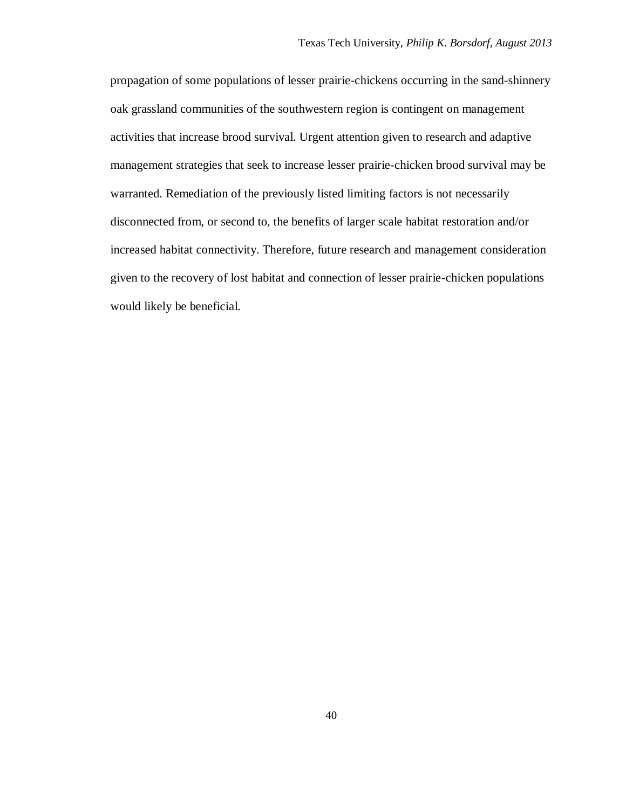propagation of some populations of lesser prairie-chickens occurring in the sand-shinnery oak grassland communities of the southwestern region is contingent on management activities that increase brood survival. Urgent attention given to research and adaptive management strategies that seek to increase lesser prairie-chicken brood survival may be warranted. Remediation of the previously listed limiting factors is not necessarily disconnected from, or second to, the benefits of larger scale habitat restoration and/or increased habitat connectivity. Therefore, future research and management consideration given to the recovery of lost habitat and connection of lesser prairie-chicken populations would likely be beneficial.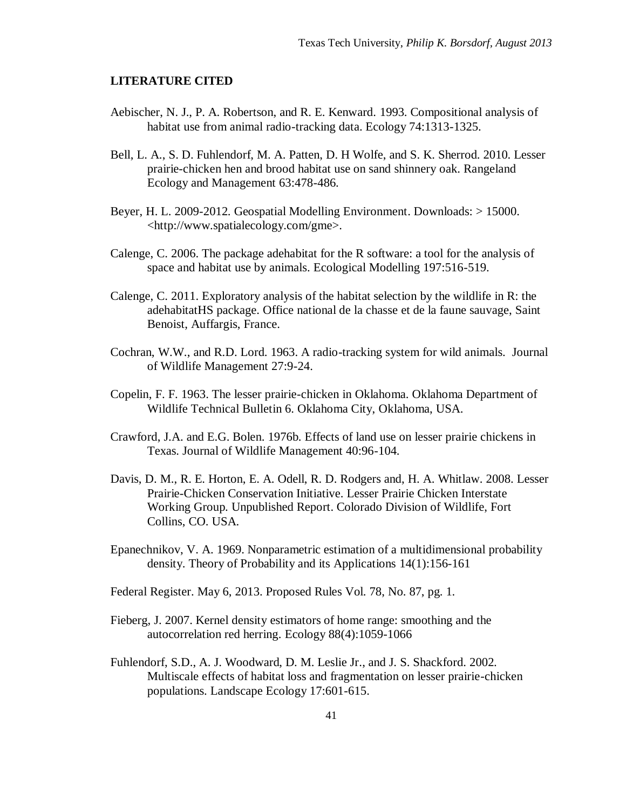### **LITERATURE CITED**

- Aebischer, N. J., P. A. Robertson, and R. E. Kenward. 1993. Compositional analysis of habitat use from animal radio-tracking data. Ecology 74:1313-1325.
- Bell, L. A., S. D. Fuhlendorf, M. A. Patten, D. H Wolfe, and S. K. Sherrod. 2010. Lesser prairie-chicken hen and brood habitat use on sand shinnery oak. Rangeland Ecology and Management 63:478-486.
- Beyer, H. L. 2009-2012. Geospatial Modelling Environment. Downloads: > 15000. <http://www.spatialecology.com/gme>.
- Calenge, C. 2006. The package adehabitat for the R software: a tool for the analysis of space and habitat use by animals. Ecological Modelling 197:516-519.
- Calenge, C. 2011. Exploratory analysis of the habitat selection by the wildlife in R: the adehabitatHS package. Office national de la chasse et de la faune sauvage, Saint Benoist, Auffargis, France.
- Cochran, W.W., and R.D. Lord. 1963. A radio-tracking system for wild animals. Journal of Wildlife Management 27:9-24.
- Copelin, F. F. 1963. The lesser prairie-chicken in Oklahoma. Oklahoma Department of Wildlife Technical Bulletin 6. Oklahoma City, Oklahoma, USA.
- Crawford, J.A. and E.G. Bolen. 1976b. Effects of land use on lesser prairie chickens in Texas. Journal of Wildlife Management 40:96-104.
- Davis, D. M., R. E. Horton, E. A. Odell, R. D. Rodgers and, H. A. Whitlaw. 2008. Lesser Prairie-Chicken Conservation Initiative. Lesser Prairie Chicken Interstate Working Group. Unpublished Report. Colorado Division of Wildlife, Fort Collins, CO. USA.
- Epanechnikov, V. A. 1969. Nonparametric estimation of a multidimensional probability density. Theory of Probability and its Applications 14(1):156-161
- Federal Register. May 6, 2013. Proposed Rules Vol. 78, No. 87, pg. 1.
- Fieberg, J. 2007. Kernel density estimators of home range: smoothing and the autocorrelation red herring. Ecology 88(4):1059-1066
- Fuhlendorf, S.D., A. J. Woodward, D. M. Leslie Jr., and J. S. Shackford. 2002. Multiscale effects of habitat loss and fragmentation on lesser prairie-chicken populations. Landscape Ecology 17:601-615.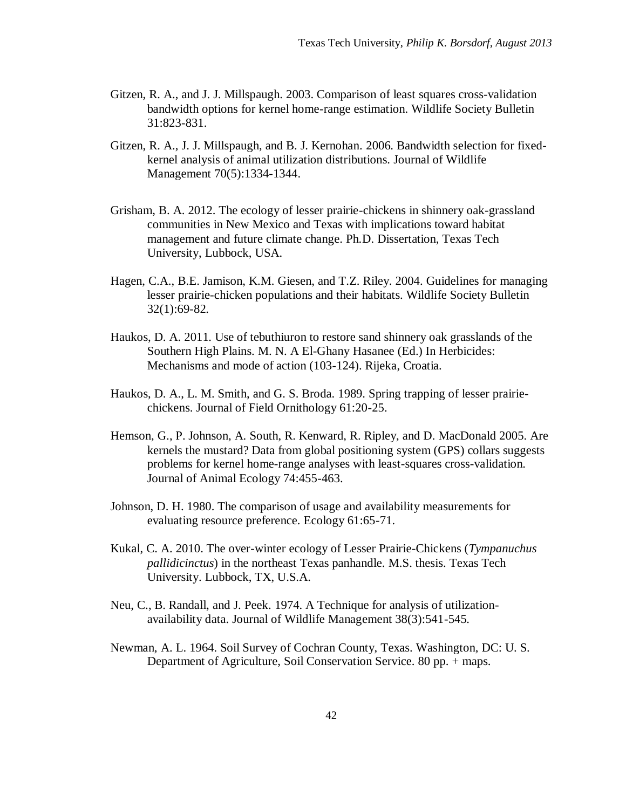- Gitzen, R. A., and J. J. Millspaugh. 2003. Comparison of least squares cross-validation bandwidth options for kernel home-range estimation. Wildlife Society Bulletin 31:823-831.
- Gitzen, R. A., J. J. Millspaugh, and B. J. Kernohan. 2006. Bandwidth selection for fixedkernel analysis of animal utilization distributions. Journal of Wildlife Management 70(5):1334-1344.
- Grisham, B. A. 2012. The ecology of lesser prairie-chickens in shinnery oak-grassland communities in New Mexico and Texas with implications toward habitat management and future climate change. Ph.D. Dissertation, Texas Tech University, Lubbock, USA.
- Hagen, C.A., B.E. Jamison, K.M. Giesen, and T.Z. Riley. 2004. Guidelines for managing lesser prairie-chicken populations and their habitats. Wildlife Society Bulletin 32(1):69-82.
- Haukos, D. A. 2011. Use of tebuthiuron to restore sand shinnery oak grasslands of the Southern High Plains. M. N. A El-Ghany Hasanee (Ed.) In Herbicides: Mechanisms and mode of action (103-124). Rijeka, Croatia.
- Haukos, D. A., L. M. Smith, and G. S. Broda. 1989. Spring trapping of lesser prairiechickens. Journal of Field Ornithology 61:20-25.
- Hemson, G., P. Johnson, A. South, R. Kenward, R. Ripley, and D. MacDonald 2005. Are kernels the mustard? Data from global positioning system (GPS) collars suggests problems for kernel home-range analyses with least-squares cross-validation. Journal of Animal Ecology 74:455-463.
- Johnson, D. H. 1980. The comparison of usage and availability measurements for evaluating resource preference. Ecology 61:65-71.
- Kukal, C. A. 2010. The over-winter ecology of Lesser Prairie-Chickens (*Tympanuchus pallidicinctus*) in the northeast Texas panhandle. M.S. thesis. Texas Tech University. Lubbock, TX, U.S.A.
- Neu, C., B. Randall, and J. Peek. 1974. A Technique for analysis of utilizationavailability data. Journal of Wildlife Management 38(3):541-545.
- Newman, A. L. 1964. Soil Survey of Cochran County, Texas. Washington, DC: U. S. Department of Agriculture, Soil Conservation Service. 80 pp. + maps.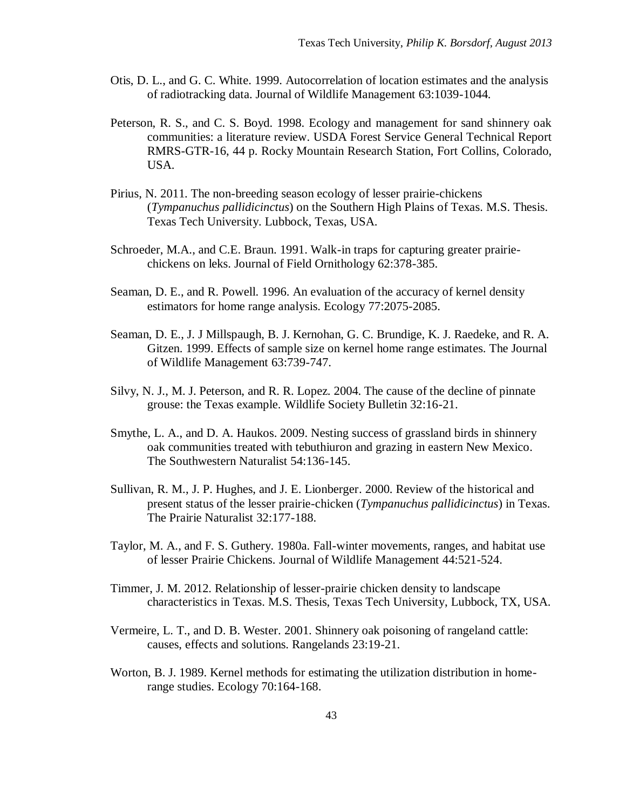- Otis, D. L., and G. C. White. 1999. Autocorrelation of location estimates and the analysis of radiotracking data. Journal of Wildlife Management 63:1039-1044.
- Peterson, R. S., and C. S. Boyd. 1998. Ecology and management for sand shinnery oak communities: a literature review. USDA Forest Service General Technical Report RMRS-GTR-16, 44 p. Rocky Mountain Research Station, Fort Collins, Colorado, USA.
- Pirius, N. 2011. The non-breeding season ecology of lesser prairie-chickens (*Tympanuchus pallidicinctus*) on the Southern High Plains of Texas. M.S. Thesis. Texas Tech University. Lubbock, Texas, USA.
- Schroeder, M.A., and C.E. Braun. 1991. Walk-in traps for capturing greater prairiechickens on leks. Journal of Field Ornithology 62:378-385.
- Seaman, D. E., and R. Powell. 1996. An evaluation of the accuracy of kernel density estimators for home range analysis. Ecology 77:2075-2085.
- Seaman, D. E., J. J Millspaugh, B. J. Kernohan, G. C. Brundige, K. J. Raedeke, and R. A. Gitzen. 1999. Effects of sample size on kernel home range estimates. The Journal of Wildlife Management 63:739-747.
- Silvy, N. J., M. J. Peterson, and R. R. Lopez. 2004. The cause of the decline of pinnate grouse: the Texas example. Wildlife Society Bulletin 32:16-21.
- Smythe, L. A., and D. A. Haukos. 2009. Nesting success of grassland birds in shinnery oak communities treated with tebuthiuron and grazing in eastern New Mexico. The Southwestern Naturalist 54:136-145.
- Sullivan, R. M., J. P. Hughes, and J. E. Lionberger. 2000. Review of the historical and present status of the lesser prairie-chicken (*Tympanuchus pallidicinctus*) in Texas. The Prairie Naturalist 32:177-188.
- Taylor, M. A., and F. S. Guthery. 1980a. Fall-winter movements, ranges, and habitat use of lesser Prairie Chickens. Journal of Wildlife Management 44:521-524.
- Timmer, J. M. 2012. Relationship of lesser-prairie chicken density to landscape characteristics in Texas. M.S. Thesis, Texas Tech University, Lubbock, TX, USA.
- Vermeire, L. T., and D. B. Wester. 2001. Shinnery oak poisoning of rangeland cattle: causes, effects and solutions. Rangelands 23:19-21.
- Worton, B. J. 1989. Kernel methods for estimating the utilization distribution in homerange studies. Ecology 70:164-168.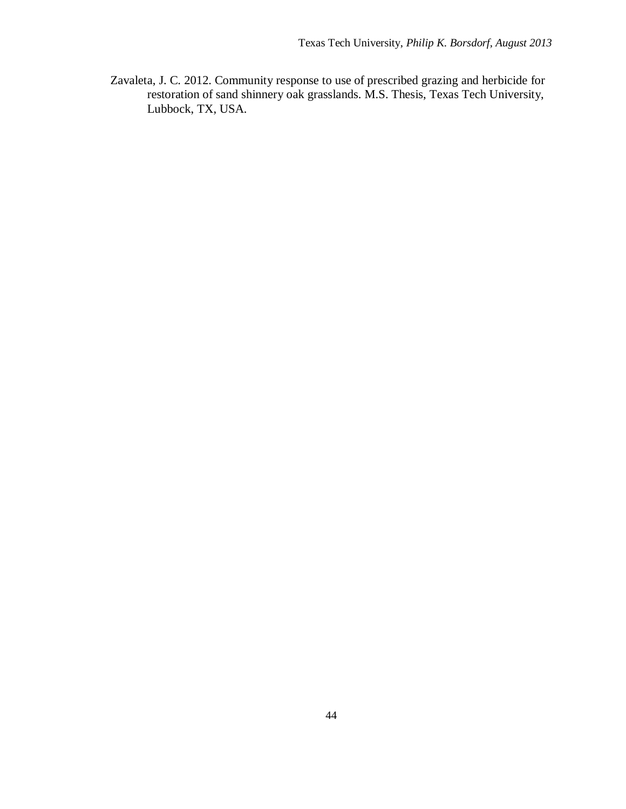Zavaleta, J. C. 2012. Community response to use of prescribed grazing and herbicide for restoration of sand shinnery oak grasslands. M.S. Thesis, Texas Tech University, Lubbock, TX, USA.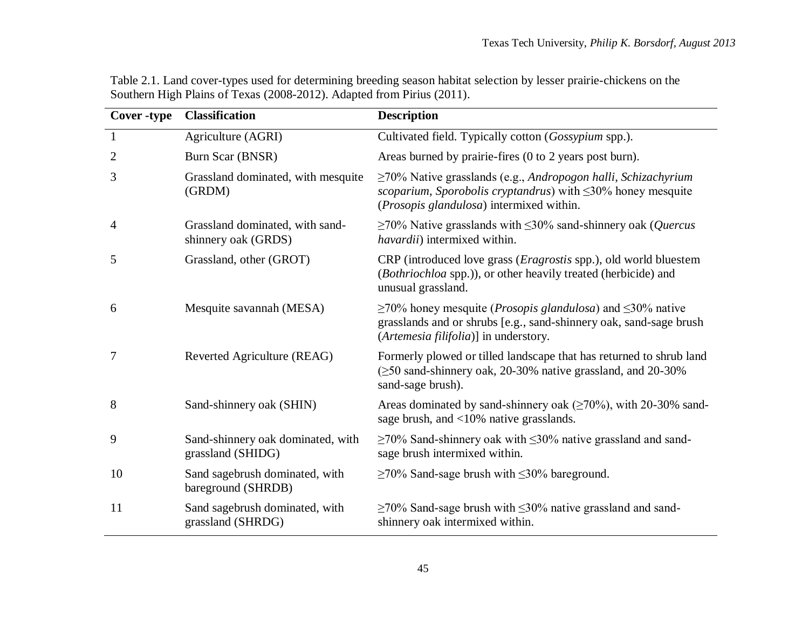| Cover -type    | <b>Classification</b>                                  | <b>Description</b>                                                                                                                                                                            |
|----------------|--------------------------------------------------------|-----------------------------------------------------------------------------------------------------------------------------------------------------------------------------------------------|
| $\mathbf{1}$   | Agriculture (AGRI)                                     | Cultivated field. Typically cotton (Gossypium spp.).                                                                                                                                          |
| $\overline{2}$ | Burn Scar (BNSR)                                       | Areas burned by prairie-fires (0 to 2 years post burn).                                                                                                                                       |
| 3              | Grassland dominated, with mesquite<br>(GRDM)           | $\geq$ 70% Native grasslands (e.g., Andropogon halli, Schizachyrium<br>scoparium, Sporobolis cryptandrus) with $\leq$ 30% honey mesquite<br>(Prosopis glandulosa) intermixed within.          |
| 4              | Grassland dominated, with sand-<br>shinnery oak (GRDS) | $\geq$ 70% Native grasslands with $\leq$ 30% sand-shinnery oak (Quercus<br>havardii) intermixed within.                                                                                       |
| 5              | Grassland, other (GROT)                                | CRP (introduced love grass ( <i>Eragrostis</i> spp.), old world bluestem<br>(Bothriochloa spp.)), or other heavily treated (herbicide) and<br>unusual grassland.                              |
| 6              | Mesquite savannah (MESA)                               | $\geq$ 70% honey mesquite ( <i>Prosopis glandulosa</i> ) and $\leq$ 30% native<br>grasslands and or shrubs [e.g., sand-shinnery oak, sand-sage brush<br>(Artemesia filifolia)] in understory. |
| 7              | Reverted Agriculture (REAG)                            | Formerly plowed or tilled landscape that has returned to shrub land<br>$(\geq 50$ sand-shinnery oak, 20-30% native grassland, and 20-30%<br>sand-sage brush).                                 |
| 8              | Sand-shinnery oak (SHIN)                               | Areas dominated by sand-shinnery oak $(\geq 70\%)$ , with 20-30% sand-<br>sage brush, and $\langle 10\%$ native grasslands.                                                                   |
| 9              | Sand-shinnery oak dominated, with<br>grassland (SHIDG) | $\geq$ 70% Sand-shinnery oak with $\leq$ 30% native grassland and sand-<br>sage brush intermixed within.                                                                                      |
| 10             | Sand sagebrush dominated, with<br>bareground (SHRDB)   | $\geq$ 70% Sand-sage brush with $\leq$ 30% bareground.                                                                                                                                        |
| 11             | Sand sagebrush dominated, with<br>grassland (SHRDG)    | $\geq$ 70% Sand-sage brush with $\leq$ 30% native grassland and sand-<br>shinnery oak intermixed within.                                                                                      |

Table 2.1. Land cover-types used for determining breeding season habitat selection by lesser prairie-chickens on the Southern High Plains of Texas (2008-2012). Adapted from Pirius (2011).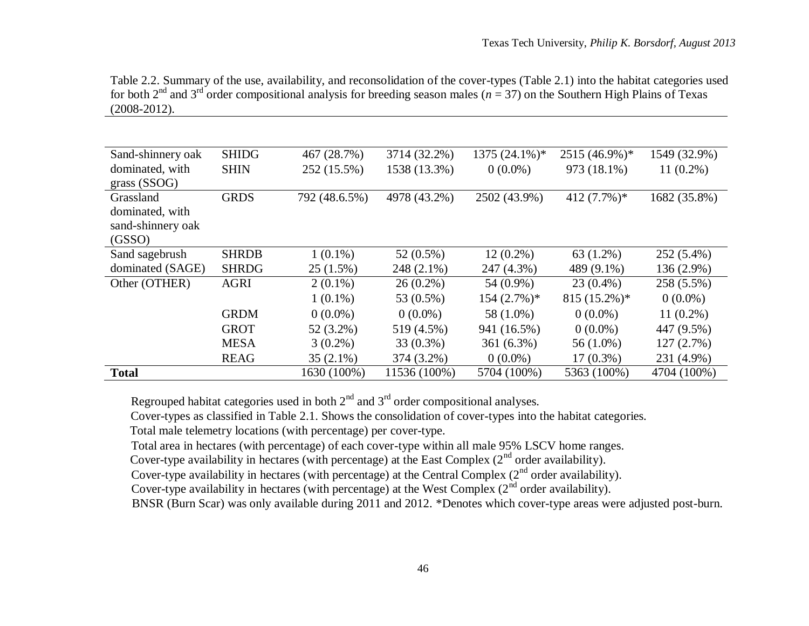Table 2.2. Summary of the use, availability, and reconsolidation of the cover-types (Table 2.1) into the habitat categories used for both  $2^{nd}$  and  $3^{rd}$  order compositional analysis for breeding season males ( $n = 37$ ) on the Southern High Plains of Texas (2008-2012).

| Sand-shinnery oak | <b>SHIDG</b> | 467 (28.7%)   | 3714 (32.2%) | 1375 (24.1%)* | 2515 (46.9%)*   | 1549 (32.9%) |
|-------------------|--------------|---------------|--------------|---------------|-----------------|--------------|
| dominated, with   | <b>SHIN</b>  | 252 (15.5%)   | 1538 (13.3%) | $0(0.0\%)$    | 973 (18.1%)     | $11(0.2\%)$  |
| $grass$ (SSOG)    |              |               |              |               |                 |              |
| Grassland         | <b>GRDS</b>  | 792 (48.6.5%) | 4978 (43.2%) | 2502 (43.9%)  | 412 $(7.7\%)^*$ | 1682 (35.8%) |
| dominated, with   |              |               |              |               |                 |              |
| sand-shinnery oak |              |               |              |               |                 |              |
| (GSSO)            |              |               |              |               |                 |              |
| Sand sagebrush    | <b>SHRDB</b> | $1(0.1\%)$    | $52(0.5\%)$  | $12(0.2\%)$   | $63(1.2\%)$     | 252 (5.4%)   |
| dominated (SAGE)  | <b>SHRDG</b> | 25(1.5%)      | 248 (2.1%)   | 247 (4.3%)    | 489 (9.1%)      | 136 (2.9%)   |
| Other (OTHER)     | <b>AGRI</b>  | $2(0.1\%)$    | $26(0.2\%)$  | 54 (0.9%)     | $23(0.4\%)$     | 258 (5.5%)   |
|                   |              | $1(0.1\%)$    | 53 (0.5%)    | $154(2.7\%)*$ | $815 (15.2\%)*$ | $0(0.0\%)$   |
|                   | <b>GRDM</b>  | $0(0.0\%)$    | $0(0.0\%)$   | 58 (1.0%)     | $0(0.0\%)$      | $11(0.2\%)$  |
|                   | <b>GROT</b>  | 52 (3.2%)     | 519 (4.5%)   | 941 (16.5%)   | $0(0.0\%)$      | 447 (9.5%)   |
|                   | <b>MESA</b>  | $3(0.2\%)$    | $33(0.3\%)$  | 361 (6.3%)    | 56 $(1.0\%)$    | 127(2.7%)    |
|                   | <b>REAG</b>  | $35(2.1\%)$   | 374 (3.2%)   | $0(0.0\%)$    | $17(0.3\%)$     | 231 (4.9%)   |
| <b>Total</b>      |              | 1630 (100%)   | 11536 (100%) | 5704 (100%)   | 5363 (100%)     | 4704 (100%)  |

Regrouped habitat categories used in both  $2<sup>nd</sup>$  and  $3<sup>rd</sup>$  order compositional analyses.

Cover-types as classified in Table 2.1. Shows the consolidation of cover-types into the habitat categories.

Total male telemetry locations (with percentage) per cover-type.

Total area in hectares (with percentage) of each cover-type within all male 95% LSCV home ranges.

Cover-type availability in hectares (with percentage) at the East Complex  $(2<sup>nd</sup>$  order availability).

Cover-type availability in hectares (with percentage) at the Central Complex  $(2<sup>nd</sup>$  order availability).

Cover-type availability in hectares (with percentage) at the West Complex  $(2<sup>nd</sup>$  order availability).

BNSR (Burn Scar) was only available during 2011 and 2012. \*Denotes which cover-type areas were adjusted post-burn.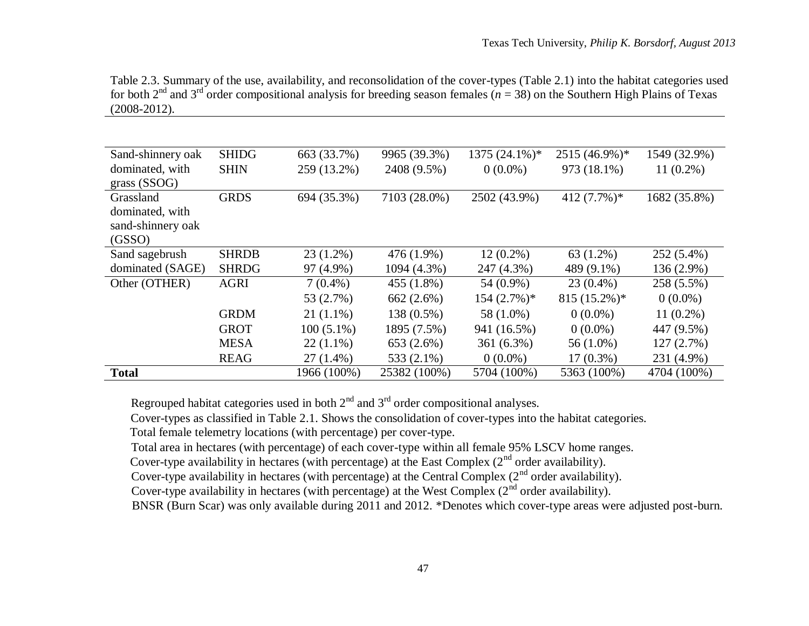Table 2.3. Summary of the use, availability, and reconsolidation of the cover-types (Table 2.1) into the habitat categories used for both  $2^{nd}$  and  $3^{rd}$  order compositional analysis for breeding season females ( $n = 38$ ) on the Southern High Plains of Texas (2008-2012).

| Sand-shinnery oak | <b>SHIDG</b> | 663 (33.7%)  | 9965 (39.3%) | $1375(24.1\%)*$ | 2515 (46.9%)*   | 1549 (32.9%) |
|-------------------|--------------|--------------|--------------|-----------------|-----------------|--------------|
| dominated, with   | <b>SHIN</b>  | 259 (13.2%)  | 2408 (9.5%)  | $0(0.0\%)$      | 973 (18.1%)     | $11(0.2\%)$  |
| $grass$ (SSOG)    |              |              |              |                 |                 |              |
| Grassland         | <b>GRDS</b>  | 694 (35.3%)  | 7103 (28.0%) | 2502 (43.9%)    | 412 $(7.7\%)^*$ | 1682 (35.8%) |
| dominated, with   |              |              |              |                 |                 |              |
| sand-shinnery oak |              |              |              |                 |                 |              |
| (GSSO)            |              |              |              |                 |                 |              |
| Sand sagebrush    | <b>SHRDB</b> | $23(1.2\%)$  | 476 (1.9%)   | $12(0.2\%)$     | $63(1.2\%)$     | 252 (5.4%)   |
| dominated (SAGE)  | <b>SHRDG</b> | 97 (4.9%)    | 1094 (4.3%)  | 247 (4.3%)      | 489 (9.1%)      | 136 (2.9%)   |
| Other (OTHER)     | <b>AGRI</b>  | $7(0.4\%)$   | 455 (1.8%)   | 54 (0.9%)       | $23(0.4\%)$     | 258 (5.5%)   |
|                   |              | 53 (2.7%)    | 662 (2.6%)   | $154(2.7\%)*$   | $815 (15.2\%)*$ | $0(0.0\%)$   |
|                   | <b>GRDM</b>  | $21(1.1\%)$  | 138 (0.5%)   | 58 (1.0%)       | $0(0.0\%)$      | $11(0.2\%)$  |
|                   | <b>GROT</b>  | $100(5.1\%)$ | 1895 (7.5%)  | 941 (16.5%)     | $0(0.0\%)$      | 447 (9.5%)   |
|                   | <b>MESA</b>  | $22(1.1\%)$  | 653 (2.6%)   | 361 (6.3%)      | 56 $(1.0\%)$    | 127(2.7%)    |
|                   | <b>REAG</b>  | $27(1.4\%)$  | 533 (2.1%)   | $0(0.0\%)$      | $17(0.3\%)$     | 231 (4.9%)   |
| <b>Total</b>      |              | 1966 (100%)  | 25382 (100%) | 5704 (100%)     | 5363 (100%)     | 4704 (100%)  |

Regrouped habitat categories used in both  $2<sup>nd</sup>$  and  $3<sup>rd</sup>$  order compositional analyses.

Cover-types as classified in Table 2.1. Shows the consolidation of cover-types into the habitat categories.

Total female telemetry locations (with percentage) per cover-type.

Total area in hectares (with percentage) of each cover-type within all female 95% LSCV home ranges.

Cover-type availability in hectares (with percentage) at the East Complex  $(2<sup>nd</sup>$  order availability).

Cover-type availability in hectares (with percentage) at the Central Complex  $(2<sup>nd</sup>$  order availability).

Cover-type availability in hectares (with percentage) at the West Complex  $(2<sup>nd</sup>$  order availability).

BNSR (Burn Scar) was only available during 2011 and 2012. \*Denotes which cover-type areas were adjusted post-burn.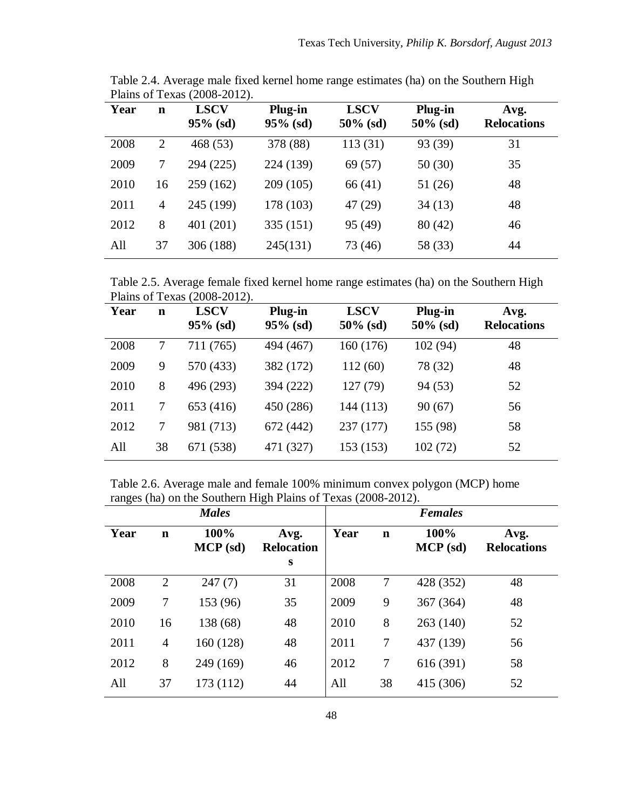| Year | $\mathbf n$ | <b>LSCV</b><br>$95\%$ (sd) | Plug-in<br>$95\%$ (sd) | <b>LSCV</b><br>$50\%$ (sd) | Plug-in<br>$50\%$ (sd) | Avg.<br><b>Relocations</b> |
|------|-------------|----------------------------|------------------------|----------------------------|------------------------|----------------------------|
| 2008 | 2           | 468 (53)                   | 378 (88)               | 113(31)                    | 93 (39)                | 31                         |
| 2009 | 7           | 294 (225)                  | 224 (139)              | 69 (57)                    | 50(30)                 | 35                         |
| 2010 | 16          | 259 (162)                  | 209 (105)              | 66 (41)                    | 51(26)                 | 48                         |
| 2011 | 4           | 245 (199)                  | 178 (103)              | 47 (29)                    | 34(13)                 | 48                         |
| 2012 | 8           | 401 (201)                  | 335 (151)              | 95 (49)                    | 80(42)                 | 46                         |
| All  | 37          | 306 (188)                  | 245(131)               | 73 (46)                    | 58 (33)                | 44                         |

Table 2.4. Average male fixed kernel home range estimates (ha) on the Southern High Plains of Texas (2008-2012).

Table 2.5. Average female fixed kernel home range estimates (ha) on the Southern High Plains of Texas (2008-2012).

| Year | n  | <b>LSCV</b><br>$95\%$ (sd) | Plug-in<br>$95\%$ (sd) | <b>LSCV</b><br>$50\%$ (sd) | Plug-in<br>$50\%$ (sd) | Avg.<br><b>Relocations</b> |
|------|----|----------------------------|------------------------|----------------------------|------------------------|----------------------------|
| 2008 | 7  | 711 (765)                  | 494 (467)              | 160 (176)                  | 102(94)                | 48                         |
| 2009 | 9  | 570 (433)                  | 382 (172)              | 112 (60)                   | 78 (32)                | 48                         |
| 2010 | 8  | 496 (293)                  | 394 (222)              | 127 (79)                   | 94(53)                 | 52                         |
| 2011 | 7  | 653 (416)                  | 450 (286)              | 144 (113)                  | 90(67)                 | 56                         |
| 2012 | 7  | 981 (713)                  | 672 (442)              | 237 (177)                  | 155 (98)               | 58                         |
| All  | 38 | 671 (538)                  | 471 (327)              | 153 (153)                  | 102(72)                | 52                         |

Table 2.6. Average male and female 100% minimum convex polygon (MCP) home ranges (ha) on the Southern High Plains of Texas (2008-2012).

|      |                | <b>Males</b>       |                           |      |                | <b>Females</b>   |                            |
|------|----------------|--------------------|---------------------------|------|----------------|------------------|----------------------------|
| Year | $\mathbf n$    | 100%<br>$MCP$ (sd) | Avg.<br><b>Relocation</b> | Year | n              | 100%<br>MCP (sd) | Avg.<br><b>Relocations</b> |
|      |                |                    | S                         |      |                |                  |                            |
| 2008 | $\overline{2}$ | 247(7)             | 31                        | 2008 | $\overline{7}$ | 428 (352)        | 48                         |
| 2009 | 7              | 153 (96)           | 35                        | 2009 | 9              | 367 (364)        | 48                         |
| 2010 | 16             | 138 (68)           | 48                        | 2010 | 8              | 263 (140)        | 52                         |
| 2011 | $\overline{4}$ | 160 (128)          | 48                        | 2011 | $\overline{7}$ | 437 (139)        | 56                         |
| 2012 | 8              | 249 (169)          | 46                        | 2012 | $\overline{7}$ | 616 (391)        | 58                         |
| All  | 37             | 173 (112)          | 44                        | All  | 38             | 415 (306)        | 52                         |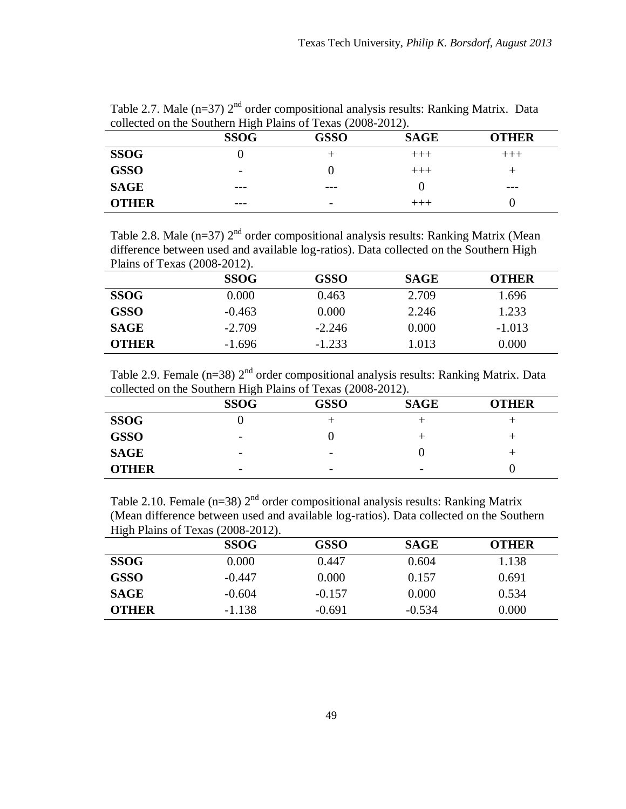| collected on the Southern High Plains of Texas ( $2008-2012$ ). |             |      |             |              |  |  |
|-----------------------------------------------------------------|-------------|------|-------------|--------------|--|--|
|                                                                 | <b>SSOG</b> | GSSO | <b>SAGE</b> | <b>OTHER</b> |  |  |
| <b>SSOG</b>                                                     |             |      | $+++$       | $^{+++}$     |  |  |
| <b>GSSO</b>                                                     |             |      | $^{+++}$    |              |  |  |
| <b>SAGE</b>                                                     | ---         | ---  |             | $- - -$      |  |  |
| <b>OTHER</b>                                                    |             |      |             |              |  |  |

Table 2.7. Male ( $n=37$ )  $2<sup>nd</sup>$  order compositional analysis results: Ranking Matrix. Data collected on the Southern High Plains of Texas (2008-2012).

Table 2.8. Male ( $n=37$ )  $2<sup>nd</sup>$  order compositional analysis results: Ranking Matrix (Mean difference between used and available log-ratios). Data collected on the Southern High Plains of Texas (2008-2012).

|              | <b>SSOG</b> | <b>GSSO</b> | <b>SAGE</b> | <b>OTHER</b> |
|--------------|-------------|-------------|-------------|--------------|
| <b>SSOG</b>  | 0.000       | 0.463       | 2.709       | 1.696        |
| <b>GSSO</b>  | $-0.463$    | 0.000       | 2.246       | 1.233        |
| <b>SAGE</b>  | $-2.709$    | $-2.246$    | 0.000       | $-1.013$     |
| <b>OTHER</b> | $-1.696$    | $-1.233$    | 1.013       | 0.000        |

Table 2.9. Female ( $n=38$ )  $2<sup>nd</sup>$  order compositional analysis results: Ranking Matrix. Data collected on the Southern High Plains of Texas (2008-2012).

|              | $\tilde{\phantom{a}}$<br><b>SSOG</b> | <b>GSSO</b>              | <b>SAGE</b>              | <b>OTHER</b> |
|--------------|--------------------------------------|--------------------------|--------------------------|--------------|
| <b>SSOG</b>  |                                      |                          |                          |              |
| <b>GSSO</b>  | $\overline{\phantom{a}}$             |                          |                          |              |
| <b>SAGE</b>  | $\overline{\phantom{a}}$             | $\overline{\phantom{0}}$ |                          |              |
| <b>OTHER</b> | $\overline{\phantom{a}}$             | $\overline{\phantom{0}}$ | $\overline{\phantom{0}}$ |              |

Table 2.10. Female ( $n=38$ )  $2<sup>nd</sup>$  order compositional analysis results: Ranking Matrix (Mean difference between used and available log-ratios). Data collected on the Southern High Plains of Texas (2008-2012).

|              | <b>SSOG</b> | <b>GSSO</b> | <b>SAGE</b> | OTHER |
|--------------|-------------|-------------|-------------|-------|
| <b>SSOG</b>  | 0.000       | 0.447       | 0.604       | 1.138 |
| <b>GSSO</b>  | $-0.447$    | 0.000       | 0.157       | 0.691 |
| <b>SAGE</b>  | $-0.604$    | $-0.157$    | 0.000       | 0.534 |
| <b>OTHER</b> | $-1.138$    | $-0.691$    | $-0.534$    | 0.000 |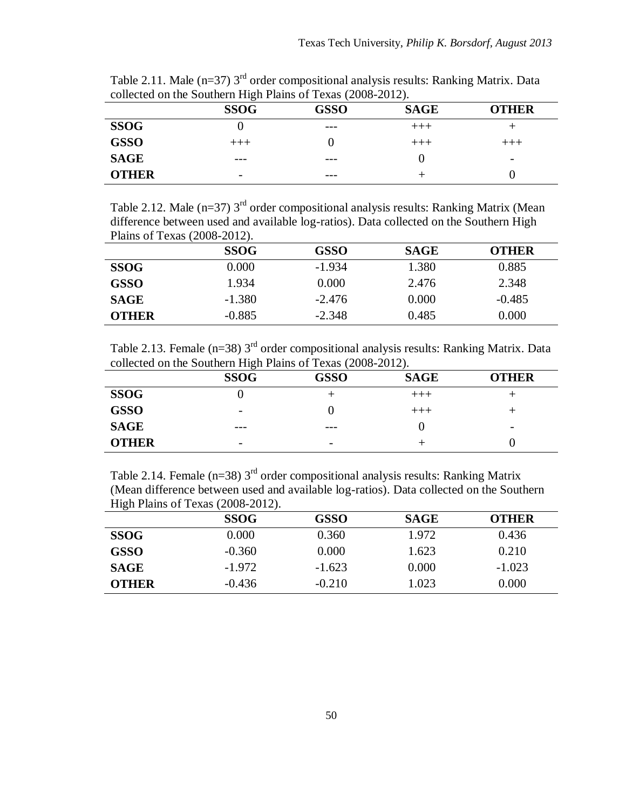| CONCERT ON THE SOUTHERN LIBRET Ranks Of TEXAS (2000-2012). |             |             |             |                          |  |  |
|------------------------------------------------------------|-------------|-------------|-------------|--------------------------|--|--|
|                                                            | <b>SSOG</b> | <b>GSSO</b> | <b>SAGE</b> | <b>OTHER</b>             |  |  |
| <b>SSOG</b>                                                |             | $- - -$     | $++++$      |                          |  |  |
| <b>GSSO</b>                                                | $^{+++}$    |             | $^{+++}$    | $^{+++}$                 |  |  |
| <b>SAGE</b>                                                | ---         |             |             | $\overline{\phantom{0}}$ |  |  |
| <b>OTHER</b>                                               |             |             |             |                          |  |  |

Table 2.11. Male ( $n=37$ )  $3<sup>rd</sup>$  order compositional analysis results: Ranking Matrix. Data collected on the Southern High Plains of Texas (2008-2012).

Table 2.12. Male ( $n=37$ ) 3<sup>rd</sup> order compositional analysis results: Ranking Matrix (Mean difference between used and available log-ratios). Data collected on the Southern High Plains of Texas (2008-2012).

|              | <b>SSOG</b> | <b>GSSO</b> | <b>SAGE</b> | OTHER    |
|--------------|-------------|-------------|-------------|----------|
| <b>SSOG</b>  | 0.000       | $-1.934$    | 1.380       | 0.885    |
| <b>GSSO</b>  | 1.934       | 0.000       | 2.476       | 2.348    |
| <b>SAGE</b>  | $-1.380$    | $-2.476$    | 0.000       | $-0.485$ |
| <b>OTHER</b> | $-0.885$    | $-2.348$    | 0.485       | 0.000    |

Table 2.13. Female (n=38)  $3<sup>rd</sup>$  order compositional analysis results: Ranking Matrix. Data collected on the Southern High Plains of Texas (2008-2012).

|              | <b>SSOG</b>              | <b>GSSO</b>              | <b>SAGE</b> | <b>OTHER</b>             |  |
|--------------|--------------------------|--------------------------|-------------|--------------------------|--|
| <b>SSOG</b>  |                          |                          |             |                          |  |
| <b>GSSO</b>  | -                        |                          |             |                          |  |
| <b>SAGE</b>  | $- - -$                  | $- - -$                  |             | $\overline{\phantom{0}}$ |  |
| <b>OTHER</b> | $\overline{\phantom{0}}$ | $\overline{\phantom{0}}$ |             |                          |  |
|              |                          |                          |             |                          |  |

Table 2.14. Female ( $n=38$ )  $3<sup>rd</sup>$  order compositional analysis results: Ranking Matrix (Mean difference between used and available log-ratios). Data collected on the Southern High Plains of Texas (2008-2012).

|              | <b>SSOG</b> | <b>GSSO</b> | <b>SAGE</b> | <b>OTHER</b> |
|--------------|-------------|-------------|-------------|--------------|
| <b>SSOG</b>  | 0.000       | 0.360       | 1.972       | 0.436        |
| <b>GSSO</b>  | $-0.360$    | 0.000       | 1.623       | 0.210        |
| <b>SAGE</b>  | $-1.972$    | $-1.623$    | 0.000       | $-1.023$     |
| <b>OTHER</b> | $-0.436$    | $-0.210$    | 1.023       | 0.000        |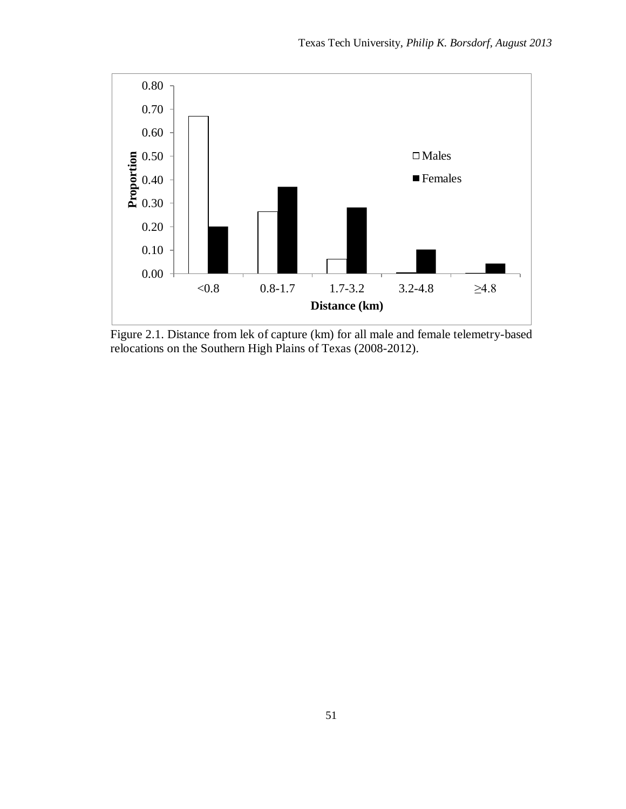

Figure 2.1. Distance from lek of capture (km) for all male and female telemetry-based relocations on the Southern High Plains of Texas (2008-2012).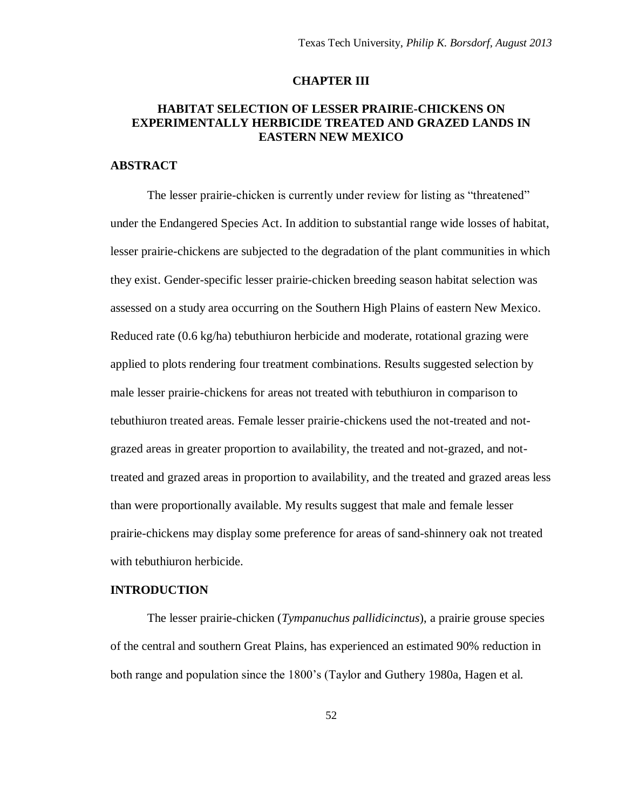### **CHAPTER III**

# **HABITAT SELECTION OF LESSER PRAIRIE-CHICKENS ON EXPERIMENTALLY HERBICIDE TREATED AND GRAZED LANDS IN EASTERN NEW MEXICO**

## **ABSTRACT**

The lesser prairie-chicken is currently under review for listing as "threatened" under the Endangered Species Act. In addition to substantial range wide losses of habitat, lesser prairie-chickens are subjected to the degradation of the plant communities in which they exist. Gender-specific lesser prairie-chicken breeding season habitat selection was assessed on a study area occurring on the Southern High Plains of eastern New Mexico. Reduced rate (0.6 kg/ha) tebuthiuron herbicide and moderate, rotational grazing were applied to plots rendering four treatment combinations. Results suggested selection by male lesser prairie-chickens for areas not treated with tebuthiuron in comparison to tebuthiuron treated areas. Female lesser prairie-chickens used the not-treated and notgrazed areas in greater proportion to availability, the treated and not-grazed, and nottreated and grazed areas in proportion to availability, and the treated and grazed areas less than were proportionally available. My results suggest that male and female lesser prairie-chickens may display some preference for areas of sand-shinnery oak not treated with tebuthiuron herbicide.

# **INTRODUCTION**

The lesser prairie-chicken (*Tympanuchus pallidicinctus*), a prairie grouse species of the central and southern Great Plains, has experienced an estimated 90% reduction in both range and population since the 1800's (Taylor and Guthery 1980a, Hagen et al.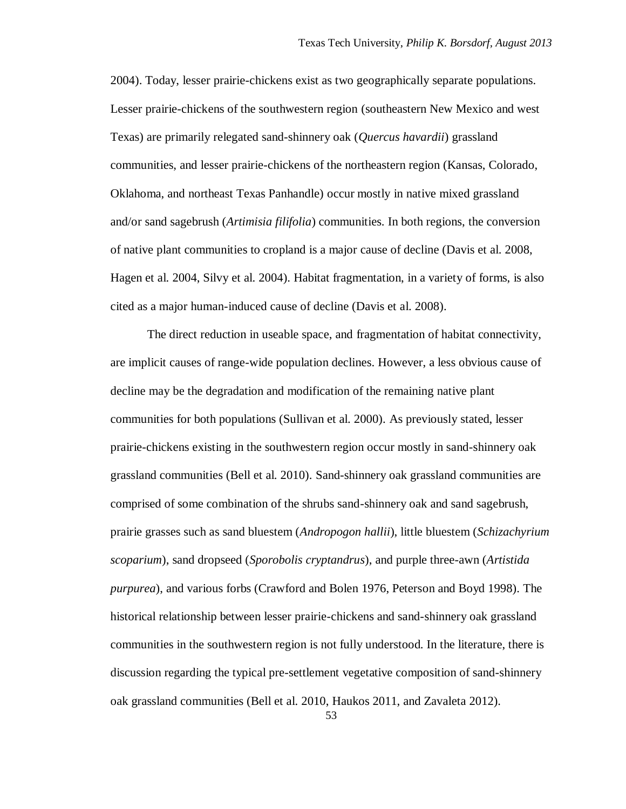2004). Today, lesser prairie-chickens exist as two geographically separate populations. Lesser prairie-chickens of the southwestern region (southeastern New Mexico and west Texas) are primarily relegated sand-shinnery oak (*Quercus havardii*) grassland communities, and lesser prairie-chickens of the northeastern region (Kansas, Colorado, Oklahoma, and northeast Texas Panhandle) occur mostly in native mixed grassland and/or sand sagebrush (*Artimisia filifolia*) communities. In both regions, the conversion of native plant communities to cropland is a major cause of decline (Davis et al. 2008, Hagen et al. 2004, Silvy et al. 2004). Habitat fragmentation, in a variety of forms, is also cited as a major human-induced cause of decline (Davis et al. 2008).

The direct reduction in useable space, and fragmentation of habitat connectivity, are implicit causes of range-wide population declines. However, a less obvious cause of decline may be the degradation and modification of the remaining native plant communities for both populations (Sullivan et al. 2000). As previously stated, lesser prairie-chickens existing in the southwestern region occur mostly in sand-shinnery oak grassland communities (Bell et al. 2010). Sand-shinnery oak grassland communities are comprised of some combination of the shrubs sand-shinnery oak and sand sagebrush, prairie grasses such as sand bluestem (*Andropogon hallii*), little bluestem (*Schizachyrium scoparium*), sand dropseed (*Sporobolis cryptandrus*), and purple three-awn (*Artistida purpurea*), and various forbs (Crawford and Bolen 1976, Peterson and Boyd 1998). The historical relationship between lesser prairie-chickens and sand-shinnery oak grassland communities in the southwestern region is not fully understood. In the literature, there is discussion regarding the typical pre-settlement vegetative composition of sand-shinnery oak grassland communities (Bell et al. 2010, Haukos 2011, and Zavaleta 2012).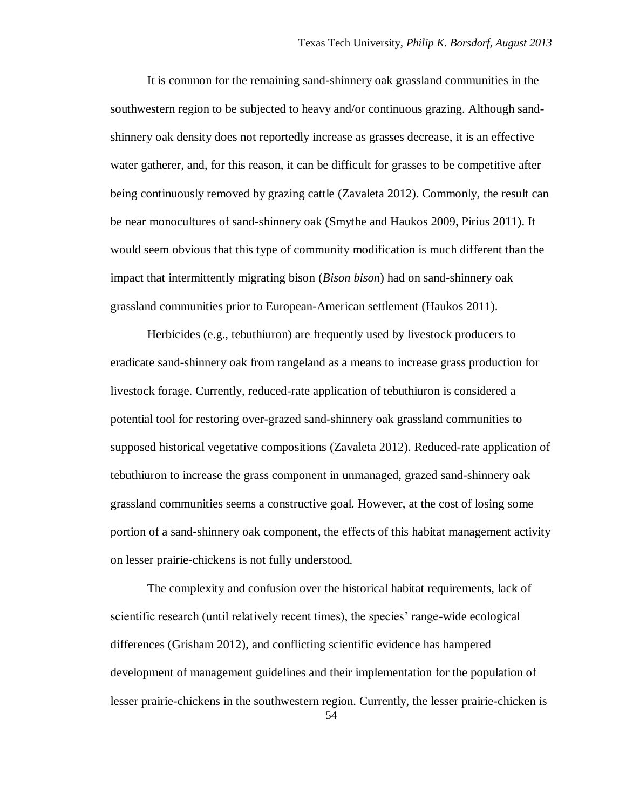It is common for the remaining sand-shinnery oak grassland communities in the southwestern region to be subjected to heavy and/or continuous grazing. Although sandshinnery oak density does not reportedly increase as grasses decrease, it is an effective water gatherer, and, for this reason, it can be difficult for grasses to be competitive after being continuously removed by grazing cattle (Zavaleta 2012). Commonly, the result can be near monocultures of sand-shinnery oak (Smythe and Haukos 2009, Pirius 2011). It would seem obvious that this type of community modification is much different than the impact that intermittently migrating bison (*Bison bison*) had on sand-shinnery oak grassland communities prior to European-American settlement (Haukos 2011).

Herbicides (e.g., tebuthiuron) are frequently used by livestock producers to eradicate sand-shinnery oak from rangeland as a means to increase grass production for livestock forage. Currently, reduced-rate application of tebuthiuron is considered a potential tool for restoring over-grazed sand-shinnery oak grassland communities to supposed historical vegetative compositions (Zavaleta 2012). Reduced-rate application of tebuthiuron to increase the grass component in unmanaged, grazed sand-shinnery oak grassland communities seems a constructive goal. However, at the cost of losing some portion of a sand-shinnery oak component, the effects of this habitat management activity on lesser prairie-chickens is not fully understood.

The complexity and confusion over the historical habitat requirements, lack of scientific research (until relatively recent times), the species' range-wide ecological differences (Grisham 2012), and conflicting scientific evidence has hampered development of management guidelines and their implementation for the population of lesser prairie-chickens in the southwestern region. Currently, the lesser prairie-chicken is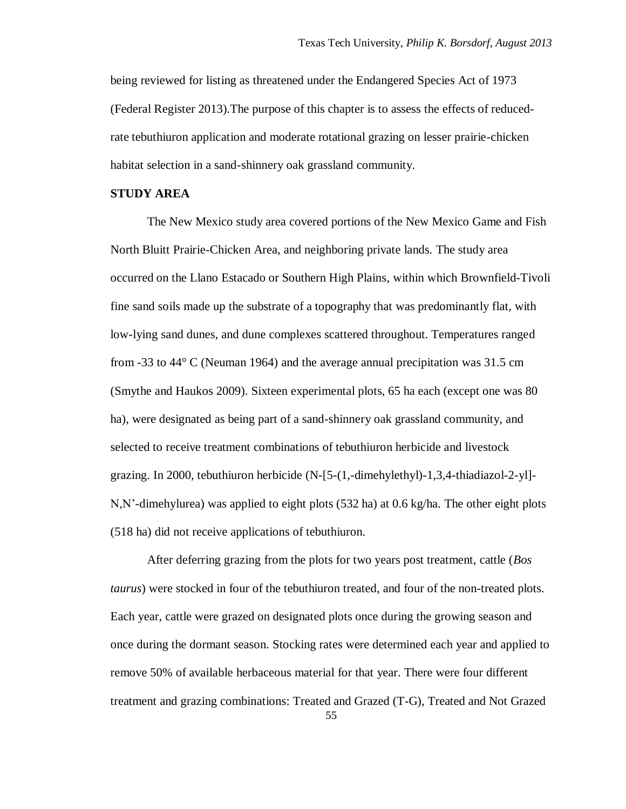being reviewed for listing as threatened under the Endangered Species Act of 1973 (Federal Register 2013).The purpose of this chapter is to assess the effects of reducedrate tebuthiuron application and moderate rotational grazing on lesser prairie-chicken habitat selection in a sand-shinnery oak grassland community.

# **STUDY AREA**

The New Mexico study area covered portions of the New Mexico Game and Fish North Bluitt Prairie-Chicken Area, and neighboring private lands. The study area occurred on the Llano Estacado or Southern High Plains, within which Brownfield-Tivoli fine sand soils made up the substrate of a topography that was predominantly flat, with low-lying sand dunes, and dune complexes scattered throughout. Temperatures ranged from -33 to 44° C (Neuman 1964) and the average annual precipitation was 31.5 cm (Smythe and Haukos 2009). Sixteen experimental plots, 65 ha each (except one was 80 ha), were designated as being part of a sand-shinnery oak grassland community, and selected to receive treatment combinations of tebuthiuron herbicide and livestock grazing. In 2000, tebuthiuron herbicide (N-[5-(1,-dimehylethyl)-1,3,4-thiadiazol-2-yl]- N,N'-dimehylurea) was applied to eight plots (532 ha) at 0.6 kg/ha. The other eight plots (518 ha) did not receive applications of tebuthiuron.

After deferring grazing from the plots for two years post treatment, cattle (*Bos taurus*) were stocked in four of the tebuthiuron treated, and four of the non-treated plots. Each year, cattle were grazed on designated plots once during the growing season and once during the dormant season. Stocking rates were determined each year and applied to remove 50% of available herbaceous material for that year. There were four different treatment and grazing combinations: Treated and Grazed (T-G), Treated and Not Grazed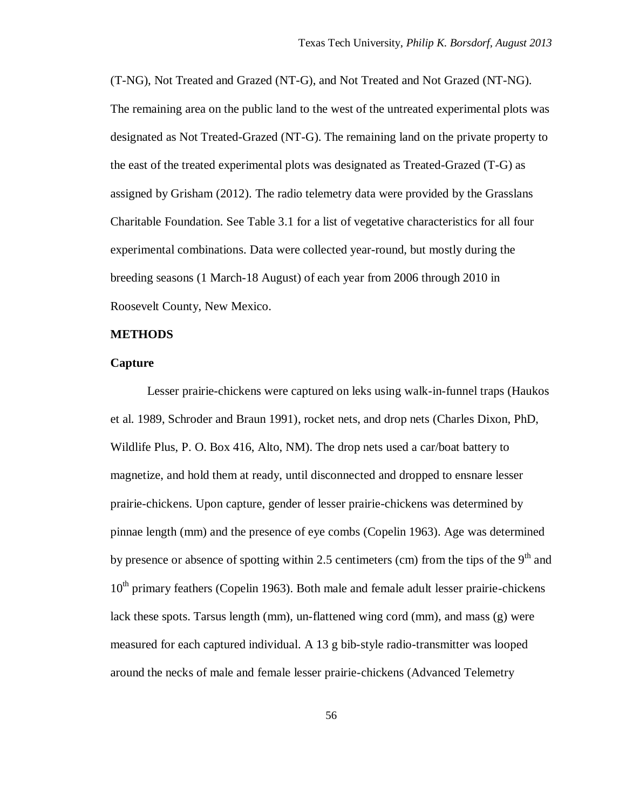(T-NG), Not Treated and Grazed (NT-G), and Not Treated and Not Grazed (NT-NG). The remaining area on the public land to the west of the untreated experimental plots was designated as Not Treated-Grazed (NT-G). The remaining land on the private property to the east of the treated experimental plots was designated as Treated-Grazed (T-G) as assigned by Grisham (2012). The radio telemetry data were provided by the Grasslans Charitable Foundation. See Table 3.1 for a list of vegetative characteristics for all four experimental combinations. Data were collected year-round, but mostly during the breeding seasons (1 March-18 August) of each year from 2006 through 2010 in Roosevelt County, New Mexico.

### **METHODS**

#### **Capture**

Lesser prairie-chickens were captured on leks using walk-in-funnel traps (Haukos et al. 1989, Schroder and Braun 1991), rocket nets, and drop nets (Charles Dixon, PhD, Wildlife Plus, P. O. Box 416, Alto, NM). The drop nets used a car/boat battery to magnetize, and hold them at ready, until disconnected and dropped to ensnare lesser prairie-chickens. Upon capture, gender of lesser prairie-chickens was determined by pinnae length (mm) and the presence of eye combs (Copelin 1963). Age was determined by presence or absence of spotting within 2.5 centimeters (cm) from the tips of the  $9<sup>th</sup>$  and  $10<sup>th</sup>$  primary feathers (Copelin 1963). Both male and female adult lesser prairie-chickens lack these spots. Tarsus length (mm), un-flattened wing cord (mm), and mass (g) were measured for each captured individual. A 13 g bib-style radio-transmitter was looped around the necks of male and female lesser prairie-chickens (Advanced Telemetry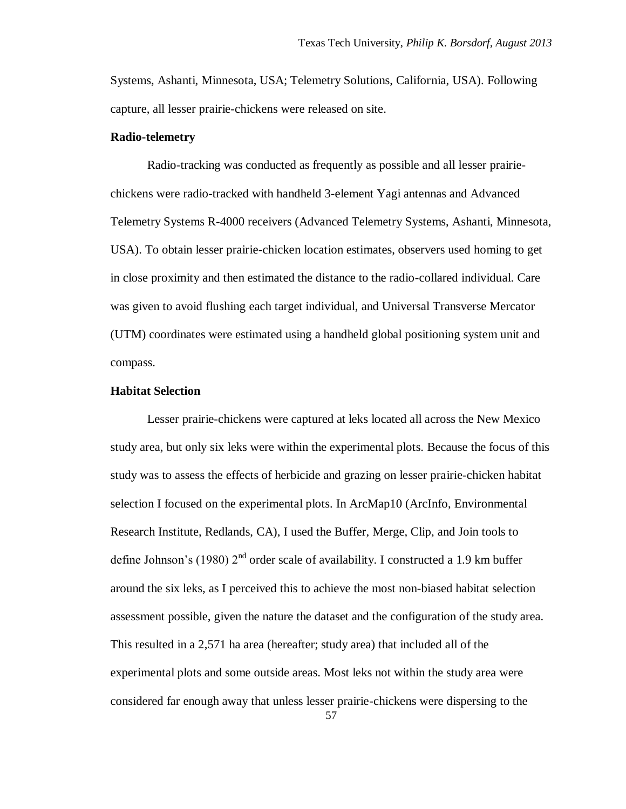Systems, Ashanti, Minnesota, USA; Telemetry Solutions, California, USA). Following capture, all lesser prairie-chickens were released on site.

### **Radio-telemetry**

Radio-tracking was conducted as frequently as possible and all lesser prairiechickens were radio-tracked with handheld 3-element Yagi antennas and Advanced Telemetry Systems R-4000 receivers (Advanced Telemetry Systems, Ashanti, Minnesota, USA). To obtain lesser prairie-chicken location estimates, observers used homing to get in close proximity and then estimated the distance to the radio-collared individual. Care was given to avoid flushing each target individual, and Universal Transverse Mercator (UTM) coordinates were estimated using a handheld global positioning system unit and compass.

## **Habitat Selection**

Lesser prairie-chickens were captured at leks located all across the New Mexico study area, but only six leks were within the experimental plots. Because the focus of this study was to assess the effects of herbicide and grazing on lesser prairie-chicken habitat selection I focused on the experimental plots. In ArcMap10 (ArcInfo, Environmental Research Institute, Redlands, CA), I used the Buffer, Merge, Clip, and Join tools to define Johnson's (1980)  $2<sup>nd</sup>$  order scale of availability. I constructed a 1.9 km buffer around the six leks, as I perceived this to achieve the most non-biased habitat selection assessment possible, given the nature the dataset and the configuration of the study area. This resulted in a 2,571 ha area (hereafter; study area) that included all of the experimental plots and some outside areas. Most leks not within the study area were considered far enough away that unless lesser prairie-chickens were dispersing to the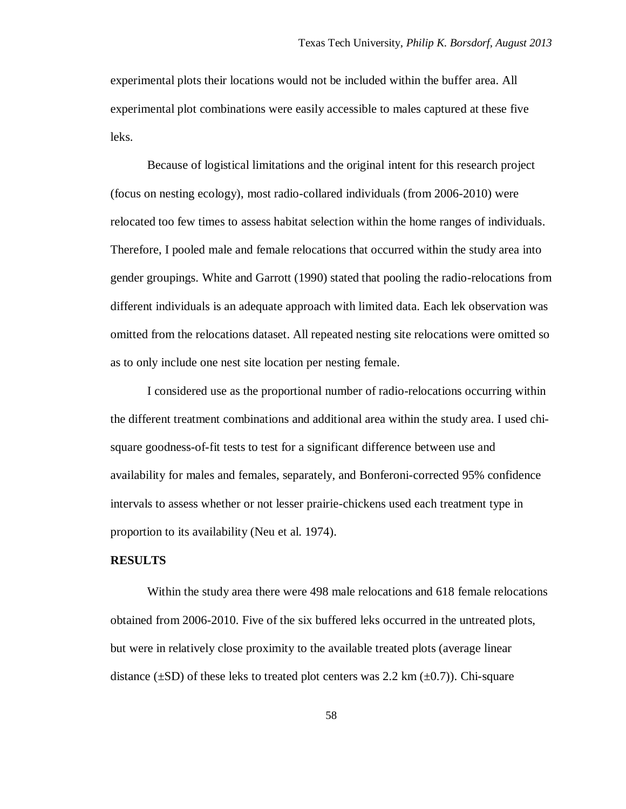experimental plots their locations would not be included within the buffer area. All experimental plot combinations were easily accessible to males captured at these five leks.

Because of logistical limitations and the original intent for this research project (focus on nesting ecology), most radio-collared individuals (from 2006-2010) were relocated too few times to assess habitat selection within the home ranges of individuals. Therefore, I pooled male and female relocations that occurred within the study area into gender groupings. White and Garrott (1990) stated that pooling the radio-relocations from different individuals is an adequate approach with limited data. Each lek observation was omitted from the relocations dataset. All repeated nesting site relocations were omitted so as to only include one nest site location per nesting female.

I considered use as the proportional number of radio-relocations occurring within the different treatment combinations and additional area within the study area. I used chisquare goodness-of-fit tests to test for a significant difference between use and availability for males and females, separately, and Bonferoni-corrected 95% confidence intervals to assess whether or not lesser prairie-chickens used each treatment type in proportion to its availability (Neu et al. 1974).

### **RESULTS**

Within the study area there were 498 male relocations and 618 female relocations obtained from 2006-2010. Five of the six buffered leks occurred in the untreated plots, but were in relatively close proximity to the available treated plots (average linear distance ( $\pm$ SD) of these leks to treated plot centers was 2.2 km ( $\pm$ 0.7)). Chi-square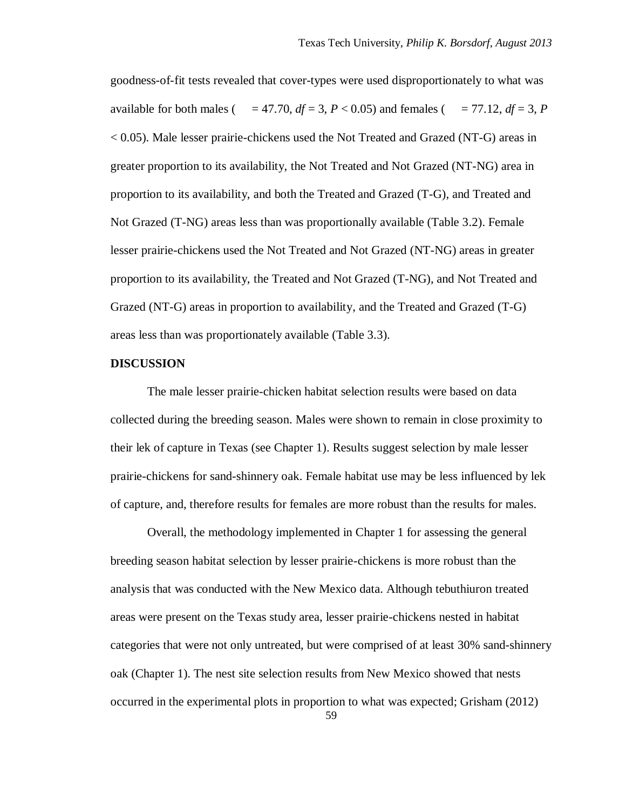goodness-of-fit tests revealed that cover-types were used disproportionately to what was available for both males ( $= 47.70$ ,  $df = 3$ ,  $P < 0.05$ ) and females ( $= 77.12$ ,  $df = 3$ ,  $P$ < 0.05). Male lesser prairie-chickens used the Not Treated and Grazed (NT-G) areas in greater proportion to its availability, the Not Treated and Not Grazed (NT-NG) area in proportion to its availability, and both the Treated and Grazed (T-G), and Treated and Not Grazed (T-NG) areas less than was proportionally available (Table 3.2). Female lesser prairie-chickens used the Not Treated and Not Grazed (NT-NG) areas in greater proportion to its availability, the Treated and Not Grazed (T-NG), and Not Treated and Grazed (NT-G) areas in proportion to availability, and the Treated and Grazed (T-G) areas less than was proportionately available (Table 3.3).

#### **DISCUSSION**

The male lesser prairie-chicken habitat selection results were based on data collected during the breeding season. Males were shown to remain in close proximity to their lek of capture in Texas (see Chapter 1). Results suggest selection by male lesser prairie-chickens for sand-shinnery oak. Female habitat use may be less influenced by lek of capture, and, therefore results for females are more robust than the results for males.

Overall, the methodology implemented in Chapter 1 for assessing the general breeding season habitat selection by lesser prairie-chickens is more robust than the analysis that was conducted with the New Mexico data. Although tebuthiuron treated areas were present on the Texas study area, lesser prairie-chickens nested in habitat categories that were not only untreated, but were comprised of at least 30% sand-shinnery oak (Chapter 1). The nest site selection results from New Mexico showed that nests occurred in the experimental plots in proportion to what was expected; Grisham (2012)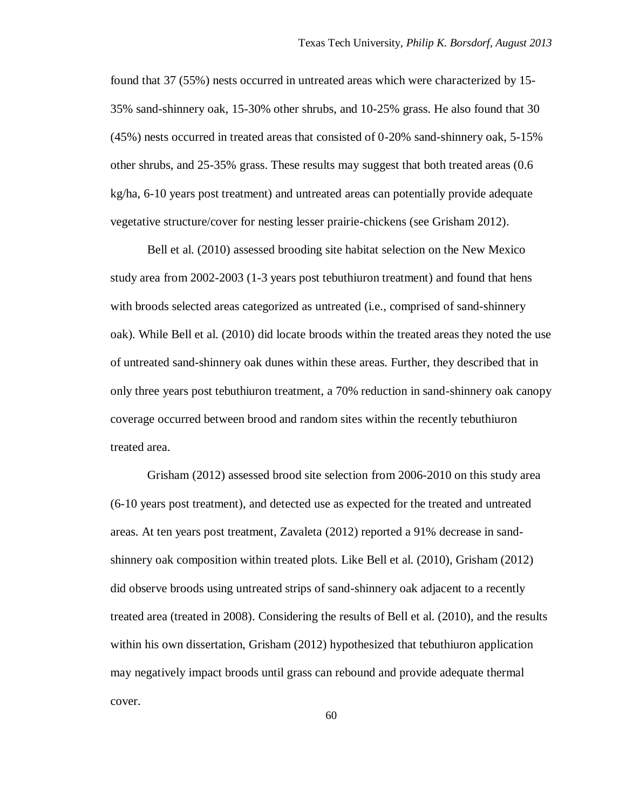found that 37 (55%) nests occurred in untreated areas which were characterized by 15- 35% sand-shinnery oak, 15-30% other shrubs, and 10-25% grass. He also found that 30 (45%) nests occurred in treated areas that consisted of 0-20% sand-shinnery oak, 5-15% other shrubs, and 25-35% grass. These results may suggest that both treated areas (0.6 kg/ha, 6-10 years post treatment) and untreated areas can potentially provide adequate vegetative structure/cover for nesting lesser prairie-chickens (see Grisham 2012).

Bell et al. (2010) assessed brooding site habitat selection on the New Mexico study area from 2002-2003 (1-3 years post tebuthiuron treatment) and found that hens with broods selected areas categorized as untreated (i.e., comprised of sand-shinnery oak). While Bell et al. (2010) did locate broods within the treated areas they noted the use of untreated sand-shinnery oak dunes within these areas. Further, they described that in only three years post tebuthiuron treatment, a 70% reduction in sand-shinnery oak canopy coverage occurred between brood and random sites within the recently tebuthiuron treated area.

Grisham (2012) assessed brood site selection from 2006-2010 on this study area (6-10 years post treatment), and detected use as expected for the treated and untreated areas. At ten years post treatment, Zavaleta (2012) reported a 91% decrease in sandshinnery oak composition within treated plots. Like Bell et al. (2010), Grisham (2012) did observe broods using untreated strips of sand-shinnery oak adjacent to a recently treated area (treated in 2008). Considering the results of Bell et al. (2010), and the results within his own dissertation, Grisham (2012) hypothesized that tebuthiuron application may negatively impact broods until grass can rebound and provide adequate thermal cover.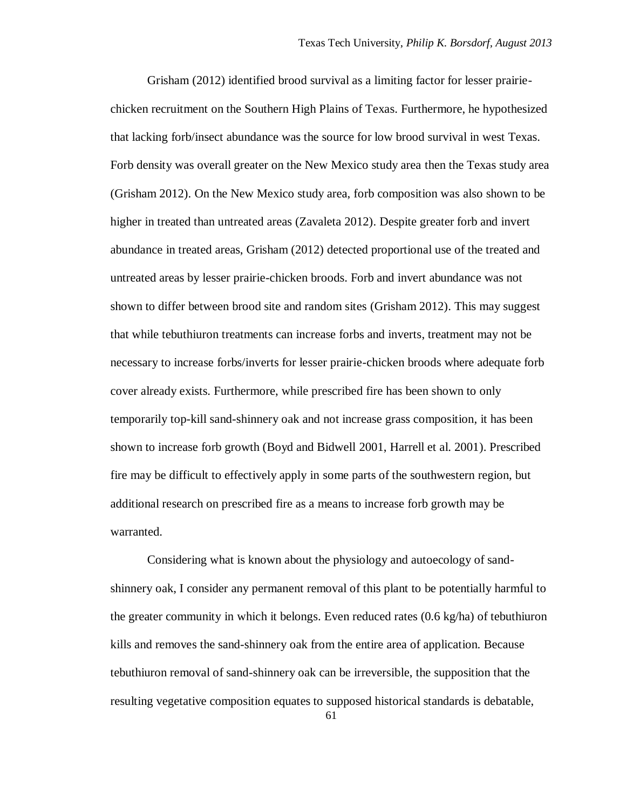Grisham (2012) identified brood survival as a limiting factor for lesser prairiechicken recruitment on the Southern High Plains of Texas. Furthermore, he hypothesized that lacking forb/insect abundance was the source for low brood survival in west Texas. Forb density was overall greater on the New Mexico study area then the Texas study area (Grisham 2012). On the New Mexico study area, forb composition was also shown to be higher in treated than untreated areas (Zavaleta 2012). Despite greater forb and invert abundance in treated areas, Grisham (2012) detected proportional use of the treated and untreated areas by lesser prairie-chicken broods. Forb and invert abundance was not shown to differ between brood site and random sites (Grisham 2012). This may suggest that while tebuthiuron treatments can increase forbs and inverts, treatment may not be necessary to increase forbs/inverts for lesser prairie-chicken broods where adequate forb cover already exists. Furthermore, while prescribed fire has been shown to only temporarily top-kill sand-shinnery oak and not increase grass composition, it has been shown to increase forb growth (Boyd and Bidwell 2001, Harrell et al. 2001). Prescribed fire may be difficult to effectively apply in some parts of the southwestern region, but additional research on prescribed fire as a means to increase forb growth may be warranted.

Considering what is known about the physiology and autoecology of sandshinnery oak, I consider any permanent removal of this plant to be potentially harmful to the greater community in which it belongs. Even reduced rates (0.6 kg/ha) of tebuthiuron kills and removes the sand-shinnery oak from the entire area of application. Because tebuthiuron removal of sand-shinnery oak can be irreversible, the supposition that the resulting vegetative composition equates to supposed historical standards is debatable,

61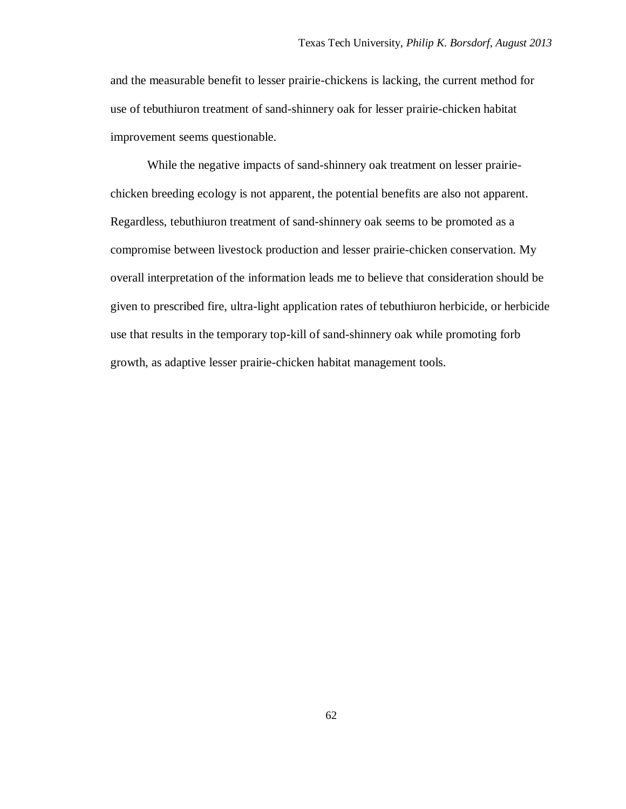and the measurable benefit to lesser prairie-chickens is lacking, the current method for use of tebuthiuron treatment of sand-shinnery oak for lesser prairie-chicken habitat improvement seems questionable.

While the negative impacts of sand-shinnery oak treatment on lesser prairiechicken breeding ecology is not apparent, the potential benefits are also not apparent. Regardless, tebuthiuron treatment of sand-shinnery oak seems to be promoted as a compromise between livestock production and lesser prairie-chicken conservation. My overall interpretation of the information leads me to believe that consideration should be given to prescribed fire, ultra-light application rates of tebuthiuron herbicide, or herbicide use that results in the temporary top-kill of sand-shinnery oak while promoting forb growth, as adaptive lesser prairie-chicken habitat management tools.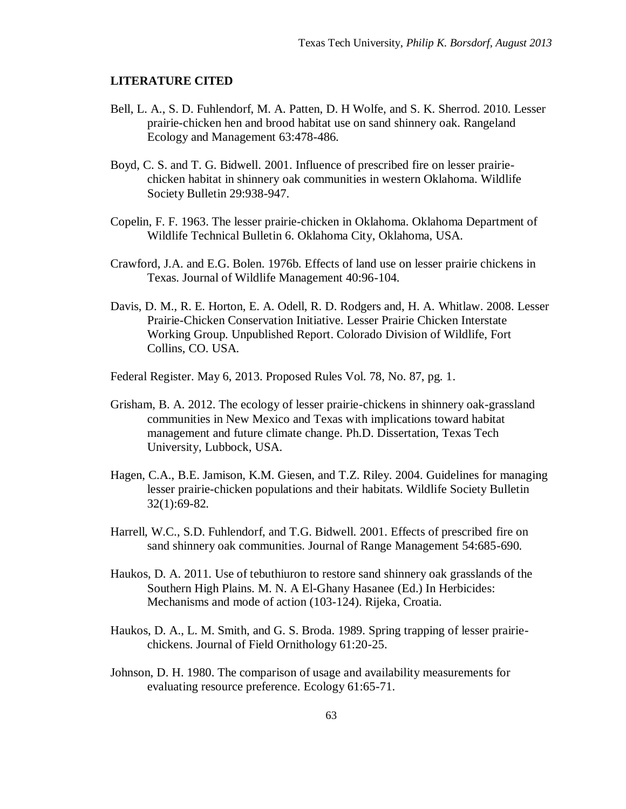### **LITERATURE CITED**

- Bell, L. A., S. D. Fuhlendorf, M. A. Patten, D. H Wolfe, and S. K. Sherrod. 2010. Lesser prairie-chicken hen and brood habitat use on sand shinnery oak. Rangeland Ecology and Management 63:478-486.
- Boyd, C. S. and T. G. Bidwell. 2001. Influence of prescribed fire on lesser prairiechicken habitat in shinnery oak communities in western Oklahoma. Wildlife Society Bulletin 29:938-947.
- Copelin, F. F. 1963. The lesser prairie-chicken in Oklahoma. Oklahoma Department of Wildlife Technical Bulletin 6. Oklahoma City, Oklahoma, USA.
- Crawford, J.A. and E.G. Bolen. 1976b. Effects of land use on lesser prairie chickens in Texas. Journal of Wildlife Management 40:96-104.
- Davis, D. M., R. E. Horton, E. A. Odell, R. D. Rodgers and, H. A. Whitlaw. 2008. Lesser Prairie-Chicken Conservation Initiative. Lesser Prairie Chicken Interstate Working Group. Unpublished Report. Colorado Division of Wildlife, Fort Collins, CO. USA.

Federal Register. May 6, 2013. Proposed Rules Vol. 78, No. 87, pg. 1.

- Grisham, B. A. 2012. The ecology of lesser prairie-chickens in shinnery oak-grassland communities in New Mexico and Texas with implications toward habitat management and future climate change. Ph.D. Dissertation, Texas Tech University, Lubbock, USA.
- Hagen, C.A., B.E. Jamison, K.M. Giesen, and T.Z. Riley. 2004. Guidelines for managing lesser prairie-chicken populations and their habitats. Wildlife Society Bulletin 32(1):69-82.
- Harrell, W.C., S.D. Fuhlendorf, and T.G. Bidwell. 2001. Effects of prescribed fire on sand shinnery oak communities. Journal of Range Management 54:685-690.
- Haukos, D. A. 2011. Use of tebuthiuron to restore sand shinnery oak grasslands of the Southern High Plains. M. N. A El-Ghany Hasanee (Ed.) In Herbicides: Mechanisms and mode of action (103-124). Rijeka, Croatia.
- Haukos, D. A., L. M. Smith, and G. S. Broda. 1989. Spring trapping of lesser prairiechickens. Journal of Field Ornithology 61:20-25.
- Johnson, D. H. 1980. The comparison of usage and availability measurements for evaluating resource preference. Ecology 61:65-71.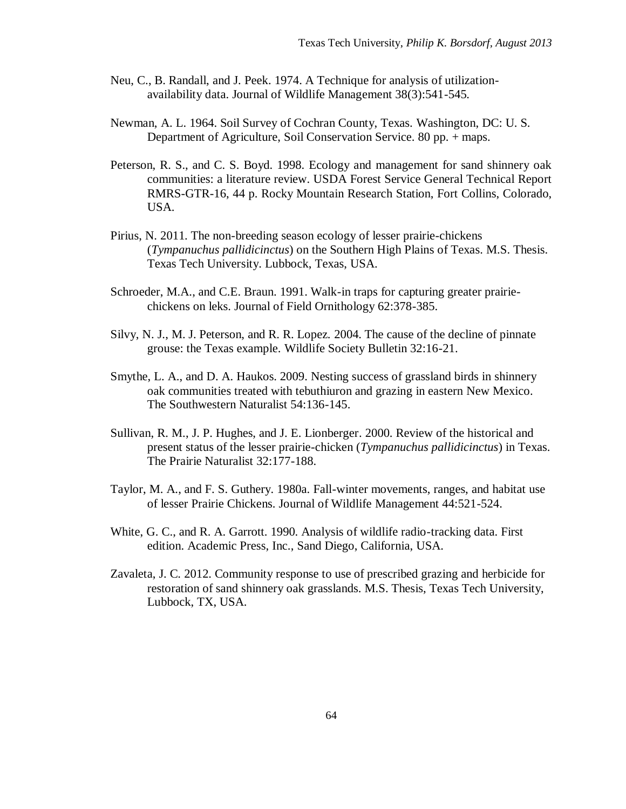- Neu, C., B. Randall, and J. Peek. 1974. A Technique for analysis of utilizationavailability data. Journal of Wildlife Management 38(3):541-545.
- Newman, A. L. 1964. Soil Survey of Cochran County, Texas. Washington, DC: U. S. Department of Agriculture, Soil Conservation Service. 80 pp. + maps.
- Peterson, R. S., and C. S. Boyd. 1998. Ecology and management for sand shinnery oak communities: a literature review. USDA Forest Service General Technical Report RMRS-GTR-16, 44 p. Rocky Mountain Research Station, Fort Collins, Colorado, USA.
- Pirius, N. 2011. The non-breeding season ecology of lesser prairie-chickens (*Tympanuchus pallidicinctus*) on the Southern High Plains of Texas. M.S. Thesis. Texas Tech University. Lubbock, Texas, USA.
- Schroeder, M.A., and C.E. Braun. 1991. Walk-in traps for capturing greater prairiechickens on leks. Journal of Field Ornithology 62:378-385.
- Silvy, N. J., M. J. Peterson, and R. R. Lopez. 2004. The cause of the decline of pinnate grouse: the Texas example. Wildlife Society Bulletin 32:16-21.
- Smythe, L. A., and D. A. Haukos. 2009. Nesting success of grassland birds in shinnery oak communities treated with tebuthiuron and grazing in eastern New Mexico. The Southwestern Naturalist 54:136-145.
- Sullivan, R. M., J. P. Hughes, and J. E. Lionberger. 2000. Review of the historical and present status of the lesser prairie-chicken (*Tympanuchus pallidicinctus*) in Texas. The Prairie Naturalist 32:177-188.
- Taylor, M. A., and F. S. Guthery. 1980a. Fall-winter movements, ranges, and habitat use of lesser Prairie Chickens. Journal of Wildlife Management 44:521-524.
- White, G. C., and R. A. Garrott. 1990. Analysis of wildlife radio-tracking data. First edition. Academic Press, Inc., Sand Diego, California, USA.
- Zavaleta, J. C. 2012. Community response to use of prescribed grazing and herbicide for restoration of sand shinnery oak grasslands. M.S. Thesis, Texas Tech University, Lubbock, TX, USA.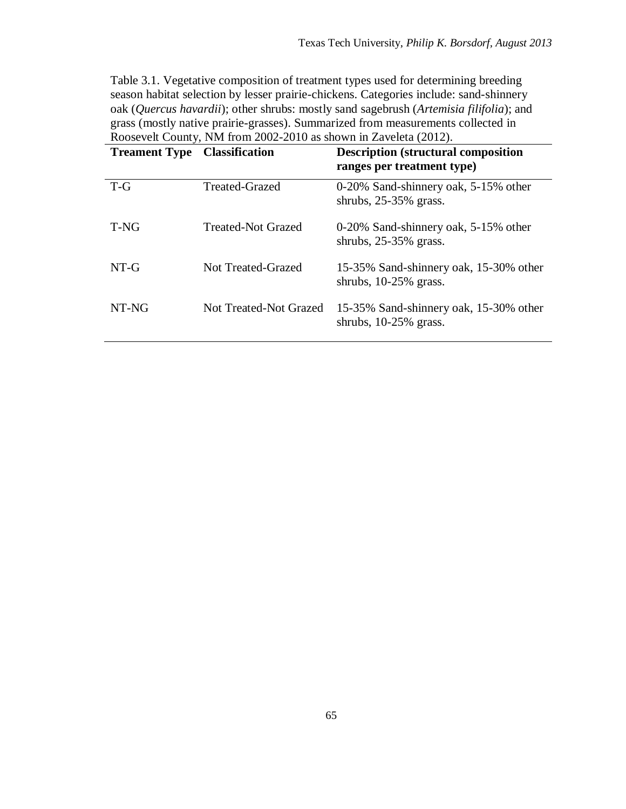Table 3.1. Vegetative composition of treatment types used for determining breeding season habitat selection by lesser prairie-chickens. Categories include: sand-shinnery oak (*Quercus havardii*); other shrubs: mostly sand sagebrush (*Artemisia filifolia*); and grass (mostly native prairie-grasses). Summarized from measurements collected in Roosevelt County, NM from 2002-2010 as shown in Zaveleta (2012).

| <b>Treament Type</b> | <b>Classification</b>  | <b>Description (structural composition)</b><br>ranges per treatment type) |
|----------------------|------------------------|---------------------------------------------------------------------------|
| $T-G$                | Treated-Grazed         | 0-20% Sand-shinnery oak, 5-15% other<br>shrubs, $25-35\%$ grass.          |
| T-NG                 | Treated-Not Grazed     | 0-20% Sand-shinnery oak, 5-15% other<br>shrubs, $25-35\%$ grass.          |
| $NT-G$               | Not Treated-Grazed     | 15-35% Sand-shinnery oak, 15-30% other<br>shrubs, $10-25\%$ grass.        |
| NT-NG                | Not Treated-Not Grazed | 15-35% Sand-shinnery oak, 15-30% other<br>shrubs, $10-25\%$ grass.        |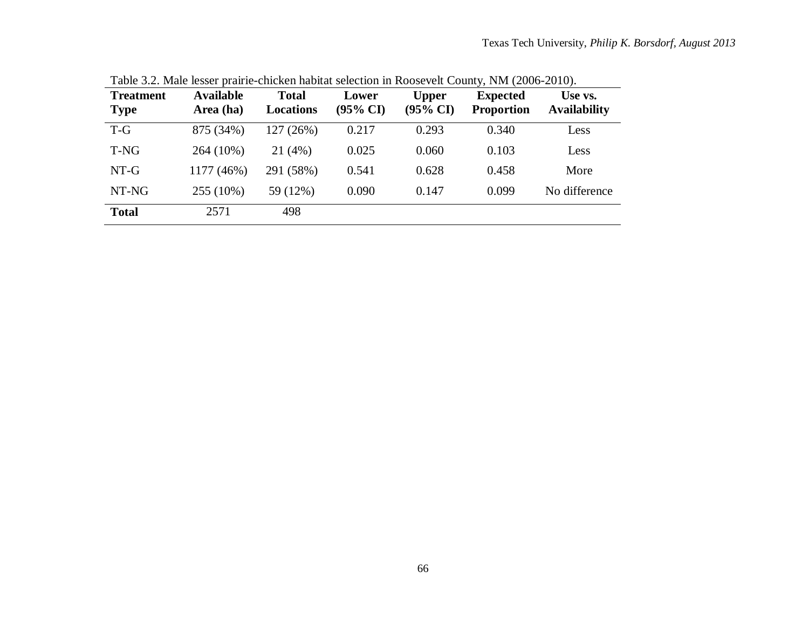| <b>Treatment</b><br><b>Type</b> | <b>Available</b><br>Area (ha) | <b>Total</b><br><b>Locations</b> | Lower<br>$(95\% \text{ CI})$ | <b>Upper</b><br>$(95\% \text{ CI})$ | <b>Expected</b><br><b>Proportion</b> | Use vs.<br><b>Availability</b> |
|---------------------------------|-------------------------------|----------------------------------|------------------------------|-------------------------------------|--------------------------------------|--------------------------------|
| T-G                             | 875 (34%)                     | 127 (26%)                        | 0.217                        | 0.293                               | 0.340                                | Less                           |
| T-NG                            | 264 (10%)                     | 21(4%)                           | 0.025                        | 0.060                               | 0.103                                | Less                           |
| $NT-G$                          | 1177 (46%)                    | 291 (58%)                        | 0.541                        | 0.628                               | 0.458                                | More                           |
| NT-NG                           | 255 (10%)                     | 59 (12%)                         | 0.090                        | 0.147                               | 0.099                                | No difference                  |
| <b>Total</b>                    | 2571                          | 498                              |                              |                                     |                                      |                                |

Table 3.2. Male lesser prairie-chicken habitat selection in Roosevelt County, NM (2006-2010).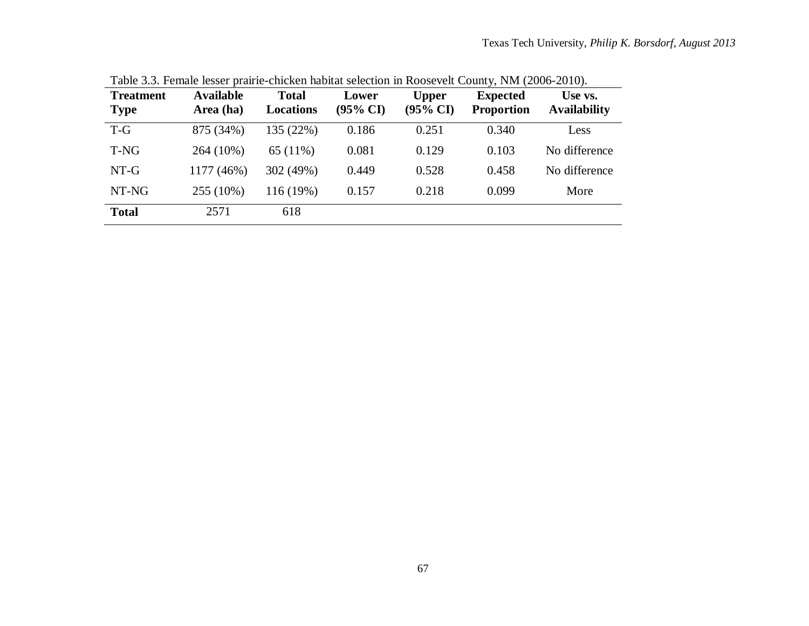| <b>Treatment</b><br><b>Type</b> | <b>Available</b><br>Area (ha) | <b>Total</b><br><b>Locations</b> | Lower<br>$(95\% \text{ CI})$ | <b>Upper</b><br>$(95\% \text{ CI})$ | <b>Expected</b><br><b>Proportion</b> | Use vs.<br><b>Availability</b> |
|---------------------------------|-------------------------------|----------------------------------|------------------------------|-------------------------------------|--------------------------------------|--------------------------------|
| $T-G$                           | 875 (34%)                     | 135 (22%)                        | 0.186                        | 0.251                               | 0.340                                | Less                           |
| T-NG                            | 264 (10%)                     | 65 (11%)                         | 0.081                        | 0.129                               | 0.103                                | No difference                  |
| $NT-G$                          | 1177 (46%)                    | 302 (49%)                        | 0.449                        | 0.528                               | 0.458                                | No difference                  |
| NT-NG                           | 255 (10%)                     | 116 (19%)                        | 0.157                        | 0.218                               | 0.099                                | More                           |
| <b>Total</b>                    | 2571                          | 618                              |                              |                                     |                                      |                                |

Table 3.3. Female lesser prairie-chicken habitat selection in Roosevelt County, NM (2006-2010).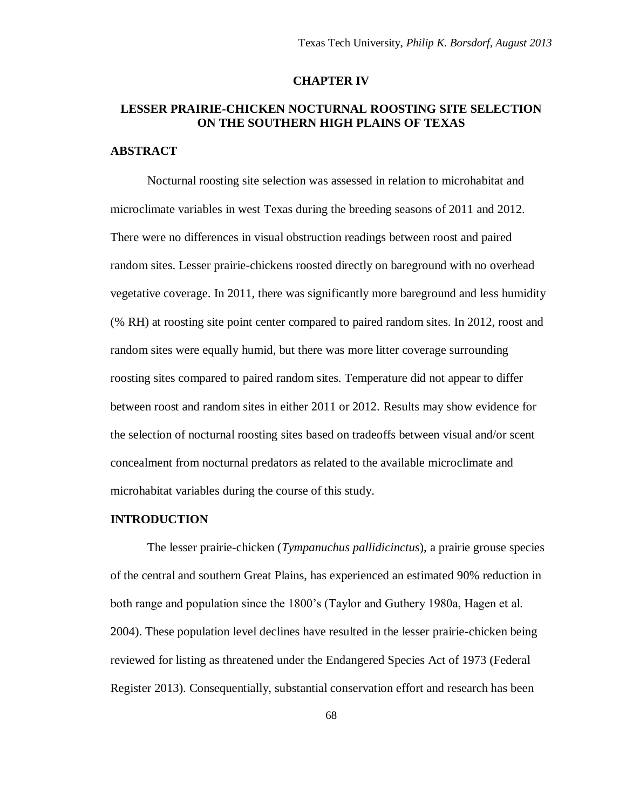#### **CHAPTER IV**

# **LESSER PRAIRIE-CHICKEN NOCTURNAL ROOSTING SITE SELECTION ON THE SOUTHERN HIGH PLAINS OF TEXAS**

## **ABSTRACT**

Nocturnal roosting site selection was assessed in relation to microhabitat and microclimate variables in west Texas during the breeding seasons of 2011 and 2012. There were no differences in visual obstruction readings between roost and paired random sites. Lesser prairie-chickens roosted directly on bareground with no overhead vegetative coverage. In 2011, there was significantly more bareground and less humidity (% RH) at roosting site point center compared to paired random sites. In 2012, roost and random sites were equally humid, but there was more litter coverage surrounding roosting sites compared to paired random sites. Temperature did not appear to differ between roost and random sites in either 2011 or 2012. Results may show evidence for the selection of nocturnal roosting sites based on tradeoffs between visual and/or scent concealment from nocturnal predators as related to the available microclimate and microhabitat variables during the course of this study.

## **INTRODUCTION**

The lesser prairie-chicken (*Tympanuchus pallidicinctus*), a prairie grouse species of the central and southern Great Plains, has experienced an estimated 90% reduction in both range and population since the 1800's (Taylor and Guthery 1980a, Hagen et al. 2004). These population level declines have resulted in the lesser prairie-chicken being reviewed for listing as threatened under the Endangered Species Act of 1973 (Federal Register 2013). Consequentially, substantial conservation effort and research has been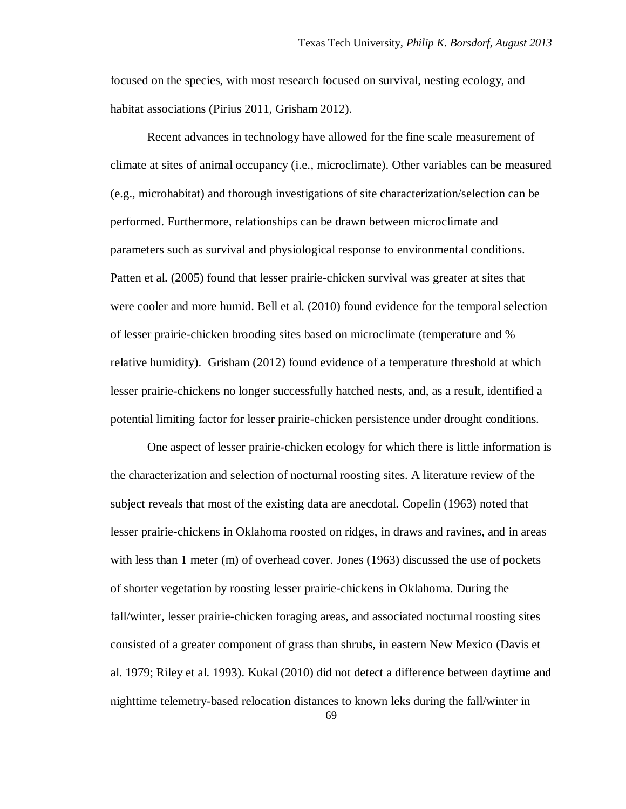focused on the species, with most research focused on survival, nesting ecology, and habitat associations (Pirius 2011, Grisham 2012).

Recent advances in technology have allowed for the fine scale measurement of climate at sites of animal occupancy (i.e., microclimate). Other variables can be measured (e.g., microhabitat) and thorough investigations of site characterization/selection can be performed. Furthermore, relationships can be drawn between microclimate and parameters such as survival and physiological response to environmental conditions. Patten et al. (2005) found that lesser prairie-chicken survival was greater at sites that were cooler and more humid. Bell et al. (2010) found evidence for the temporal selection of lesser prairie-chicken brooding sites based on microclimate (temperature and % relative humidity). Grisham (2012) found evidence of a temperature threshold at which lesser prairie-chickens no longer successfully hatched nests, and, as a result, identified a potential limiting factor for lesser prairie-chicken persistence under drought conditions.

One aspect of lesser prairie-chicken ecology for which there is little information is the characterization and selection of nocturnal roosting sites. A literature review of the subject reveals that most of the existing data are anecdotal. Copelin (1963) noted that lesser prairie-chickens in Oklahoma roosted on ridges, in draws and ravines, and in areas with less than 1 meter (m) of overhead cover. Jones (1963) discussed the use of pockets of shorter vegetation by roosting lesser prairie-chickens in Oklahoma. During the fall/winter, lesser prairie-chicken foraging areas, and associated nocturnal roosting sites consisted of a greater component of grass than shrubs, in eastern New Mexico (Davis et al. 1979; Riley et al. 1993). Kukal (2010) did not detect a difference between daytime and nighttime telemetry-based relocation distances to known leks during the fall/winter in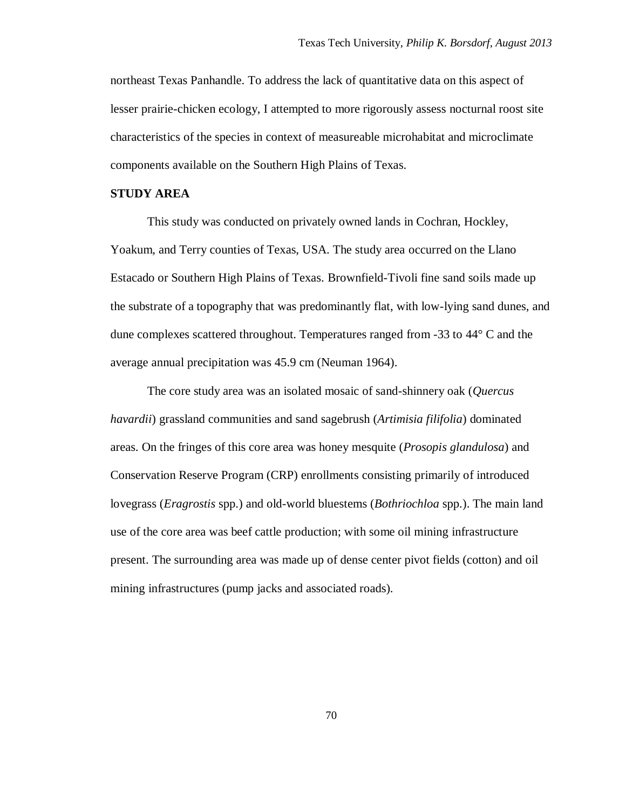northeast Texas Panhandle. To address the lack of quantitative data on this aspect of lesser prairie-chicken ecology, I attempted to more rigorously assess nocturnal roost site characteristics of the species in context of measureable microhabitat and microclimate components available on the Southern High Plains of Texas.

## **STUDY AREA**

This study was conducted on privately owned lands in Cochran, Hockley, Yoakum, and Terry counties of Texas, USA. The study area occurred on the Llano Estacado or Southern High Plains of Texas. Brownfield-Tivoli fine sand soils made up the substrate of a topography that was predominantly flat, with low-lying sand dunes, and dune complexes scattered throughout. Temperatures ranged from -33 to 44° C and the average annual precipitation was 45.9 cm (Neuman 1964).

The core study area was an isolated mosaic of sand-shinnery oak (*Quercus havardii*) grassland communities and sand sagebrush (*Artimisia filifolia*) dominated areas. On the fringes of this core area was honey mesquite (*Prosopis glandulosa*) and Conservation Reserve Program (CRP) enrollments consisting primarily of introduced lovegrass (*Eragrostis* spp.) and old-world bluestems (*Bothriochloa* spp.). The main land use of the core area was beef cattle production; with some oil mining infrastructure present. The surrounding area was made up of dense center pivot fields (cotton) and oil mining infrastructures (pump jacks and associated roads).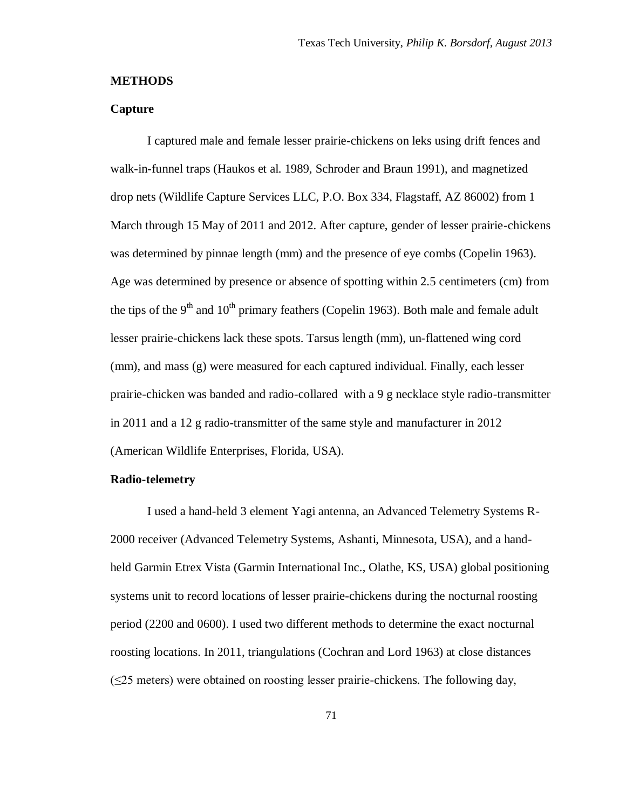### **METHODS**

## **Capture**

I captured male and female lesser prairie-chickens on leks using drift fences and walk-in-funnel traps (Haukos et al. 1989, Schroder and Braun 1991), and magnetized drop nets (Wildlife Capture Services LLC, P.O. Box 334, Flagstaff, AZ 86002) from 1 March through 15 May of 2011 and 2012. After capture, gender of lesser prairie-chickens was determined by pinnae length (mm) and the presence of eye combs (Copelin 1963). Age was determined by presence or absence of spotting within 2.5 centimeters (cm) from the tips of the  $9<sup>th</sup>$  and  $10<sup>th</sup>$  primary feathers (Copelin 1963). Both male and female adult lesser prairie-chickens lack these spots. Tarsus length (mm), un-flattened wing cord (mm), and mass (g) were measured for each captured individual. Finally, each lesser prairie-chicken was banded and radio-collared with a 9 g necklace style radio-transmitter in 2011 and a 12 g radio-transmitter of the same style and manufacturer in 2012 (American Wildlife Enterprises, Florida, USA).

# **Radio-telemetry**

I used a hand-held 3 element Yagi antenna, an Advanced Telemetry Systems R-2000 receiver (Advanced Telemetry Systems, Ashanti, Minnesota, USA), and a handheld Garmin Etrex Vista (Garmin International Inc., Olathe, KS, USA) global positioning systems unit to record locations of lesser prairie-chickens during the nocturnal roosting period (2200 and 0600). I used two different methods to determine the exact nocturnal roosting locations. In 2011, triangulations (Cochran and Lord 1963) at close distances (≤25 meters) were obtained on roosting lesser prairie-chickens. The following day,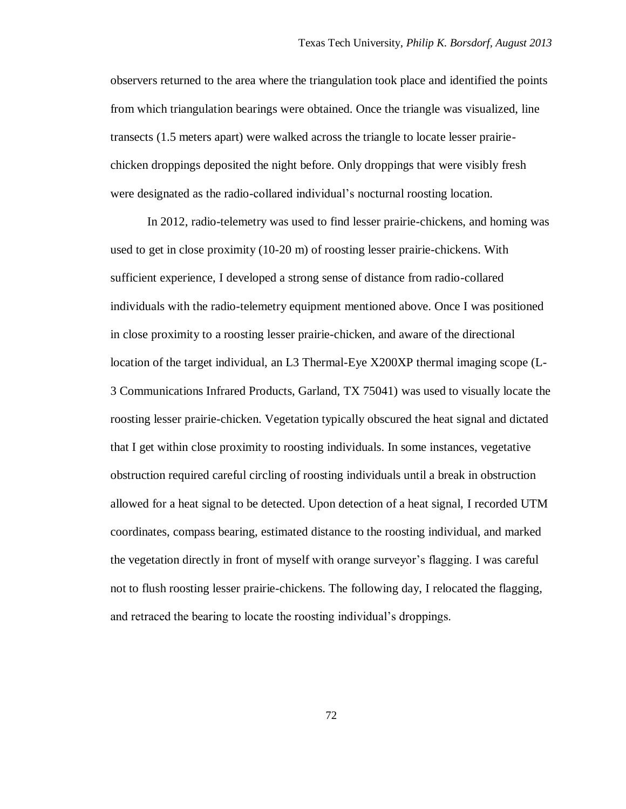observers returned to the area where the triangulation took place and identified the points from which triangulation bearings were obtained. Once the triangle was visualized, line transects (1.5 meters apart) were walked across the triangle to locate lesser prairiechicken droppings deposited the night before. Only droppings that were visibly fresh were designated as the radio-collared individual's nocturnal roosting location.

In 2012, radio-telemetry was used to find lesser prairie-chickens, and homing was used to get in close proximity (10-20 m) of roosting lesser prairie-chickens. With sufficient experience, I developed a strong sense of distance from radio-collared individuals with the radio-telemetry equipment mentioned above. Once I was positioned in close proximity to a roosting lesser prairie-chicken, and aware of the directional location of the target individual, an L3 Thermal-Eye X200XP thermal imaging scope (L-3 Communications Infrared Products, Garland, TX 75041) was used to visually locate the roosting lesser prairie-chicken. Vegetation typically obscured the heat signal and dictated that I get within close proximity to roosting individuals. In some instances, vegetative obstruction required careful circling of roosting individuals until a break in obstruction allowed for a heat signal to be detected. Upon detection of a heat signal, I recorded UTM coordinates, compass bearing, estimated distance to the roosting individual, and marked the vegetation directly in front of myself with orange surveyor's flagging. I was careful not to flush roosting lesser prairie-chickens. The following day, I relocated the flagging, and retraced the bearing to locate the roosting individual's droppings.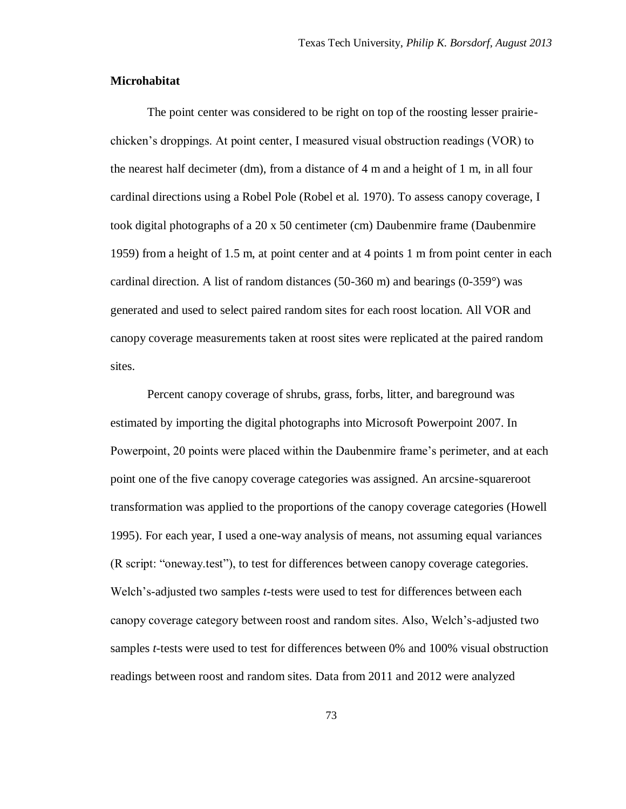### **Microhabitat**

The point center was considered to be right on top of the roosting lesser prairiechicken's droppings. At point center, I measured visual obstruction readings (VOR) to the nearest half decimeter (dm), from a distance of 4 m and a height of 1 m, in all four cardinal directions using a Robel Pole (Robel et al. 1970). To assess canopy coverage, I took digital photographs of a 20 x 50 centimeter (cm) Daubenmire frame (Daubenmire 1959) from a height of 1.5 m, at point center and at 4 points 1 m from point center in each cardinal direction. A list of random distances (50-360 m) and bearings (0-359°) was generated and used to select paired random sites for each roost location. All VOR and canopy coverage measurements taken at roost sites were replicated at the paired random sites.

Percent canopy coverage of shrubs, grass, forbs, litter, and bareground was estimated by importing the digital photographs into Microsoft Powerpoint 2007. In Powerpoint, 20 points were placed within the Daubenmire frame's perimeter, and at each point one of the five canopy coverage categories was assigned. An arcsine-squareroot transformation was applied to the proportions of the canopy coverage categories (Howell 1995). For each year, I used a one-way analysis of means, not assuming equal variances (R script: "oneway.test"), to test for differences between canopy coverage categories. Welch's-adjusted two samples *t*-tests were used to test for differences between each canopy coverage category between roost and random sites. Also, Welch's-adjusted two samples *t*-tests were used to test for differences between 0% and 100% visual obstruction readings between roost and random sites. Data from 2011 and 2012 were analyzed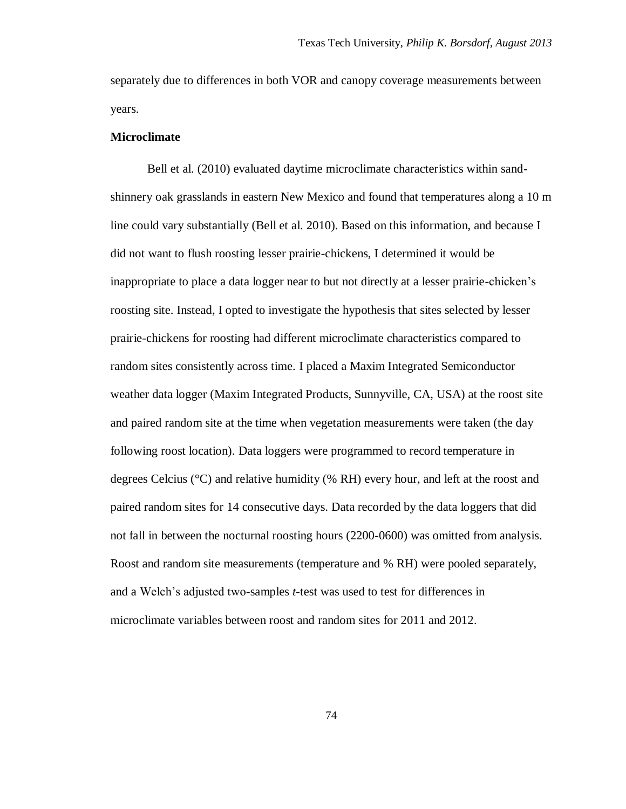separately due to differences in both VOR and canopy coverage measurements between years.

### **Microclimate**

Bell et al. (2010) evaluated daytime microclimate characteristics within sandshinnery oak grasslands in eastern New Mexico and found that temperatures along a 10 m line could vary substantially (Bell et al. 2010). Based on this information, and because I did not want to flush roosting lesser prairie-chickens, I determined it would be inappropriate to place a data logger near to but not directly at a lesser prairie-chicken's roosting site. Instead, I opted to investigate the hypothesis that sites selected by lesser prairie-chickens for roosting had different microclimate characteristics compared to random sites consistently across time. I placed a Maxim Integrated Semiconductor weather data logger (Maxim Integrated Products, Sunnyville, CA, USA) at the roost site and paired random site at the time when vegetation measurements were taken (the day following roost location). Data loggers were programmed to record temperature in degrees Celcius (°C) and relative humidity (% RH) every hour, and left at the roost and paired random sites for 14 consecutive days. Data recorded by the data loggers that did not fall in between the nocturnal roosting hours (2200-0600) was omitted from analysis. Roost and random site measurements (temperature and % RH) were pooled separately, and a Welch's adjusted two-samples *t*-test was used to test for differences in microclimate variables between roost and random sites for 2011 and 2012.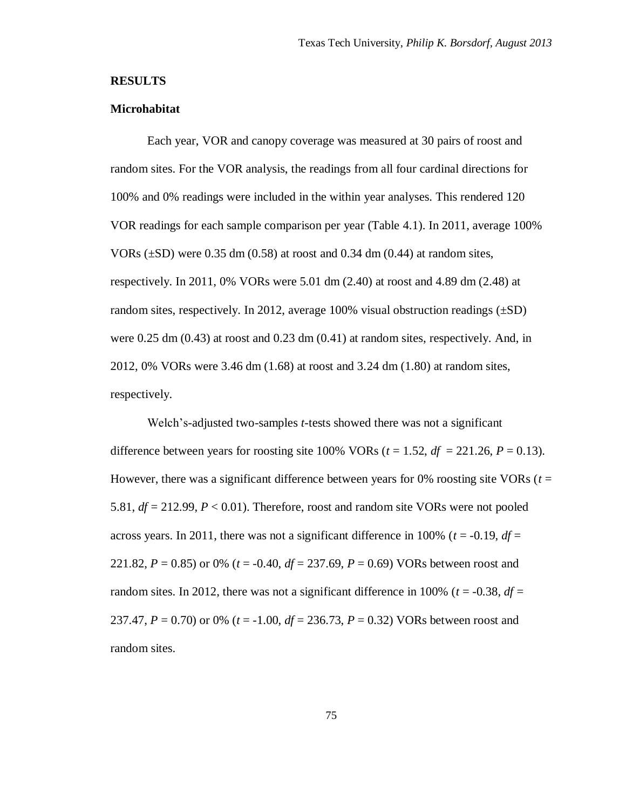### **RESULTS**

### **Microhabitat**

Each year, VOR and canopy coverage was measured at 30 pairs of roost and random sites. For the VOR analysis, the readings from all four cardinal directions for 100% and 0% readings were included in the within year analyses. This rendered 120 VOR readings for each sample comparison per year (Table 4.1). In 2011, average 100% VORs  $(\pm SD)$  were 0.35 dm (0.58) at roost and 0.34 dm (0.44) at random sites, respectively. In 2011,  $0\%$  VORs were 5.01 dm (2.40) at roost and 4.89 dm (2.48) at random sites, respectively. In 2012, average 100% visual obstruction readings  $(\pm SD)$ were 0.25 dm (0.43) at roost and 0.23 dm (0.41) at random sites, respectively. And, in 2012, 0% VORs were 3.46 dm (1.68) at roost and 3.24 dm (1.80) at random sites, respectively.

Welch's-adjusted two-samples *t*-tests showed there was not a significant difference between years for roosting site 100% VORs ( $t = 1.52$ ,  $df = 221.26$ ,  $P = 0.13$ ). However, there was a significant difference between years for  $0\%$  roosting site VORs ( $t =$ 5.81, *df* = 212.99, *P* < 0.01). Therefore, roost and random site VORs were not pooled across years. In 2011, there was not a significant difference in 100% ( $t = -0.19$ ,  $df =$ 221.82,  $P = 0.85$  or 0% ( $t = -0.40$ ,  $df = 237.69$ ,  $P = 0.69$ ) VORs between roost and random sites. In 2012, there was not a significant difference in 100% ( $t = -0.38$ ,  $df =$ 237.47, *P* = 0.70) or 0% (*t* = -1.00, *df* = 236.73, *P* = 0.32) VORs between roost and random sites.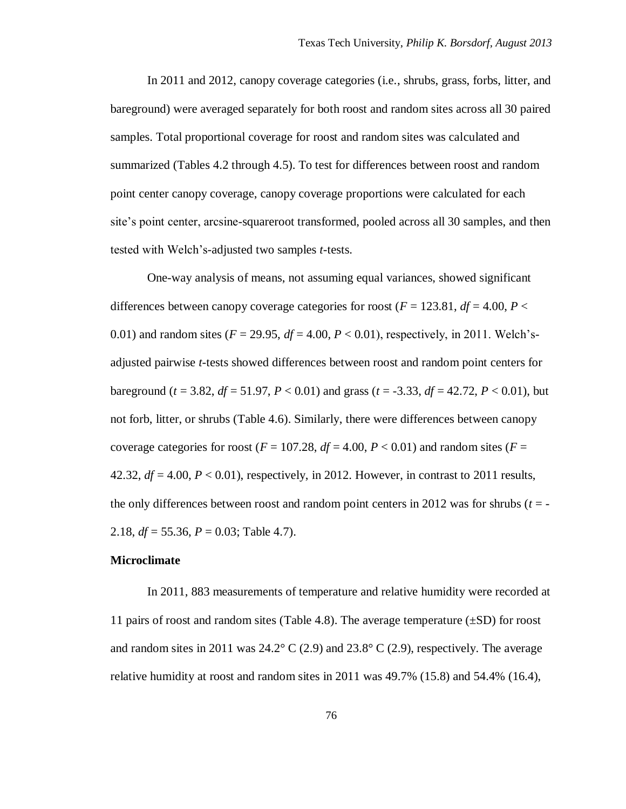In 2011 and 2012, canopy coverage categories (i.e., shrubs, grass, forbs, litter, and bareground) were averaged separately for both roost and random sites across all 30 paired samples. Total proportional coverage for roost and random sites was calculated and summarized (Tables 4.2 through 4.5). To test for differences between roost and random point center canopy coverage, canopy coverage proportions were calculated for each site's point center, arcsine-squareroot transformed, pooled across all 30 samples, and then tested with Welch's-adjusted two samples *t*-tests.

One-way analysis of means, not assuming equal variances, showed significant differences between canopy coverage categories for roost  $(F = 123.81, df = 4.00, P <$ 0.01) and random sites  $(F = 29.95, df = 4.00, P < 0.01)$ , respectively, in 2011. Welch'sadjusted pairwise *t*-tests showed differences between roost and random point centers for bareground ( $t = 3.82$ ,  $df = 51.97$ ,  $P < 0.01$ ) and grass ( $t = -3.33$ ,  $df = 42.72$ ,  $P < 0.01$ ), but not forb, litter, or shrubs (Table 4.6). Similarly, there were differences between canopy coverage categories for roost ( $F = 107.28$ ,  $df = 4.00$ ,  $P < 0.01$ ) and random sites ( $F =$ 42.32,  $df = 4.00$ ,  $P < 0.01$ ), respectively, in 2012. However, in contrast to 2011 results, the only differences between roost and random point centers in 2012 was for shrubs (*t* = - 2.18, *df* = 55.36, *P* = 0.03; Table 4.7).

#### **Microclimate**

In 2011, 883 measurements of temperature and relative humidity were recorded at 11 pairs of roost and random sites (Table 4.8). The average temperature  $(\pm SD)$  for roost and random sites in 2011 was  $24.2^{\circ}$  C (2.9) and  $23.8^{\circ}$  C (2.9), respectively. The average relative humidity at roost and random sites in  $2011$  was  $49.7\%$  (15.8) and  $54.4\%$  (16.4),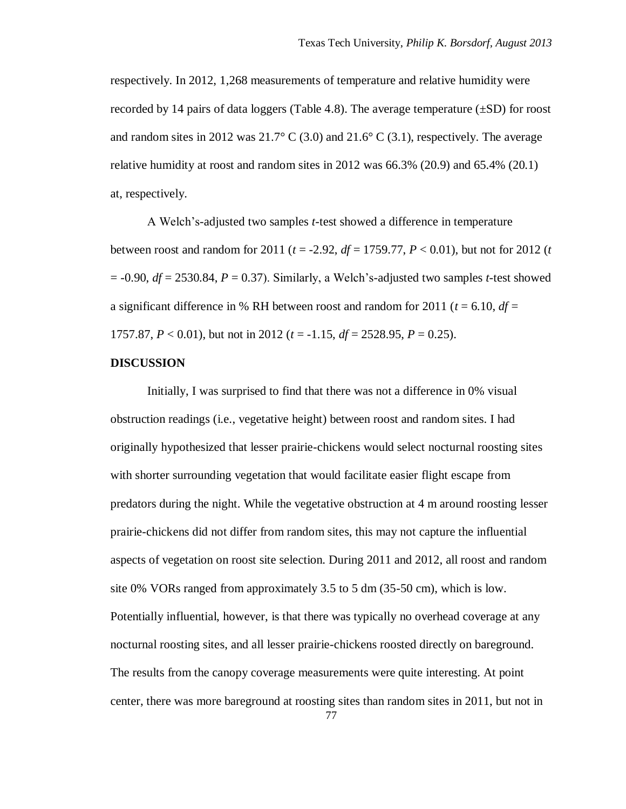respectively. In 2012, 1,268 measurements of temperature and relative humidity were recorded by 14 pairs of data loggers (Table 4.8). The average temperature  $(\pm SD)$  for roost and random sites in 2012 was  $21.7^{\circ}$  C (3.0) and  $21.6^{\circ}$  C (3.1), respectively. The average relative humidity at roost and random sites in  $2012$  was 66.3% (20.9) and 65.4% (20.1) at, respectively.

A Welch's-adjusted two samples *t*-test showed a difference in temperature between roost and random for 2011 ( $t = -2.92$ ,  $df = 1759.77$ ,  $P < 0.01$ ), but not for 2012 (*t*  $=$  -0.90,  $df = 2530.84$ ,  $P = 0.37$ ). Similarly, a Welch's-adjusted two samples *t*-test showed a significant difference in % RH between roost and random for 2011 ( $t = 6.10$ ,  $df =$ 1757.87, *P* < 0.01), but not in 2012 (*t* = -1.15, *df* = 2528.95, *P* = 0.25).

### **DISCUSSION**

Initially, I was surprised to find that there was not a difference in 0% visual obstruction readings (i.e., vegetative height) between roost and random sites. I had originally hypothesized that lesser prairie-chickens would select nocturnal roosting sites with shorter surrounding vegetation that would facilitate easier flight escape from predators during the night. While the vegetative obstruction at 4 m around roosting lesser prairie-chickens did not differ from random sites, this may not capture the influential aspects of vegetation on roost site selection. During 2011 and 2012, all roost and random site 0% VORs ranged from approximately 3.5 to 5 dm (35-50 cm), which is low. Potentially influential, however, is that there was typically no overhead coverage at any nocturnal roosting sites, and all lesser prairie-chickens roosted directly on bareground. The results from the canopy coverage measurements were quite interesting. At point center, there was more bareground at roosting sites than random sites in 2011, but not in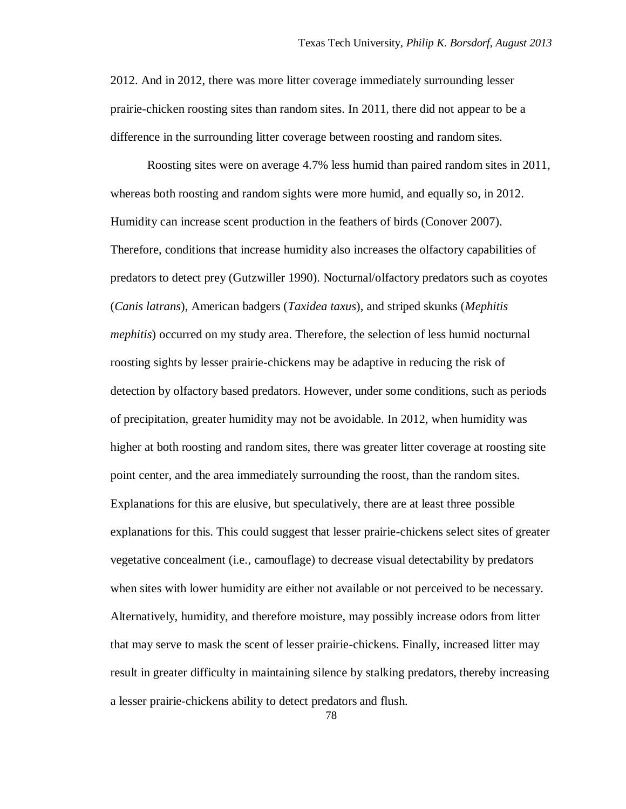2012. And in 2012, there was more litter coverage immediately surrounding lesser prairie-chicken roosting sites than random sites. In 2011, there did not appear to be a difference in the surrounding litter coverage between roosting and random sites.

Roosting sites were on average 4.7% less humid than paired random sites in 2011, whereas both roosting and random sights were more humid, and equally so, in 2012. Humidity can increase scent production in the feathers of birds (Conover 2007). Therefore, conditions that increase humidity also increases the olfactory capabilities of predators to detect prey (Gutzwiller 1990). Nocturnal/olfactory predators such as coyotes (*Canis latrans*), American badgers (*Taxidea taxus*), and striped skunks (*Mephitis mephitis*) occurred on my study area. Therefore, the selection of less humid nocturnal roosting sights by lesser prairie-chickens may be adaptive in reducing the risk of detection by olfactory based predators. However, under some conditions, such as periods of precipitation, greater humidity may not be avoidable. In 2012, when humidity was higher at both roosting and random sites, there was greater litter coverage at roosting site point center, and the area immediately surrounding the roost, than the random sites. Explanations for this are elusive, but speculatively, there are at least three possible explanations for this. This could suggest that lesser prairie-chickens select sites of greater vegetative concealment (i.e., camouflage) to decrease visual detectability by predators when sites with lower humidity are either not available or not perceived to be necessary. Alternatively, humidity, and therefore moisture, may possibly increase odors from litter that may serve to mask the scent of lesser prairie-chickens. Finally, increased litter may result in greater difficulty in maintaining silence by stalking predators, thereby increasing a lesser prairie-chickens ability to detect predators and flush.

78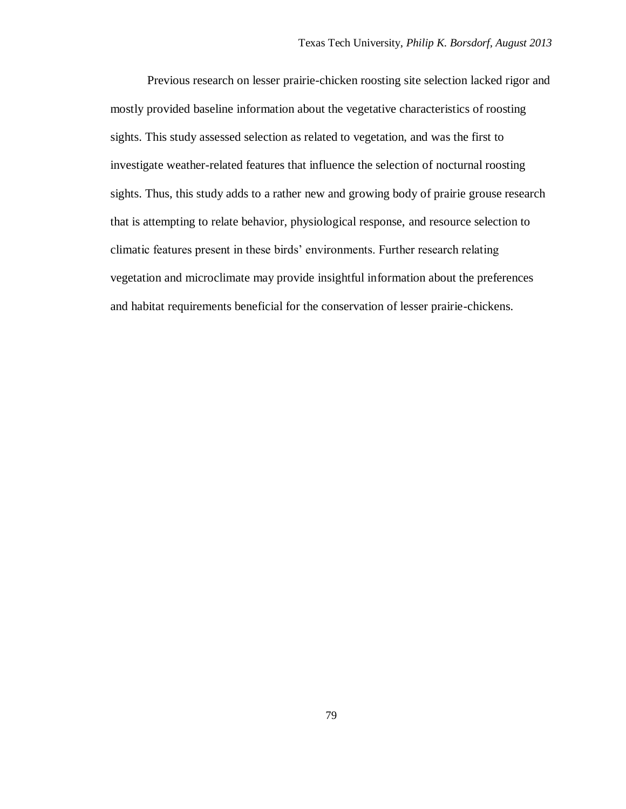Previous research on lesser prairie-chicken roosting site selection lacked rigor and mostly provided baseline information about the vegetative characteristics of roosting sights. This study assessed selection as related to vegetation, and was the first to investigate weather-related features that influence the selection of nocturnal roosting sights. Thus, this study adds to a rather new and growing body of prairie grouse research that is attempting to relate behavior, physiological response, and resource selection to climatic features present in these birds' environments. Further research relating vegetation and microclimate may provide insightful information about the preferences and habitat requirements beneficial for the conservation of lesser prairie-chickens.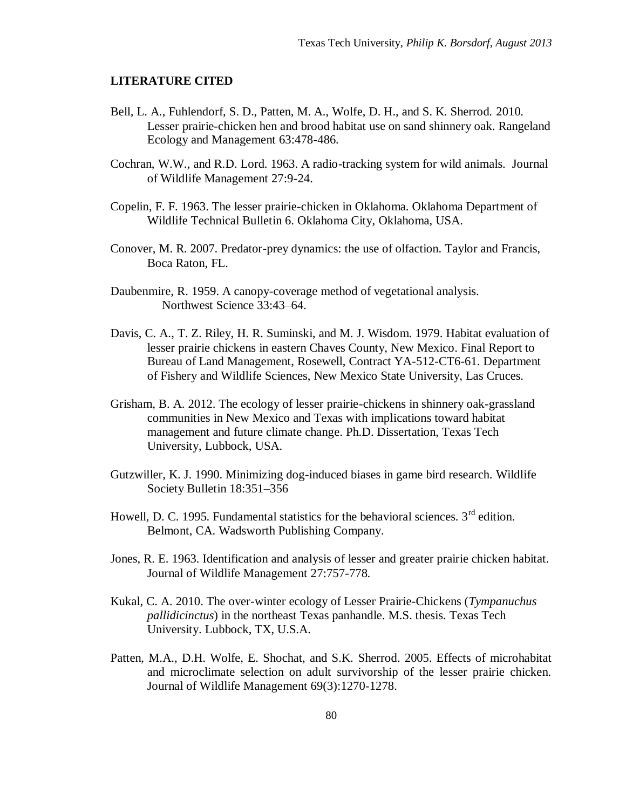### **LITERATURE CITED**

- Bell, L. A., Fuhlendorf, S. D., Patten, M. A., Wolfe, D. H., and S. K. Sherrod. 2010. Lesser prairie-chicken hen and brood habitat use on sand shinnery oak. Rangeland Ecology and Management 63:478-486.
- Cochran, W.W., and R.D. Lord. 1963. A radio-tracking system for wild animals. Journal of Wildlife Management 27:9-24.
- Copelin, F. F. 1963. The lesser prairie-chicken in Oklahoma. Oklahoma Department of Wildlife Technical Bulletin 6. Oklahoma City, Oklahoma, USA.
- Conover, M. R. 2007. Predator-prey dynamics: the use of olfaction. Taylor and Francis, Boca Raton, FL.
- Daubenmire, R. 1959. A canopy-coverage method of vegetational analysis. Northwest Science 33:43–64.
- Davis, C. A., T. Z. Riley, H. R. Suminski, and M. J. Wisdom. 1979. Habitat evaluation of lesser prairie chickens in eastern Chaves County, New Mexico. Final Report to Bureau of Land Management, Rosewell, Contract YA-512-CT6-61. Department of Fishery and Wildlife Sciences, New Mexico State University, Las Cruces.
- Grisham, B. A. 2012. The ecology of lesser prairie-chickens in shinnery oak-grassland communities in New Mexico and Texas with implications toward habitat management and future climate change. Ph.D. Dissertation, Texas Tech University, Lubbock, USA.
- Gutzwiller, K. J. 1990. Minimizing dog-induced biases in game bird research. Wildlife Society Bulletin 18:351–356
- Howell, D. C. 1995. Fundamental statistics for the behavioral sciences.  $3<sup>rd</sup>$  edition. Belmont, CA. Wadsworth Publishing Company.
- Jones, R. E. 1963. Identification and analysis of lesser and greater prairie chicken habitat. Journal of Wildlife Management 27:757-778.
- Kukal, C. A. 2010. The over-winter ecology of Lesser Prairie-Chickens (*Tympanuchus pallidicinctus*) in the northeast Texas panhandle. M.S. thesis. Texas Tech University. Lubbock, TX, U.S.A.
- Patten, M.A., D.H. Wolfe, E. Shochat, and S.K. Sherrod. 2005. Effects of microhabitat and microclimate selection on adult survivorship of the lesser prairie chicken. Journal of Wildlife Management 69(3):1270-1278.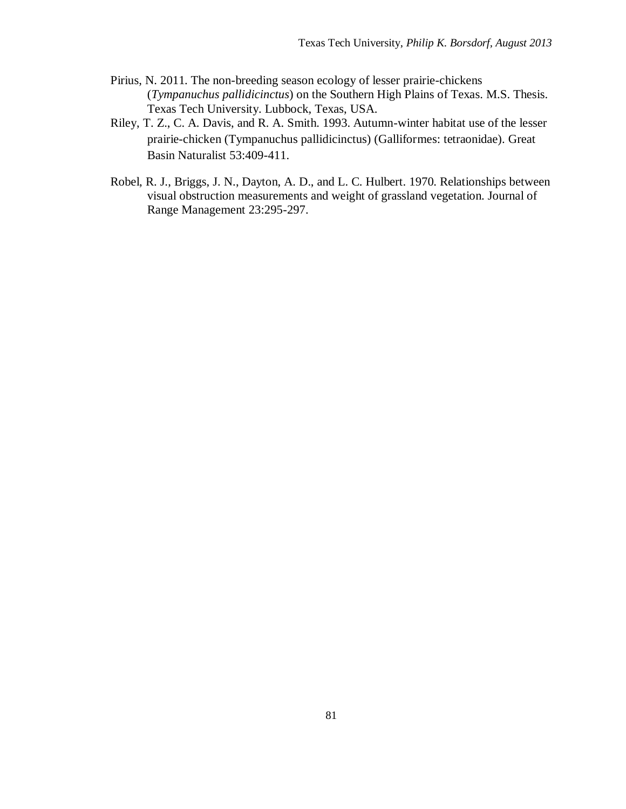- Pirius, N. 2011. The non-breeding season ecology of lesser prairie-chickens (*Tympanuchus pallidicinctus*) on the Southern High Plains of Texas. M.S. Thesis. Texas Tech University. Lubbock, Texas, USA.
- Riley, T. Z., C. A. Davis, and R. A. Smith. 1993. Autumn-winter habitat use of the lesser prairie-chicken (Tympanuchus pallidicinctus) (Galliformes: tetraonidae). Great Basin Naturalist 53:409-411.
- Robel, R. J., Briggs, J. N., Dayton, A. D., and L. C. Hulbert. 1970. Relationships between visual obstruction measurements and weight of grassland vegetation. Journal of Range Management 23:295-297.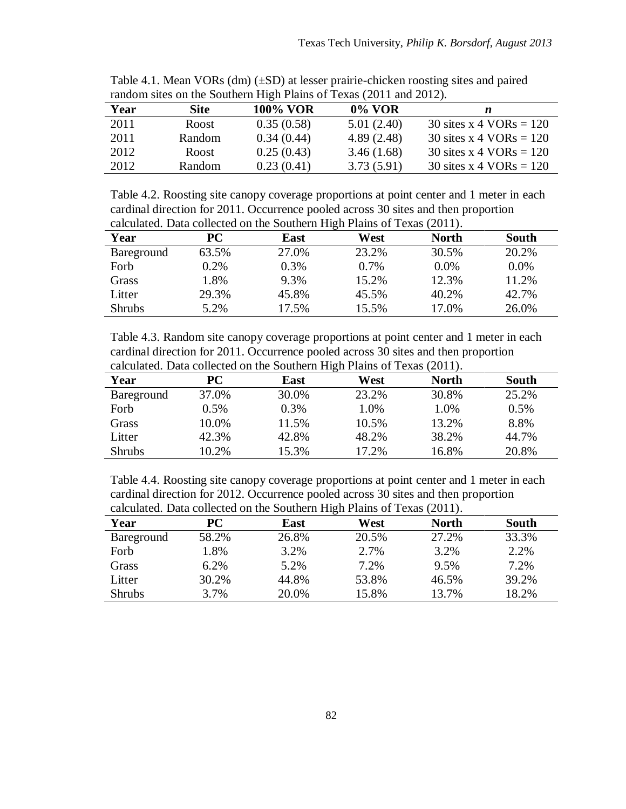|      | Tungoni phop on the bounding right ramp of Texap (2011 and 2012). |                 |               |                           |  |  |
|------|-------------------------------------------------------------------|-----------------|---------------|---------------------------|--|--|
| Year | Site:                                                             | <b>100% VOR</b> | <b>0% VOR</b> |                           |  |  |
| 2011 | Roost                                                             | 0.35(0.58)      | 5.01(2.40)    | 30 sites x 4 VORs = $120$ |  |  |
| 2011 | Random                                                            | 0.34(0.44)      | 4.89(2.48)    | 30 sites $x$ 4 VORs = 120 |  |  |
| 2012 | Roost                                                             | 0.25(0.43)      | 3.46(1.68)    | 30 sites $x$ 4 VORs = 120 |  |  |
| 2012 | Random                                                            | 0.23(0.41)      | 3.73(5.91)    | 30 sites x 4 VORs = $120$ |  |  |

Table 4.1. Mean VORs (dm) (±SD) at lesser prairie-chicken roosting sites and paired random sites on the Southern High Plains of Texas (2011 and 2012).

Table 4.2. Roosting site canopy coverage proportions at point center and 1 meter in each cardinal direction for 2011. Occurrence pooled across 30 sites and then proportion calculated. Data collected on the Southern High Plains of Texas (2011).

| 22.4          |       |       |       |              |              |  |
|---------------|-------|-------|-------|--------------|--------------|--|
| Year          | PС    | East  | West  | <b>North</b> | <b>South</b> |  |
| Bareground    | 63.5% | 27.0% | 23.2% | 30.5%        | 20.2%        |  |
| Forb          | 0.2%  | 0.3%  | 0.7%  | $0.0\%$      | 0.0%         |  |
| Grass         | 1.8%  | 9.3%  | 15.2% | 12.3%        | 11.2%        |  |
| Litter        | 29.3% | 45.8% | 45.5% | 40.2%        | 42.7%        |  |
| <b>Shrubs</b> | 5.2%  | 17.5% | 15.5% | 17.0%        | 26.0%        |  |

Table 4.3. Random site canopy coverage proportions at point center and 1 meter in each cardinal direction for 2011. Occurrence pooled across 30 sites and then proportion calculated. Data collected on the Southern High Plains of Texas (2011).

| <u>calculation. D'alta collecteu oli the bouthern fright fullito of a chao</u> |         |       |       |              |              |
|--------------------------------------------------------------------------------|---------|-------|-------|--------------|--------------|
| Year                                                                           | PС      | East  | West  | <b>North</b> | <b>South</b> |
| Bareground                                                                     | 37.0%   | 30.0% | 23.2% | 30.8%        | 25.2%        |
| Forb                                                                           | $0.5\%$ | 0.3%  | 1.0%  | 1.0%         | 0.5%         |
| Grass                                                                          | 10.0%   | 11.5% | 10.5% | 13.2%        | 8.8%         |
| Litter                                                                         | 42.3%   | 42.8% | 48.2% | 38.2%        | 44.7%        |
| <b>Shrubs</b>                                                                  | 10.2%   | 15.3% | 17.2% | 16.8%        | 20.8%        |

Table 4.4. Roosting site canopy coverage proportions at point center and 1 meter in each cardinal direction for 2012. Occurrence pooled across 30 sites and then proportion calculated. Data collected on the Southern High Plains of Texas (2011).

|               |       |       | ັ     |              |       |
|---------------|-------|-------|-------|--------------|-------|
| Year          | PС    | East  | West  | <b>North</b> | South |
| Bareground    | 58.2% | 26.8% | 20.5% | 27.2%        | 33.3% |
| Forb          | 1.8%  | 3.2%  | 2.7%  | 3.2%         | 2.2%  |
| Grass         | 6.2%  | 5.2%  | 7.2%  | 9.5%         | 7.2%  |
| Litter        | 30.2% | 44.8% | 53.8% | 46.5%        | 39.2% |
| <b>Shrubs</b> | 3.7%  | 20.0% | 15.8% | 13.7%        | 18.2% |